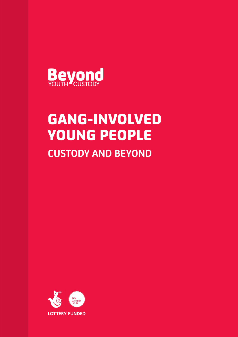

# GANG-INVOLVED YOUNG PEOPLE  **CUSTODY AND BEYOND**

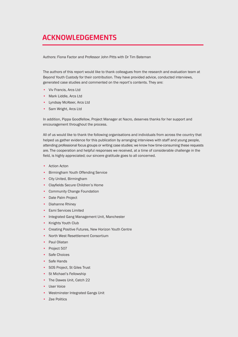# **ACKNOWLEDGEMENTS**

Authors: Fiona Factor and Professor John Pitts with Dr Tim Bateman

The authors of this report would like to thank colleagues from the research and evaluation team at Beyond Youth Custody for their contribution. They have provided advice, conducted interviews, generated case studies and commented on the report's contents. They are:

- Viv Francis, Arcs Ltd
- Mark Liddle, Arcs Ltd
- Lyndsay McAteer, Arcs Ltd
- Sam Wright, Arcs Ltd

In addition, Pippa Goodfellow, Project Manager at Nacro, deserves thanks for her support and encouragement throughout the process.

All of us would like to thank the following organisations and individuals from across the country that helped us gather evidence for this publication by arranging interviews with staff and young people, attending professional focus groups or writing case studies; we know how time-consuming these requests are. The cooperation and helpful responses we received, at a time of considerable challenge in the field, is highly appreciated; our sincere gratitude goes to all concerned.

- Action Acton
- Birmingham Youth Offending Service
- City United, Birmingham
- Clayfields Secure Children's Home
- Community Change Foundation
- Date Palm Project
- Diahanne Rhiney
- Esmi Services Limited
- Integrated Gang Management Unit, Manchester
- Knights Youth Club
- Creating Positive Futures, New Horizon Youth Centre
- North West Resettlement Consortium
- Paul Oliatan
- Project 507
- Safe Choices
- Safe Hands
- SOS Project, St Giles Trust
- St Michael's Fellowship
- The Dawes Unit, Catch 22
- User Voice
- Westminster Integrated Gangs Unit
- Zee Politics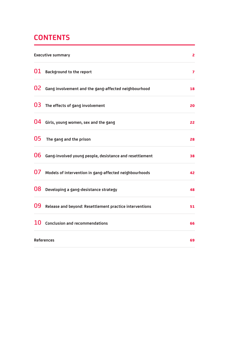# **CONTENTS**

| <b>Executive summary</b><br>2 |                                                           |                |  |  |
|-------------------------------|-----------------------------------------------------------|----------------|--|--|
|                               | <b>O1</b> Background to the report                        | $\overline{z}$ |  |  |
|                               | 02 Gang involvement and the gang-affected neighbourhood   | 18             |  |  |
| 03                            | The effects of gang involvement                           | 20             |  |  |
|                               | <b>O4</b> Girls, young women, sex and the gang            | 22             |  |  |
| 05                            | The gang and the prison                                   | 28             |  |  |
| 06                            | Gang-involved young people, desistance and resettlement   | 38             |  |  |
|                               | 07 Models of intervention in gang-affected neighbourhoods | 42             |  |  |
| 08                            | Developing a gang-desistance strategy                     | 48             |  |  |
| 09                            | Release and beyond: Resettlement practice interventions   | 51             |  |  |
|                               | 10 Conclusion and recommendations                         | 66             |  |  |
|                               | <b>References</b>                                         | 69             |  |  |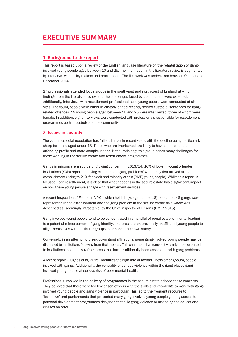# **EXECUTIVE SUMMARY**

# **1. Background to the report**

This report is based upon a review of the English language literature on the rehabilitation of ganginvolved young people aged between 10 and 25. The information in the literature review is augmented by interviews with policy makers and practitioners. The fieldwork was undertaken between October and December 2014.

27 professionals attended focus groups in the south-east and north-west of England at which findings from the literature review and the challenges faced by practitioners were explored. Additionally, interviews with resettlement professionals and young people were conducted at six sites. The young people were either in custody or had recently served custodial sentences for gangrelated offences. 19 young people aged between 16 and 25 were interviewed, three of whom were female. In addition, eight interviews were conducted with professionals responsible for resettlement programmes both in custody and the community.

# **2. Issues in custody**

The youth custodial population has fallen sharply in recent years with the decline being particularly sharp for those aged under 18. Those who are imprisoned are likely to have a more serious offending profile and more complex needs. Not surprisingly, this group poses many challenges for those working in the secure estate and resettlement programmes.

Gangs in prisons are a source of growing concern. In 2013/14, 16% of boys in young offender institutions (YOIs) reported having experienced 'gang problems' when they first arrived at the establishment (rising to 21% for black and minority ethnic (BME) young people). Whilst this report is focused upon resettlement, it is clear that what happens in the secure estate has a significant impact on how these young people engage with resettlement services.

A recent inspection of Feltham 'A' YOI (which holds boys aged under 18) noted that 48 gangs were represented in the establishment and the gang problem in the secure estate as a whole was described as 'seemingly intractable' by the Chief Inspector of Prisons (HMIP, 2015).

Gang-involved young people tend to be concentrated in a handful of penal establishments, leading to a potential reinforcement of gang identity, and pressure on previously unaffiliated young people to align themselves with particular groups to enhance their own safety.

Conversely, in an attempt to break down gang affiliations, some gang-involved young people may be dispersed to institutions far away from their homes. This can mean that gang activity might be 'exported' to institutions located away from areas that have traditionally been associated with gang problems.

A recent report (Hughes et al, 2015), identifies the high rate of mental illness among young people involved with gangs. Additionally, the centrality of serious violence within the gang places ganginvolved young people at serious risk of poor mental health.

Professionals involved in the delivery of programmes in the secure estate echoed these concerns. They believed that there were too few prison officers with the skills and knowledge to work with ganginvolved young people and gang violence in particular. This led to the frequent recourse to 'lockdown' and punishments that prevented many gang-involved young people gaining access to personal development programmes designed to tackle gang violence or attending the educational classes on offer.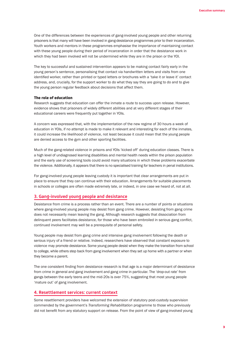One of the differences between the experiences of gang-involved young people and other returning prisoners is that many will have been involved in gang-desistance programmes prior to their incarceration. Youth workers and mentors in these programmes emphasise the importance of maintaining contact with these young people during their period of incarceration in order that the desistance work in which they had been involved will not be undermined while they are in the prison or the YOI.

The key to successful and sustained intervention appears to be making contact fairly early in the young person's sentence, personalising that contact via handwritten letters and visits from one identified worker, rather than printed or typed letters or brochures with a 'take it or leave it' contact address, and, crucially, for the support worker to do what they say they are going to do and to give the young person regular feedback about decisions that affect them.

#### The role of education

Research suggests that education can offer the inmate a route to success upon release. However, evidence shows that prisoners of widely different abilities and at very different stages of their educational careers were frequently put together in YOIs.

A concern was expressed that, with the implementation of the new regime of 30 hours a week of education in YOIs, if no attempt is made to make it relevant and interesting for each of the inmates, it could increase the likelihood of violence, not least because it could mean that the young people are denied access to the gym and other sporting facilities.

Much of the gang-related violence in prisons and YOIs 'kicked off' during education classes. There is a high level of undiagnosed learning disabilities and mental health needs within the prison population and the early use of screening tools could avoid many situations in which these problems exacerbate the violence. Additionally, it appears that there is no specialised training for teachers in penal institutions.

For gang-involved young people leaving custody it is important that clear arrangements are put in place to ensure that they can continue with their education. Arrangements for suitable placements in schools or colleges are often made extremely late, or indeed, in one case we heard of, not at all.

### **3. Gang-involved young people and desistance**

Desistance from crime is a process rather than an event. There are a number of points or situations where gang-involved young people may desist from gang crime. However, desisting from gang crime does not necessarily mean leaving the gang. Although research suggests that dissociation from delinquent peers facilitates desistance, for those who have been embroiled in serious gang conflict, continued involvement may well be a prerequisite of personal safety.

Young people may desist from gang crime and intensive gang involvement following the death or serious injury of a friend or relative. Indeed, researchers have observed that constant exposure to violence may promote desistance. Some young people desist when they make the transition from school to college, while others step back from gang involvement when they set up home with a partner or when they become a parent.

The one consistent finding from desistance research is that age is a major determinant of desistance from crime in general and gang involvement and gang crime in particular. The 'drop-out rate' from gangs between the early teens and the mid-20s is over 75%, suggesting that most young people 'mature out' of gang involvement.

# **4. Resettlement services: current context**

Some resettlement providers have welcomed the extension of statutory post-custody supervision commended by the government's *Transforming Rehabilitation* programme to those who previously did not benefit from any statutory support on release. From the point of view of gang-involved young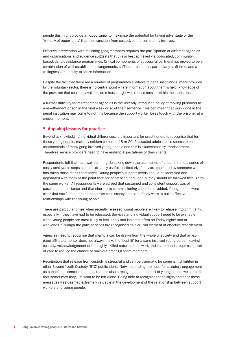people this might provide an opportunity to maximise the potential for taking advantage of the 'window of opportunity' that the transition from custody to the community involves.

Effective intervention with returning gang members requires the participation of different agencies and organisations and evidence suggests that this is best achieved via co-located, communitybased, gang-desistance programmes. Critical components of successful partnerships proved to be a combination of well-established arrangements, sufficient resources, particularly staff time, and a willingness and ability to share information.

Despite the fact that there are a number of programmes available to penal institutions, many provided by the voluntary sector, there is no central point where information about them is held; knowledge of the provision that could be available on release might well reduce tension within the institution.

A further difficulty for resettlement agencies is the recently introduced policy of moving prisoners to a resettlement prison in the final week or so of their sentence. This can mean that work done in the penal institution may come to nothing because the support worker loses touch with the prisoner at a crucial moment.

# **5. Applying lessons for practice**

Beyond acknowledging individual differences, it is important for practitioners to recognise that for these young people, maturity seldom comes at 18 or 20. Protracted adolescence seems to be a characteristic of many gang-involved young people and this is exacerbated by imprisonment. Therefore service providers need to have realistic expectations of their clients.

Respondents felt that 'pathway planning'; breaking down the aspirations of prisoners into a series of easily achievable steps can be extremely useful, particularly if they are mentored by someone who has taken those steps themselves. Young people's support needs should be identified and negotiated with them at the point they are sentenced and, ideally, they should be followed through by the same worker. All respondents were agreed that sustained and consistent support was of paramount importance and that short-term commissioning should be avoided. Young people were clear that staff needed to demonstrate consistency and care if they were to build effective relationships with the young people.

There are particular times when recently released young people are likely to relapse into criminality, especially if they have had to be relocated. Services and individual support need to be available when young people are most likely to feel lonely and isolated, often on Friday nights and at weekends. 'Through the gate' services are recognised as a crucial element of effective resettlement.

Agencies need to recognise that mentors can be drawn from the whole of society and that an exgang-affiliated mentor does not always make the 'best fit' for a gang-involved young person leaving custody. Acknowledgement of the highly skilled nature of this work and its demands requires a level of care to reduce the chance of burn-out amongst team members.

Recognition that release from custody is stressful and can be traumatic for some is highlighted in other Beyond Youth Custody (BYC) publications. Notwithstanding the need for statutory engagement as part of the licence conditions, there is also a recognition on the part of young people we spoke to that sometimes they just want to be left alone. Being able to recognise these signs and hear these messages was deemed extremely valuable in the development of the relationship between support workers and young people.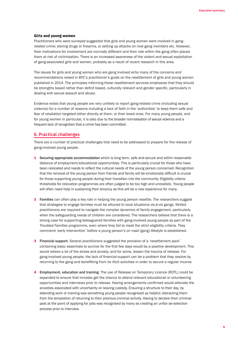#### Girls and young women

Practitioners who were surveyed suggested that girls and young women were involved in gangrelated crime; storing drugs or firearms, or setting up attacks on rival gang members etc. However, their motivations for involvement are normally different and their role within the gang often places them at risk of victimisation. There is an increased awareness of the violent and sexual exploitation of gang-associated girls and women, probably as a result of recent research in this area.

The issues for girls and young women who are gang involved echo many of the concerns and recommendations raised in BYC's practitioner's guide on the resettlement of girls and young women published in 2014. The principles informing these resettlement services emphasise that they should be strengths based rather than deficit based, culturally relevant and gender specific, particularly in dealing with sexual assault and abuse.

Evidence exists that young people are very unlikely to report gang-related crime (including sexual violence) for a number of reasons including a lack of faith in the 'authorities' to keep them safe and fear of retaliation targeted either directly at them, or their loved ones. For many young people, and for young women in particular, it is also due to the broader normalisation of sexual violence and a frequent lack of recognition that a crime has been committed.

# **6. Practical challenges**

There are a number of practical challenges that need to be addressed to prepare for the release of gang-involved young people.

- **1** Securing appropriate accommodation which is long term, safe and secure and within reasonable distance of employment/educational opportunities. This is particularly crucial for those who have been relocated and needs to reflect the cultural needs of the young person concerned. Recognition that the removal of the young person from friends and family will be emotionally difficult is crucial for those supporting young people during their transition into the community. Eligibility criteria thresholds for relocation programmes are often judged to be too high and unrealistic. Young people will often need help in sustaining their tenancy as this will be a new experience for many.
- 2 Families can often play a key role in helping the young person resettle. The researchers suggest that strategies to engage families must be attuned to local situations vis-à-vis gangs. Skilled practitioners are required to navigate the complex dynamics of family engagement, particularly when the safeguarding needs of children are considered. The researchers believe that there is a strong case for supporting beleaguered families with gang-involved young people as part of the *Troubled Families* programme, even where they fail to meet the strict eligibility criteria. They commend 'early intervention' before a young person's *on road* (gang) lifestyle is established.
- **3** Financial support. Several practitioners suggested the provision of a 'resettlement pack' containing basic essentials to survive for the first few days would be a positive development. This would relieve a lot of the stress and anxiety, and for some, lessen the trauma of release. For gang-involved young people, the lack of financial support can be a problem that they resolve by returning to the gang and benefitting from its illicit activities in order to secure a regular income.
- 4 Employment, education and training. The use of Release on Temporary Licence (ROTL) could be expanded to ensure that inmates get the chance to attend relevant educational or volunteering opportunities and interviews prior to release. Having arrangements confirmed would alleviate the anxieties associated with uncertainty on leaving custody. Ensuring a structure to their day, by attending work or training was something young people recognised as helpful; distracting them from the temptation of returning to their previous criminal activity. Having to declare their criminal past at the point of applying for jobs was recognised by many as creating an unfair de-selection process prior to interview.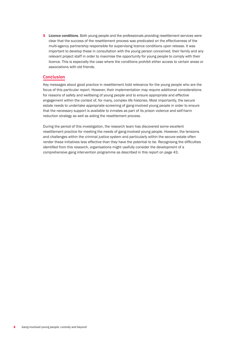**5** Licence conditions. Both young people and the professionals providing resettlement services were clear that the success of the resettlement process was predicated on the effectiveness of the multi-agency partnership responsible for supervising licence conditions upon release. It was important to develop these in consultation with the young person concerned, their family and any relevant project staff in order to maximise the opportunity for young people to comply with their licence. This is especially the case where the conditions prohibit either access to certain areas or associations with old friends.

# **Conclusion**

Key messages about good practice in resettlement hold relevance for the young people who are the focus of this particular report. However, their implementation may require additional considerations for reasons of safety and wellbeing of young people and to ensure appropriate and effective engagement within the context of, for many, complex life histories. Most importantly, the secure estate needs to undertake appropriate screening of gang-involved young people in order to ensure that the necessary support is available to inmates as part of its prison violence and self-harm reduction strategy as well as aiding the resettlement process.

During the period of this investigation, the research team has discovered some excellent resettlement practice for meeting the needs of gang-involved young people. However, the tensions and challenges within the criminal justice system and particularly within the secure estate often render these initiatives less effective than they have the potential to be. Recognising the difficulties identified from this research, organisations might usefully consider the development of a comprehensive gang intervention programme as described in this report on page 43.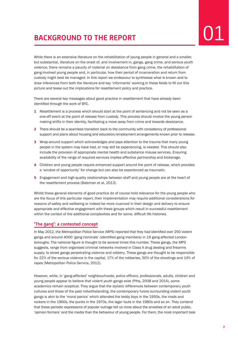# **BACKGROUND TO THE REPORT**

While there is an extensive literature on the rehabilitation of young people in general and a smaller, but substantial, literature on the onset of, and involvement in, gangs, gang crime, and serious youth violence, there remains a paucity of material on desistance from gang crime, the rehabilitation of gang-involved young people and, in particular, how their period of incarceration and return from custody might best be managed. In this report we endeavour to synthesise what is known and to draw inferences from both the literature and key 'informants' working in these fields to fill out this picture and tease out the implications for resettlement policy and practice.

There are several key messages about good practice in resettlement that have already been identified through the work of BYC.

- **1** Resettlement is a process which should start at the point of sentencing and not be seen as a one-off event at the point of release from custody. This process should involve the young person making shifts in their identity, facilitating a move away from crime and towards desistance.
- 2 There should be a seamless transition back to the community with consistency of professional support and plans about housing and education/employment arrangements known prior to release.
- **3** Wrap-around support which acknowledges and pays attention to the trauma that many young people in the system may have had, or may still be experiencing, is needed. This should also include the provision of appropriate mental health and substance misuse services. Ensuring availability of the range of required services implies effective partnership and brokerage.
- 4 Children and young people require enhanced support around the point of release, which provides a 'window of opportunity' for change but can also be experienced as traumatic.
- **5** Engagement and high-quality relationships between staff and young people are at the heart of the resettlement process (Bateman et al, 2013).

Whilst these general elements of good practice do of course hold relevance for the young people who are the focus of this particular report, their implementation may require additional considerations for reasons of safety and wellbeing or indeed be more nuanced in their design and delivery to ensure appropriate and effective engagement with these groups which result in successful resettlement within the context of the additional complexities and for some, difficult life histories.

# **'The gang': a contested concept**

In May 2012, the Metropolitan Police Service (MPS) reported that they had identified over 250 violent gangs and around 4000 'gang nominals' (identified gang members) in 19 gang-affected London boroughs. The national figure is thought to be several times this number. These gangs, the MPS suggests, range from organised criminal networks involved in Class A drug dealing and firearms supply, to street gangs perpetrating violence and robbery. These gangs are thought to be responsible for 22% of the serious violence in the capital, 17% of the robberies, 50% of the shootings and 14% of rapes (Metropolitan Police Service, 2012).

However, while, in 'gang-affected' neighbourhoods, police officers, professionals, adults, children and young people appear to believe that violent youth gangs exist (Pitts, 2008 and 2014), some academics remain sceptical. They argue that the stylistic differences between contemporary youth cultures and those of the past notwithstanding, the contemporary furore surrounding violent youth gangs is akin to the 'moral panics' which attended the teddy boys in the 1950s, the mods and rockers in the 1960s, the punks in the 1970s, the lager louts in the 1980s and so on. They contend that these periodic expressions of popular outrage tell us more about the anxieties of an adult public, 'opinion formers' and the media than the behaviour of young people. For them, the most important task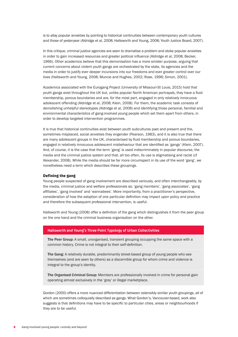is to allay popular anxieties by pointing to historical continuities between contemporary youth cultures and those of yesteryear (Aldridge et al, 2008; Hallsworth and Young, 2008; Youth Justice Board, 2007).

In this critique, criminal justice agencies are seen to dramatise a problem and stoke popular anxieties in order to gain increased resources and greater political influence (Aldridge et al, 2008; Becker, 1966). Other academics believe that this demonisation has a more sinister purpose, arguing that current concerns about violent youth gangs are orchestrated by the state, its agencies and the media in order to justify ever deeper incursions into our freedoms and ever greater control over our lives (Hallsworth and Young, 2008; Muncie and Hughes, 2002; Rose, 1996; Simon, 2001).

Academics associated with the Eurogang Project (University of Missouri-St Louis, 2015) hold that youth gangs exist throughout the UK but, unlike popular North American portrayals, they have a fluid membership, porous boundaries and are, for the most part, engaged in only relatively innocuous adolescent offending (Aldridge et al, 2008; Klein, 2008). For them, the academic task consists of demolishing unhelpful stereotypes (Aldridge et al, 2008) and identifying those personal, familial and environmental characteristics of gang-involved young people which set them apart from others, in order to develop targeted intervention programmes.

It is true that historical continuities exist between youth subcultures past and present and the, sometimes misplaced, social anxieties they engender (Pearson, 1983), and it is also true that there are many adolescent groups in the UK, characterised by fluid membership and porous boundaries, engaged in relatively innocuous adolescent misbehaviour that are identified as 'gangs' (Klein, 2007). And, of course, it is the case that the term 'gang' is used indiscriminately in popular discourse, the media and the criminal justice system and that, all too often, its use is stigmatising and racist (cf Alexander, 2008). While the media should be far more circumspect in its use of the word 'gang', we nonetheless need a term which describes these groupings.

#### Defining the gang

Young people suspected of gang involvement are described variously, and often interchangeably, by the media, criminal justice and welfare professionals as: 'gang members', 'gang associates', 'gang affiliates', 'gang involved' and 'wannabees'. More importantly, from a practitioner's perspective, consideration of how the adoption of one particular definition may impact upon policy and practice and therefore the subsequent professional intervention, is useful.

Hallsworth and Young (2008) offer a definition of the gang which distinguishes it from the peer group on the one hand and the criminal business organisation on the other.

#### **Hallsworth and Young's Three Point Typology of Urban Collectivities**

The Peer Group: A small, unorganised, transient grouping occupying the same space with a common history. Crime is not integral to their self-definition.

The Gang: A relatively durable, predominantly street-based group of young people who see themselves (and are seen by others) as a discernible group for whom crime and violence is integral to the group's identity.

The Organised Criminal Group: Members are professionally involved in crime for personal gain operating almost exclusively in the 'grey' or illegal marketplace.

Gordon (2000) offers a more nuanced differentiation between ostensibly similar youth groupings, all of which are sometimes colloquially described as gangs. What Gordon's, Vancouver-based, work also suggests is that definitions may have to be specific to particular cities, areas or neighbourhoods if they are to be useful.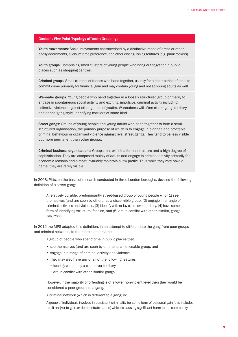#### **Gordon's Five Point Typology of Youth Groupings**

Youth movements: Social movements characterised by a distinctive mode of dress or other bodily adornments, a leisure-time preference, and other distinguishing features (e.g. punk rockers).

Youth groups: Comprising small clusters of young people who hang out together in public places such as shopping centres.

Criminal groups: Small clusters of friends who band together, usually for a short period of time, to commit crime primarily for financial gain and may contain young and not so young adults as well.

Wannabe groups: Young people who band together in a loosely structured group primarily to engage in spontaneous social activity and exciting, impulsive, criminal activity including collective violence against other groups of youths. Wannabees will often claim 'gang' territory and adopt 'gang-style' identifying markers of some kind.

Street gangs: Groups of young people and young adults who band together to form a semistructured organisation, the primary purpose of which is to engage in planned and profitable criminal behaviour or organised violence against rival street gangs. They tend to be less visible but more permanent than other groups.

Criminal business organisations: Groups that exhibit a formal structure and a high degree of sophistication. They are composed mainly of adults and engage in criminal activity primarily for economic reasons and almost invariably maintain a low profile. Thus while they may have a name, they are rarely visible.

In 2008, Pitts, on the basis of research conducted in three London boroughs, devised the following definition of a street gang:

A relatively durable, predominantly street-based group of young people who (1) see themselves (and are seen by others) as a discernible group, (2) engage in a range of criminal activities and violence, (3) identify with or lay claim over territory, (4) have some form of identifying structural feature, and (5) are in conflict with other, similar, gangs. Pitts, 2008

In 2012 the MPS adapted this definition, in an attempt to differentiate the gang from peer groups and criminal networks, to the more cumbersome:

A group of people who spend time in public places that

- see themselves (and are seen by others) as a noticeable group, and
- engage in a range of criminal activity and violence.
- They may also have any or all of the following features
	- identify with or lay a claim over territory,
	- are in conflict with other, similar gangs.

However, if the majority of offending is of a lower non-violent level then they would be considered a peer group not a gang.

A criminal network (which is different to a gang) is:

A group of individuals involved in persistent criminality for some form of personal gain (this includes profit and/or to gain or demonstrate status) which is causing significant harm to the community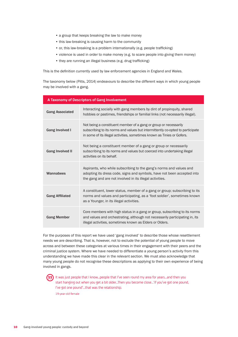- a group that keeps breaking the law to make money
- this law-breaking is causing harm to the community
- or, this law-breaking is a problem internationally (e.g. people trafficking)
- violence is used in order to make money (e.g. to scare people into giving them money)
- they are running an illegal business (e.g. drug trafficking)

This is the definition currently used by law enforcement agencies in England and Wales.

The taxonomy below (Pitts, 2014) endeavours to describe the different ways in which young people may be involved with a gang.

| A Taxonomy of Descriptors of Gang Involvement |                                                                                                                                                                                                                               |  |  |  |  |
|-----------------------------------------------|-------------------------------------------------------------------------------------------------------------------------------------------------------------------------------------------------------------------------------|--|--|--|--|
| <b>Gang Associated</b>                        | Interacting socially with gang members by dint of propinquity, shared<br>hobbies or pastimes, friendships or familial links (not necessarily illegal).                                                                        |  |  |  |  |
| <b>Gang Involved I</b>                        | Not being a constituent member of a gang or group or necessarily<br>subscribing to its norms and values but intermittently co-opted to participate<br>in some of its illegal activities, sometimes known as Tinies or Gofers. |  |  |  |  |
| <b>Gang Involved II</b>                       | Not being a constituent member of a gang or group or necessarily<br>subscribing to its norms and values but coerced into undertaking illegal<br>activities on its behalf.                                                     |  |  |  |  |
| Wannabees                                     | Aspirants, who while subscribing to the gang's norms and values and<br>adopting its dress code, signs and symbols, have not been accepted into<br>the gang and are not involved in its illegal activities.                    |  |  |  |  |
| <b>Gang Affiliated</b>                        | A constituent, lower status, member of a gang or group; subscribing to its<br>norms and values and participating, as a 'foot soldier', sometimes known<br>as a Younger, in its illegal activities.                            |  |  |  |  |
| <b>Gang Member</b>                            | Core members with high status in a gang or group, subscribing to its norms<br>and values and orchestrating, although not necessarily participating in, its<br>illegal activities, sometimes known as Elders or Olders.        |  |  |  |  |

For the purposes of this report we have used 'gang involved' to describe those whose resettlement needs we are describing. That is, however, not to exclude the potential of young people to move across and between these categories at various times in their engagement with their peers and the criminal justice system. Where we have needed to differentiate a young person's activity from this understanding we have made this clear in the relevant section. We must also acknowledge that many young people do not recognise these descriptions as applying to their own experience of being involved in gangs.

It was just people that I know...people that I've seen round my area for years...and then you start hanging out when you get a bit older…Then you become close…'if you've got one pound, I've got one pound'…that was the relationship.

19-year-old female

卬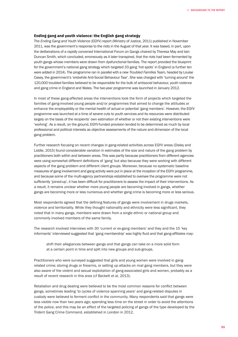#### Ending gang and youth violence: the English gang strategy

The *Ending Gang and Youth Violence* (EGYV) report (Ministry of Justice, 2011) published in November 2011, was the government's response to the riots in the August of that year. It was based, in part, upon the deliberations of a rapidly convened International Forum on Gangs chaired by Theresa May and Iain Duncan Smith, which concluded, erroneously as it later transpired, that the riots had been fermented by youth gangs whose members were drawn from dysfunctional families. The report provided the blueprint for the government's national gang strategy which targeted 33 gang 'hot spots' in England (a further ten were added in 2014). The programme ran in parallel with a new *Troubled Families* Team, headed by Louise Casey, the government's 'erstwhile Anti-Social Behaviour Tsar'. She was charged with 'turning around' the 120,000 troubled families believed to be responsible for the bulk of antisocial behaviour, youth violence and gang crime in England and Wales. The two-year programme was launched in January 2012.

In most of these gang-affected areas the interventions took the form of projects which targeted the families of gang-involved young people and/or programmes that aimed to change the attitudes or enhance the employability or the mental health of actual or potential 'gang members'. However, the EGYV programme was launched at a time of severe cuts to youth services and its resources were distributed largely on the basis of the recipients' own estimation of whether or not their existing interventions were 'working'. As a result, on the ground, EGYV-funded provision tended to be determined as much by local professional and political interests as objective assessments of the nature and dimension of the local gang problem.

Further research focusing on recent changes in gang-related activities across EGYV areas (Disley and Liddle, 2015) found considerable variation in estimates of the size and nature of the gang problem by practitioners both within and between areas. This was partly because practitioners from different agencies were using somewhat different definitions of 'gang' but also because they were working with different aspects of the gang problem and different client groups. Moreover, because no systematic baseline measures of gang involvement and gang activity were put in place at the inception of the EGYV programme, and because some of the multi-agency partnerships established to oversee the programme were not sufficiently 'joined-up', it has been difficult for practitioners to assess the impact of their interventions. As a result, it remains unclear whether more young people are becoming involved in gangs, whether gangs are becoming more or less numerous and whether gang crime is becoming more or less serious.

Most respondents agreed that the defining features of gangs were involvement in drugs markets, violence and territoriality. While they thought nationality and ethnicity were less significant, they noted that in many gangs, members were drawn from a single ethnic or national group and commonly involved members of the same family.

The research involved interviews with 30 'current or ex-gang members' and they and the 15 'key informants' interviewed suggested that 'gang membership' was highly fluid and that gang-affiliates may:

shift their allegiances between gangs and that gangs can take on a more solid form at a certain point in time and split into new groups and sub-groups.

Practitioners who were surveyed suggested that girls and young women were involved in gangrelated crime; storing drugs or firearms, or setting up attacks on rival gang members, but they were also aware of the violent and sexual exploitation of gang-associated girls and women, probably as a result of recent research in this area (cf Beckett et al, 2013).

Retaliation and drug dealing were believed to be the most common reasons for conflict between gangs, sometimes leading 'to cycles of violence spanning years' and gang-related disputes in custody were believed to ferment conflict in the community. Many respondents said that gangs were less visible now than two years ago; spending less time on the street in order to avoid the attentions of the police, and this may be an effect of the targeted policing of gangs of the type developed by the Trident Gang Crime Command, established in London in 2012.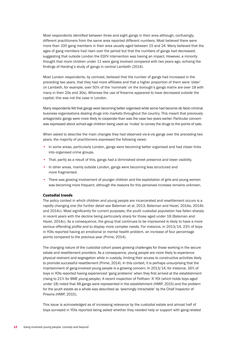Most respondents identified between three and eight gangs in their area although, confusingly, different practitioners from the same area reported different numbers. Most believed there were more than 100 gang members in their area usually aged between 15 and 24. Many believed that the ages of gang members had risen over the period but that the numbers of gangs had decreased, suggesting that outside London the EGYV intervention was having an impact. However, a minority thought that more children under 11 were gang involved compared with two years ago, echoing the findings of Harding's study of gangs in central Lambeth (2014).

Most London respondents, by contrast, believed that the number of gangs had increased in the preceding two years, that they had more affiliates and that a higher proportion of them were 'older' (in Lambeth, for example, over 50% of the 'nominals' on the borough's gangs matrix are over 18 with many in their 20s and 30s). Whereas the use of firearms appeared to have decreased outside the capital, this was not the case in London.

Many respondents felt that gangs were becoming better organised while some had become *de facto* criminal business organisations dealing drugs into markets throughout the country. This meant that previously antagonistic gangs were more likely to cooperate than was the case two years earlier. Particular concern was expressed about school-age children being used as 'mules' to convey the drugs to the points of sale.

When asked to describe the main changes they had observed vis-à-vis gangs over the preceding two years, the majority of practitioners expressed the following views:

- In some areas, particularly London, gangs were becoming better organised and had closer links into organised crime groups.
- That, partly as a result of this, gangs had a diminished street presence and lower visibility.
- In other areas, mainly outside London, gangs were becoming less structured and more fragmented.
- There was growing involvement of younger children and the exploitation of girls and young women was becoming more frequent, although the reasons for this perceived increase remains unknown.

#### Custodial trends

The policy context in which children and young people are incarcerated and resettlement occurs is a rapidly changing one (for further detail see Bateman et al, 2013; Bateman and Hazel, 2014a, 2014b and 2014c). Most significantly for current purposes, the youth custodial population has fallen sharply in recent years with the decline being particularly sharp for those aged under 18 (Bateman and Hazel, 2014c). As a consequence, the group that continues to be imprisoned is likely to have a more serious offending profile and to display more complex needs. For instance, in 2013/14, 23% of boys in YOIs reported having an emotional or mental health problem, an increase of four percentage points compared to the previous year (Prime, 2014).

The changing nature of the custodial cohort poses growing challenges for those working in the secure estate and resettlement providers. As a consequence, young people are more likely to experience physical restraint and segregation while in custody, limiting their access to constructive activities likely to promote successful resettlement (Prime, 2014). In this context, it is perhaps unsurprising that the imprisonment of gang-involved young people is a growing concern. In 2013/14, for instance, 16% of boys in YOIs reported having experienced 'gang problems' when they first arrived at the establishment (rising to 21% for BME young people). A recent inspection of Feltham 'A' YOI (which holds boys aged under 18) noted that 48 gangs were represented in the establishment (HMIP, 2015) and the problem for the youth estate as a whole was described as 'seemingly intractable' by the Chief Inspector of Prisons (HMIP, 2015).

This issue is acknowledged as of increasing relevance by the custodial estate and almost half of boys surveyed in YOIs reported being asked whether they needed help or support with gang-related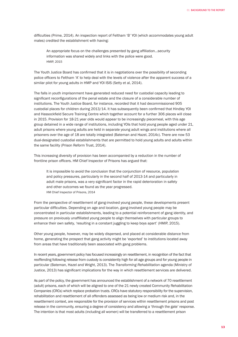difficulties (Prime, 2014). An inspection report of Feltham 'B' YOI (which accommodates young adult males) credited the establishment with having:

An appropriate focus on the challenges presented by gang affiliation…security information was shared widely and links with the police were good. HMIP, 2015

The Youth Justice Board has confirmed that it is in negotiations over the possibility of seconding police officers to Feltham 'A' to help deal with the levels of violence after the apparent success of a similar pilot for young adults in HMP and YOI ISIS (Setty et al, 2014).

The falls in youth imprisonment have generated reduced need for custodial capacity leading to significant reconfigurations of the penal estate and the closure of a considerable number of institutions. The Youth Justice Board, for instance, recorded that it had decommissioned 905 custodial places for children during 2013/14. It has subsequently been confirmed that Hindley YOI and Hassockfield Secure Training Centre which together account for a further 306 places will close in 2015. Provision for 18-21 year olds would appear to be increasingly piecemeal, with this age group detained in a wide range of institutions, including YOIs that hold young people aged under 21, adult prisons where young adults are held in separate young adult wings and institutions where all prisoners over the age of 18 are totally integrated (Bateman and Hazel, 2014c). There are now 53 dual-designated custodial establishments that are permitted to hold young adults and adults within the same facility (Prison Reform Trust, 2014).

This increasing diversity of provision has been accompanied by a reduction in the number of frontline prison officers. HM Chief Inspector of Prisons has argued that:

It is impossible to avoid the conclusion that the conjunction of resource, population and policy pressures, particularly in the second half of 2013-14 and particularly in adult male prisons, was a very significant factor in the rapid deterioration in safety and other outcomes we found as the year progressed. HM Chief Inspector of Prisons, 2014

From the perspective of resettlement of gang-involved young people, these developments present particular difficulties. Depending on age and location, gang-involved young people may be concentrated in particular establishments, leading to a potential reinforcement of gang identity, and pressure on previously unaffiliated young people to align themselves with particular groups to enhance their own safety, *'*resulting in a constant juggling to keep boys apart' (HMIP, 2015).

Other young people, however, may be widely dispersed, and placed at considerable distance from home, generating the prospect that gang activity might be 'exported' to institutions located away from areas that have traditionally been associated with gang problems.

In recent years, government policy has focused increasingly on resettlement, in recognition of the fact that reoffending following release from custody is consistently high for all age groups and for young people in particular (Bateman, Hazel and Wright, 2013). The *Transforming Rehabilitation* agenda (Ministry of Justice, 2013) has significant implications for the way in which resettlement services are delivered.

As part of the policy, the government has announced the establishment of a network of 70 resettlement (adult) prisons, each of which will be aligned to one of the 21 newly created Community Rehabilitation Companies (CRCs) which replace probation trusts. CRCs have statutory responsibility for the supervision, rehabilitation and resettlement of all offenders assessed as being low or medium risk and, in the resettlement context, are responsible for the provision of services within resettlement prisons and post release in the community, ensuring a degree of consistency and allowing a 'through the gate' response. The intention is that most adults (including all women) will be transferred to a resettlement prison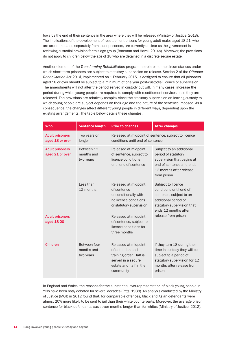towards the end of their sentence in the area where they will be released (Ministry of Justice, 2013). The implications of the development of resettlement prisons for young adult males aged 18-21, who are accommodated separately from older prisoners, are currently unclear as the government is reviewing custodial provision for this age group (Bateman and Hazel, 2014a). Moreover, the provisions do not apply to children below the age of 18 who are detained in a discrete secure estate.

Another element of the *Transforming Rehabilitation* programme relates to the circumstances under which short-term prisoners are subject to statutory supervision on release. Section 2 of the *Offender Rehabilitation Act 2014*, implemented on 1 February 2015, is designed to ensure that all prisoners aged 18 or over should be subject to a minimum of one year post-custodial licence or supervision. The amendments will not alter the period served in custody but will, in many cases, increase the period during which young people are required to comply with resettlement services once they are released. The provisions are relatively complex since the statutory supervision on leaving custody to which young people are subject depends on their age and the nature of the sentence imposed. As a consequence, the changes affect different young people in different ways, depending upon the existing arrangements. The table below details these changes.

| <b>Who</b>                                | <b>Sentence length</b>                  | <b>Prior to changes</b>                                                                                                          | <b>After changes</b>                                                                                                                                                          |
|-------------------------------------------|-----------------------------------------|----------------------------------------------------------------------------------------------------------------------------------|-------------------------------------------------------------------------------------------------------------------------------------------------------------------------------|
| <b>Adult prisoners</b><br>aged 18 or over | Two years or<br>longer                  | Released at midpoint of sentence, subject to licence<br>conditions until end of sentence                                         |                                                                                                                                                                               |
| <b>Adult prisoners</b><br>aged 21 or over | Between 12<br>months and<br>two years   | Released at midpoint<br>of sentence, subject to<br>licence conditions<br>until end of sentence                                   | Subject to an additional<br>period of statutory<br>supervision that begins at<br>end of sentence and ends<br>12 months after release<br>from prison                           |
|                                           | I ess than<br>12 months                 | Released at midpoint<br>of sentence<br>unconditionally with<br>no licence conditions<br>or statutory supervision                 | Subject to licence<br>conditions until end of<br>sentence, subject to an<br>additional period of<br>statutory supervision that<br>ends 12 months after<br>release from prison |
| <b>Adult prisoners</b><br>aged 18-20      |                                         | Released at midpoint<br>of sentence, subject to<br>licence conditions for<br>three months                                        |                                                                                                                                                                               |
| <b>Children</b>                           | Between four<br>months and<br>two years | Released at midpoint<br>of detention and<br>training order. Half is<br>served in a secure<br>estate and half in the<br>community | If they turn 18 during their<br>time in custody they will be<br>subject to a period of<br>statutory supervision for 12<br>months after release from<br>prison                 |

In England and Wales, the reasons for the substantial over-representation of black young people in YOIs have been hotly debated for several decades (Pitts, 1988). An analysis conducted by the Ministry of Justice (MOJ) in 2012 found that, for comparable offences, black and Asian defendants were almost 20% more likely to be sent to jail than their white counterparts. Moreover, the average prison sentence for black defendants was seven months longer than for whites (Ministry of Justice, 2012).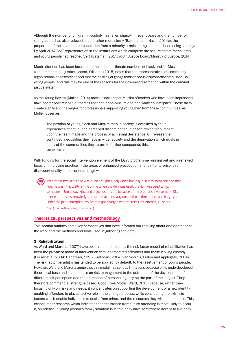Although the number of children in custody has fallen sharply in recent years and the number of young adults has also reduced, albeit rather more slowly (Bateman and Hazel, 2014c), the proportion of the incarcerated population from a minority ethnic background has been rising steadily. By April 2014 BME representation in the institutions which comprise the secure estate for children and young people had reached 39% (Bateman, 2014; Youth Justice Board/Ministry of Justice, 2014).

Much attention has been focused on the disproportionate numbers of black and/or Muslim men within the criminal justice system. Williams (2015) notes that the representatives of community organisations he researched feel that the policing of gangs tends to focus disproportionately upon BME young people, and this may be one of the reasons for their over-representation within the criminal justice system.

As the Young Review (Mullen, 2014) notes, black and/or Muslim offenders who have been imprisoned have poorer post-release outcomes than their non-Muslim and non-white counterparts. These facts create significant challenges for professionals supporting young men from these communities. As Mullen observes:

The position of young black and Muslim men in society is amplified by their experiences of actual and perceived discrimination in prison, which then impact upon their self-image and the process of achieving desistance. On release the continued inequalities they face in wider society and the deprivation which exists in many of the communities they return to further compounds this. Mullen, 2014

With funding for the social intervention element of the EGYV programme running out and a renewed focus on improving practice in the areas of enhanced prosecution and joint enterprise, this disproportionality could continue to grow.

My brother two years ago was a…he brought a bag which had a gun in it to someone and that gun, he wasn't actually at the crime when the gun was used, the gun was used to kill someone in broad daylight, and a guy lost his life because of my brother's involvement, OK. Joint enterprise is knowledge, presence, actions, any one of those three they can charge you under the joint enterprise. My brother got charged with murder. First offence, 18 years.

Young man with a history of offending

# **Theoretical perspectives and methodology**

This section outlines some key perspectives that have informed our thinking about and approach to the work and the methods and tools used in gathering the data.

#### 1 Rehabilitation

As Ward and Maruna (2007) have observed, until recently the risk factor model of rehabilitation has been the prevalent mode of intervention with incarcerated offenders and those leaving custody (Feilzer et al, 2004; Gendreau, 1996; Kratcoski, 2004; Van Voorhis, Cullen and Applegate, 2004). The risk factor paradigm has tended to be applied, by default, to the resettlement of young people. However, Ward and Maruna argue that this model has serious limitations because of its underdeveloped theoretical base and its emphasis on risk management to the detriment of the development of a different self-perception and the promotion of personal agency on the part of the subject. They therefore commend a 'strengths-based' Good Lives Model (Ward, 2015) because, rather than focusing only on risks and needs, it concentrates on supporting the development of a new identity, enabling offenders to play an active role in the change process, while considering the extrinsic factors which enable individuals to desist from crime, and the resources they will need to do so. This echoes other research which indicates that desistance from future offending is most likely to occur if, on release, a young person's family situation is stable, they have somewhere decent to live, they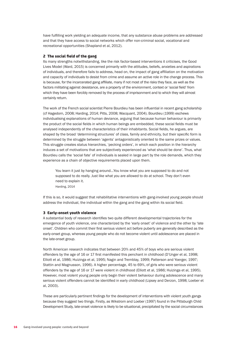have fulfilling work yielding an adequate income, that any substance abuse problems are addressed and that they have access to social networks which offer non-criminal social, vocational and recreational opportunities (Shapland et al, 2012).

#### 2 The social field of the gang

Its many strengths notwithstanding, like the risk factor-based interventions it criticises, the Good Lives Model (Ward, 2015) is concerned primarily with the attitudes, beliefs, anxieties and aspirations of individuals, and therefore fails to address, head on, the impact of gang affiliation on the motivation and capacity of individuals to desist from crime and assume an active role in the change process. This is because, for the incarcerated gang affiliate, many if not most of the risks they face, as well as the factors militating against desistance, are a property of the environment, context or 'social field' from which they have been forcibly removed by the process of imprisonment and to which they will almost certainly return.

The work of the French social scientist Pierre Bourdieu has been influential in recent gang scholarship (cf Hagedorn, 2008; Harding, 2014; Pitts, 2008; Wacquant, 2004). Bourdieu (1999) eschews individualising explanations of human deviance, arguing that because human behaviour is primarily the product of the social fields in which human beings are embedded, these social fields must be analysed independently of the characteristics of their inhabitants. Social fields, he argues, are shaped by the broad 'determining structures' of class, family and ethnicity, but their specific form is determined by the struggle between 'agents' antagonistically oriented to the same prizes or values. This struggle creates status hierarchies, 'pecking orders', in which each position in the hierarchy induces a set of motivations that are subjectively experienced as 'what should be done'. Thus, what Bourdieu calls the 'social fate' of individuals is sealed in large part by the role demands, which they experience as a chain of objective requirements placed upon them.

You learn it just by hanging around...You know what you are supposed to do and not supposed to do really. Just like what you are allowed to do at school. They don't even need to explain it. Harding, 2014

If this is so, it would suggest that rehabilitative interventions with gang-involved young people should address the individual, the individual within the gang and the gang within its social field.

#### 3 Early-onset youth violence

A substantial body of research identifies two quite different developmental trajectories for the emergence of youth violence, one characterized by the 'early onset' of violence and the other by 'late onset'. Children who commit their first serious violent act before puberty are generally described as the early-onset group, whereas young people who do not become violent until adolescence are placed in the late-onset group.

North American research indicates that between 20% and 45% of boys who are serious violent offenders by the age of 16 or 17 first manifested this penchant in childhood (D'Unger et al, 1998; Elliott et al, 1986; Huizinga et al, 1995; Nagin and Tremblay, 1999; Patterson and Yoerger, 1997; Stattin and Magnusson, 1996). A higher percentage, 45 to 69%, of girls who were serious violent offenders by the age of 16 or 17 were violent in childhood (Elliott et al, 1986; Huizinga et al, 1995). However, most violent young people only begin their violent behaviour during adolescence and many serious violent offenders cannot be identified in early childhood (Lipsey and Derzon, 1998; Loeber et al, 2003).

These are particularly pertinent findings for the development of interventions with violent youth gangs because they suggest two things. Firstly, as Wikstrom and Loeber (1997) found in the Pittsburgh Child Development Study, late-onset violence is likely to be situational, precipitated by the social circumstances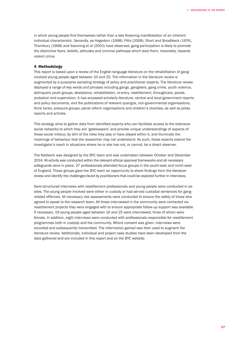in which young people find themselves rather than a late flowering manifestation of an inherent individual characteristic. Secondly, as Hagedorn (1998), Pitts (2008), Short and Strodtbeck (1974), Thornbury (1998) and Xiaoming et al (2002) have observed, gang participation is likely to promote the distinctive fears, beliefs, attitudes and criminal pathways which lead them, inexorably, towards violent crime.

#### 4 Methodology

This report is based upon a review of the English language literature on the rehabilitation of ganginvolved young people aged between 10 and 25. The information in the literature review is augmented by a purposive sampling strategy of policy and practitioner experts. The literature review deployed a range of key words and phrases including gangs, gangsters, gang crime, youth violence, delinquent youth groups, desistance, rehabilitation, re-entry, resettlement, throughcare, parole, probation and supervision. It has accessed scholarly literature, central and local government reports and policy documents, and the publications of relevant quangos, non-governmental organisations, think tanks, pressure groups, penal reform organisations and children's charities, as well as press reports and articles.

This strategy aims to gather data from identified experts who can facilitate access to the extensive social networks to which they are 'gatekeepers' and provide unique understandings of aspects of these social milieux, by dint of the roles they play or have played within it, and illuminate the meanings of behaviour that the researcher may not understand. As such, these experts extend the investigator's reach in situations where he or she has not, or cannot, be a direct observer.

The fieldwork was designed by the BYC team and was undertaken between October and December 2014. All activity was conducted within the relevant ethical approval frameworks and all necessary safeguards were in place. 27 professionals attended focus groups in the south-east and north-west of England. These groups gave the BYC team an opportunity to share findings from the literature review and identify the challenges faced by practitioners that could be explored further in interviews.

Semi-structured interviews with resettlement professionals and young people were conducted in six sites. The young people involved were either in custody or had served custodial sentences for gangrelated offences. All necessary risk assessments were conducted to ensure the safety of those who agreed to speak to the research team. All those interviewed in the community were contacted via resettlement projects they were engaged with to ensure appropriate follow-up support was available if necessary. 19 young people aged between 16 and 25 were interviewed, three of whom were female. In addition, eight interviews were conducted with professionals responsible for resettlement programmes both in custody and the community. Where consent was given, interviews were recorded and subsequently transcribed. The information gained was then used to augment the literature review. Additionally, individual and project case studies have been developed from the data gathered and are included in this report and on the BYC website.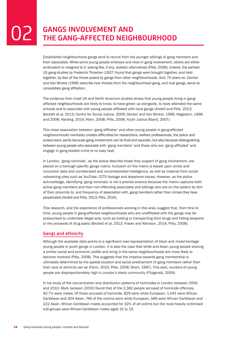Established neighbourhood gangs tend to recruit from the younger siblings of gang members and their associates. While some young people embrace and revel in gang involvement, others are either ambivalent or resigned to it, seeing few, if any, realistic alternatives (Pitts, 2008). Indeed, the earliest US gang studies by Frederick Thrasher (1927) found that gangs were brought together, and held together, by fear of the threat posed by gangs from other neighbourhoods. And, 70 years on, Decker and Van Winkle (1996) describe how threats from the neighbourhood gang, and rival gangs, serve to consolidate gang affiliation.

The evidence from most UK and North American studies shows that young people living in gangaffected neighbourhoods are likely to know, to have grown up alongside, to have attended the same schools and to associate with young people affiliated with local gangs (Andell and Pitts, 2013; Beckett et al, 2013; Centre for Social Justice, 2009; Decker and Van Winkle, 1996; Hagedorn, 1998 and 2008; Harding, 2014; Klein, 2008; Pitts, 2008; Youth Justice Board, 2007).

This close association between 'gang affiliates' and other young people in gang-affected neighbourhoods inevitably creates difficulties for researchers, welfare professionals, the police and prosecutors; partly because gang involvement can be fluid and sporadic, but also because distinguishing between young people who associate with 'gang members' and those who are 'gang affiliated' and engage in gang-related crime is no easy task.

In London, 'gang nominals', as the police describe those they suspect of gang involvement, are placed on a borough-specific gangs matrix. Inclusion on the matrix is based upon arrest and conviction data and corroborated and uncorroborated intelligence, as well as material from social networking sites such as YouTube, CCTV footage and telephone traces. However, as the police acknowledge, identifying 'gang nominals' is not a precise science because the matrix captures both active gang members and their non-offending associates and siblings who are on the system by dint of their proximity to, and frequency of association with, gang members rather than crimes they have perpetrated (Andell and Pitts, 2013; Pitts, 2014).

This research, and the experience of professionals working in this area, suggest that, from time to time, young people in gang-affected neighbourhoods who are unaffiliated with the gangs may be pressurised to undertake illegal acts, such as holding or transporting illicit drugs and hiding weapons or the proceeds of drug sales (Beckett et al, 2013; Fraser and Atkinson, 2014; Pitts, 2008).

# **Gangs and ethnicity**

Although the available data points to a significant over-representation of black and mixed heritage young people in youth gangs in London, it is also the case that white and Asian young people sharing a similar social and economic profile and living in the same neighbourhoods are more likely to become involved (Pitts, 2008). This suggests that the impetus towards gang membership is ultimately determined by the spatial location and social predicament of gang members rather than their race or ethnicity per se (Flynn, 2010; Pitts, 2008; Short, 1997). This said, murders of young people are disproportionately high in London's black community (Fitzgerald, 2009).

In his study of the concentration and distribution patterns of homicides in London between 2000 and 2010, Mark Jackson (2010) found that of the 2,382 people accused of homicide offences, 92.7% were males. Of those accused of homicide, 829 were white European, 1,041 were African Caribbean and 304 Asian. 746 of the victims were white European, 566 were African Caribbean and 222 Asian. African Caribbean males accounted for 32% of all victims but the most heavily victimised sub-groups were African-Caribbean males aged 15 to 19.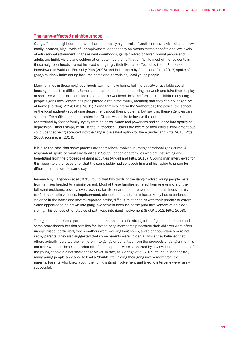# **The gang-affected neighbourhood**

Gang-affected neighbourhoods are characterised by high levels of youth crime and victimisation, low family incomes, high levels of unemployment, dependency on means-tested benefits and low levels of educational attainment. In these neighbourhoods, gang-involved children, young people and adults are highly visible and seldom attempt to hide their affiliation. While most of the residents in these neighbourhoods are not involved with gangs, their lives are affected by them. Respondents interviewed in Waltham Forest by Pitts (2008) and in Lambeth by Andell and Pitts (2013) spoke of gangs routinely intimidating local residents and 'terrorising' local young people.

Many families in these neighbourhoods want to move home, but the paucity of available social housing makes this difficult. Some keep their children indoors during the week and take them to play or socialise with children outside the area at the weekend. In some families the children or young people's gang involvement has precipitated a rift in the family, meaning that they can no longer live at home (Harding, 2014; Pitts, 2008). Some families inform the 'authorities'; the police, the school or the local authority social care department about their problems, but say that these agencies can seldom offer sufficient help or protection. Others would like to involve the authorities but are constrained by fear or family loyalty from doing so. Some feel powerless and collapse into apathy or depression. Others simply mistrust the 'authorities'. Others are aware of their child's involvement but conclude that being accepted into the gang is the safest option for them (Andell and Pitts, 2013; Pitts, 2008; Young et al, 2014).

It is also the case that some parents are themselves involved in intergenerational gang crime. A respondent spoke of 'King Pin' families in South London and families who are instigating and benefitting from the proceeds of gang activities (Andell and Pitts, 2013). A young man interviewed for this report told the researcher that the same judge had sent both him and his father to prison for different crimes on the same day.

Research by Fitzgibbon et al (2013) found that two thirds of the gang-involved young people were from families headed by a single parent. Most of these families suffered from one or more of the following problems: poverty, overcrowding, family separation, bereavement, mental illness, family conflict, domestic violence, imprisonment, alcohol and substance misuse. Many had experienced violence in the home and several reported having difficult relationships with their parents or carers. Some appeared to be drawn into gang involvement because of the prior involvement of an older sibling. This echoes other studies of pathways into gang involvement (BRAP, 2012; Pitts, 2008).

Young people and some parents bemoaned the absence of a strong father figure in the home and some practitioners felt that families facilitated gang membership because their children were often unsupervised, particularly when mothers were working long hours, and clear boundaries were not set by parents. They also suggested that some parents were 'in denial' while they believed that others actually recruited their children into gangs or benefitted from the proceeds of gang crime. It is not clear whether these somewhat clichéd perceptions were supported by any evidence and most of the young people did not share these views. In fact, as Aldridge et al (2009) found in Manchester, many young people appeared to lead a 'double life', hiding their gang involvement from their parents. Parents who knew about their child's gang involvement and tried to intervene were rarely successful.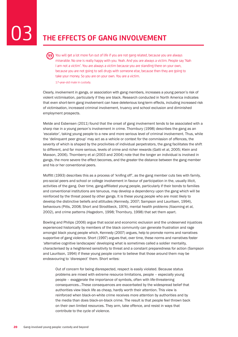# 03 **THE EFFECTS OF GANG INVOLVEMENT**

You will get a lot more fun out of life if you are not gang related, because you are always Œ miserable. No one is really happy with you. Yeah. And you are always a victim. People say 'Nah I am not a victim'. You are always a victim because you are standing there on your own, because you are not going to sell drugs with someone else, because then they are going to take your money. So you are on your own. You are a victim. 17-year-old male in custody.

Clearly, involvement in gangs, or association with gang members, increases a young person's risk of violent victimisation, particularly if they are black. Research conducted in North America indicates that even short-term gang involvement can have deleterious long-term effects, including increased risk of victimisation, increased criminal involvement, truancy and school exclusion and diminished employment prospects.

Melde and Esbensen (2011) found that the onset of gang involvement tends to be associated with a sharp rise in a young person's involvement in crime. Thornbury (1998) describes the gang as an 'escalator', taking young people to a new and more serious level of criminal involvement. Thus, while the 'delinquent peer group' may act as a vehicle or context for the commission of offences, the severity of which is shaped by the proclivities of individual perpetrators, the gang facilitates the shift to different, and far more serious, levels of crime and richer rewards (Gatti et al, 2005; Klein and Maxson, 2006). Thornberry et al (2003 and 2004) note that the longer an individual is involved in gangs, the more severe the effect becomes, and the greater the distance between the gang member and his or her conventional peers.

Moffitt (1993) describes this as a process of 'knifing off', as the gang member cuts ties with family, pro-social peers and school or college involvement in favour of participation in the, usually illicit, activities of the gang. Over time, gang-affiliated young people, particularly if their bonds to families and conventional institutions are tenuous, may develop a dependency upon the gang which will be reinforced by the threat posed by other gangs. It is these young people who are most likely to develop the distinctive beliefs and attitudes (Kennedy, 2007; Sampson and Lauritsen, 1994), behaviours (Pitts, 2008; Short and Strodtbeck, 1974), mental health problems (Xiaoming et al, 2002), and crime patterns (Hagedorn, 1998; Thornbury, 1998) that set them apart.

Bowling and Philips (2006) argue that social and economic exclusion and the undeserved injustices experienced historically by members of the black community can generate frustration and rage amongst black young people which, Kennedy (2007) argues, help to promote norms and narratives supportive of gang violence*.* Short (1997) argues that, over time, these norms and narratives foster 'alternative cognitive landscapes' developing what is sometimes called a soldier mentality, characterised by a heightened sensitivity to threat and a constant preparedness for action (Sampson and Lauritson, 1994) if these young people come to believe that those around them may be endeavouring to 'disrespect' them. Short writes:

Out of concern for being disrespected, respect is easily violated. Because status problems are mixed with extreme resource limitations, people – especially young people – exaggerate the importance of symbols, often with life-threatening consequences…These consequences are exacerbated by the widespread belief that authorities view black life as cheap, hardly worth their attention. This view is reinforced when black-on-white crime receives more attention by authorities and by the media than does black-on-black crime. The result is that people feel thrown back on their own limited resources. They arm, take offence, and resist in ways that contribute to the cycle of violence.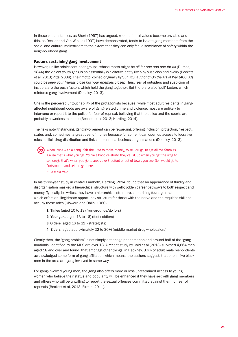In these circumstances, as Short (1997) has argued, wider cultural values become unviable and this, as Decker and Van Winkle (1997) have demonstrated, tends to isolate gang members from the social and cultural mainstream to the extent that they can only feel a semblance of safety within the neighbourhood gang.

#### Factors sustaining gang involvement

However, unlike adolescent peer groups, whose motto might be *all for one and one for all* (Dumas, 1844) the violent youth gang is an essentially exploitative entity riven by suspicion and rivalry (Beckett et al, 2013; Pitts, 2008). Their motto, coined originally by Sun Tzu, author of *On the Art of War (*400 BC) could be *keep your friends close but your enemies closer.* Thus, fear of outsiders and suspicion of insiders are the push factors which hold the gang together. But there are also 'pull' factors which reinforce gang involvement (Densley, 2013).

One is the perceived untouchability of the protagonists because, while most adult residents in gangaffected neighbourhoods are aware of gang-related crime and violence, most are unlikely to intervene or report it to the police for fear of reprisal; believing that the police and the courts are probably powerless to stop it (Beckett et al 2013; Harding, 2014).

The risks notwithstanding, gang involvement can be rewarding, offering inclusion, protection, 'respect', status and, sometimes, a great deal of money because for some, it can open up access to lucrative roles in illicit drug distribution and links into criminal business organisations (Densley, 2013).

(1) When I was with a gang I felt the urge to make money, to sell drugs, to get all the females. 'Cause that's what you get. You're a hood celebrity, they call it. So when you get the urge to sell drugs that's when you go to areas like Bradford or out of town, you see. So I would go to Portsmouth and sell drugs there.

#### 21-year-old male

In his three-year study in central Lambeth, Harding (2014) found that an appearance of fluidity and disorganisation masked a hierarchical structure with well-trodden career pathways to both respect and money. Typically, he writes, they have a hierarchical structure, comprising four age-related tiers, which offers an illegitimate opportunity structure for those with the nerve and the requisite skills to occupy these roles (Cloward and Ohlin, 1960):

- 1 Tinies (aged 10 to 13) (run-arounds/go fors)
- 2 Youngers (aged 13 to 16) (foot soldiers)
- 3 Olders (aged 16 to 21) (strategists)
- 4 Elders (aged approximately 22 to 30+) (middle market drug wholesalers)

Clearly then, the 'gang problem' is not simply a teenage phenomenon and around half of the 'gang nominals' identified by the MPS are over 18. A recent study by Coid et al (2013) surveyed 4,664 men aged 18 and over and found, that amongst other things, in Hackney, 8.6% of adult male respondents acknowledged some form of gang affiliation which means, the authors suggest, that one in five black men in the area are gang involved in some way.

For gang-involved young men, the gang also offers more or less unrestrained access to young women who believe their status and popularity will be enhanced if they have sex with gang members and others who will be unwilling to report the sexual offences committed against them for fear of reprisals (Beckett et al, 2013; Firmin, 2011).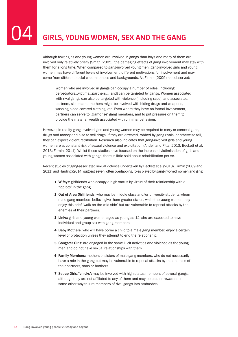Although fewer girls and young women are involved in gangs than boys and many of them are involved only relatively briefly (Smith, 2005), the damaging effects of gang involvement may stay with them for a long time. When compared to gang-involved young men, gang-involved girls and young women may have different levels of involvement, different motivations for involvement and may come from different social circumstances and backgrounds. As Firmin (2009) has observed:

Women who are involved in gangs can occupy a number of roles, including: perpetrators…victims…partners… (and) can be targeted by gangs. Women associated with rival gangs can also be targeted with violence (including rape); and associates: partners, sisters and mothers might be involved with hiding drugs and weapons, washing blood-covered clothing, etc. Even where they have no formal involvement, partners can serve to 'glamorise' gang members, and to put pressure on them to provide the material wealth associated with criminal behaviour.

However, in reality gang-involved girls and young women may be required to carry or conceal guns, drugs and money and also to sell drugs. If they are arrested, robbed by gang rivals, or otherwise fail, they can expect violent retribution. Research also indicates that gang-involved girls and young women are at constant risk of sexual violence and exploitation (Andell and Pitts, 2013; Beckett et al, 2013; Firmin, 2011). Whilst these studies have focused on the increased victimisation of girls and young women associated with gangs; there is little said about rehabilitation per se.

Recent studies of gang-associated sexual violence undertaken by Beckett et al (2013), Firmin (2009 and 2011) and Harding (2014) suggest seven, often overlapping, roles played by gang-involved women and girls:

- 1 Wifeys: girlfriends who occupy a high status by virtue of their relationship with a 'top boy' in the gang.
- 2 Out of Area Girlfriends: who may be middle class and/or university students whom male gang members believe give them greater status, while the young women may enjoy this brief 'walk on the wild side' but are vulnerable to reprisal attacks by the enemies of their partners.
- **3 Links:** girls and young women aged as young as 12 who are expected to have individual and group sex with gang members.
- 4 Baby Mothers: who will have borne a child to a male gang member, enjoy a certain level of protection unless they attempt to end the relationship.
- 5 Gangster Girls: are engaged in the same illicit activities and violence as the young men and do not have sexual relationships with them.
- 6 Family Members: mothers or sisters of male gang members, who do not necessarily have a role in the gang but may be vulnerable to reprisal attacks by the enemies of their partners, sons or brothers.
- 7 Set-up Girls/'chicks': may be involved with high status members of several gangs, although they are not affiliated to any of them and may be paid or rewarded in some other way to lure members of rival gangs into ambushes.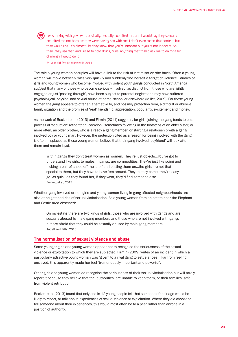$\binom{1}{1}$  I was mixing with guys who, basically, sexually exploited me, and I would say they sexually exploited me not because they were having sex with me. I don't even mean that context, but they would use…it's almost like they know that you're innocent but you're not innocent. So they…they use that, and I used to hold drugs, guns, anything that they'd ask me to do for a bit of money I would do it.

24-year-old female released in 2014

The role a young woman occupies will have a link to the risk of victimisation she faces. Often a young woman will move between roles very quickly and suddenly find herself a target of violence. Studies of girls and young women who become involved with violent youth gangs conducted in North America suggest that many of those who become seriously involved, as distinct from those who are lightly engaged or just 'passing through', have been subject to parental neglect and may have suffered psychological, physical and sexual abuse at home, school or elsewhere (Miller, 2009). For these young women the gang appears to offer an alternative to, and possibly protection from, a difficult or abusive family situation and the promise of 'real' friendship, appreciation, popularity, excitement and money.

As the work of Beckett et al (2013) and Firmin (2011) suggests, for girls, joining the gang tends to be a process of 'seduction' rather than 'coercion', sometimes following in the footsteps of an older sister, or more often, an older brother, who is already a gang member; or starting a relationship with a ganginvolved boy or young man. However, the protection cited as a reason for being involved with the gang is often misplaced as these young women believe that their gang-involved 'boyfriend' will look after them and remain loyal.

Within gangs they don't treat women as women. They're just objects...You've got to understand like girls, to males in gangs, are commodities. They're just like going and picking a pair of shoes off the shelf and putting them on...the girls are not that special to them, but they have to have 'em around. They're easy come, they're easy go. As quick as they found her, if they went, they'd find someone else. Beckett et al, 2013

Whether gang involved or not, girls and young women living in gang-affected neighbourhoods are also at heightened risk of sexual victimisation. As a young woman from an estate near the Elephant and Castle area observed:

On my estate there are two kinds of girls, those who are involved with gangs and are sexually abused by male gang members and those who are not involved with gangs but are afraid that they could be sexually abused by male gang members. Andell and Pitts, 2013

# **The normalisation of sexual violence and abuse**

Some younger girls and young women appear not to recognise the seriousness of the sexual violence or exploitation to which they are subjected. Firmin (2009) writes of an incident in which a particularly attractive young woman was 'given' to a rival gang to settle a 'beef'. Far from feeling enslaved, this apparently made her feel 'tremendously important and powerful'.

Other girls and young women do recognise the seriousness of their sexual victimisation but will rarely report it because they believe that the 'authorities' are unable to keep them, or their families, safe from violent retribution.

Beckett et al (2013) found that only one in 12 young people felt that someone of their age would be likely to report, or talk about, experiences of sexual violence or exploitation. Where they did choose to tell someone about their experiences, this would most often be to a peer rather than anyone in a position of authority.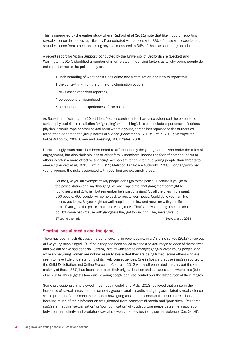This is supported by the earlier study where Radford et al (2011) note that likelihood of reporting sexual violence decreases significantly if perpetrated with a peer, with 83% of those who experienced sexual violence from a peer not telling anyone, compared to 34% of those assaulted by an adult.

A recent report for Victim Support, conducted by the University of Bedfordshire (Beckett and Warrington, 2014), identified a number of inter-related influencing factors as to why young people do not report crime to the police, they are:

- 1 understanding of what constitutes crime and victimisation and how to report this
- 2 the context in which the crime or victimisation occurs
- **3** risks associated with reporting
- 4 perceptions of victimhood
- **5** perceptions and experiences of the police

As Beckett and Warrington (2014) identified, research studies have also evidenced the potential for serious physical risk in retaliation for 'grassing' or 'snitching'. This can include experiences of serious physical assault, rape or other sexual harm where a young person has reported to the authorities rather than adhere to the group norms of silence (Beckett et al, 2013; Firmin, 2011; Metropolitan Police Authority, 2008; Owen and Sweeting, 2007; Yates, 2006).

Unsurprisingly, such harm has been noted to affect not only the young person who broke the rules of engagement, but also their siblings or other family members. Indeed the fear of potential harm to others is often a more effective silencing mechanism for children and young people than threats to oneself (Beckett et al, 2013; Firmin, 2011; Metropolitan Police Authority, 2008). For gang-involved young women, the risks associated with reporting are extremely great:

Let me give you an example of why people don't [go to the police]. Because if you go to the police station and say 'this gang member raped me' that gang member might be found guilty and go to jail, but remember he's part of a gang. So all the ones in the gang, 500 people, 400 people, will come back to you, to your house. Could go to your family's house, you know. So you might as well keep it on the low and move on with your life innit...If you go to the police, that's the wrong move. That's the worst thing a person could do...It'll come back 'cause with gangsters they got to win innit. They never give up.

17-year-old female Beckett et al, 2013

### **Sexting, social media and the gang**

There has been much discussion around 'sexting' in recent years; in a Childline survey (2013) three out of five young people aged 13-18 said they had been asked to send a sexual image or video of themselves and two out of five had done so. 'Sexting' is fairly widespread amongst gang-involved young people, and while some young women are not necessarily aware that they are being filmed, some others who are, seem to have little understanding of its likely consequences. One in five child abuse images reported to the Child Exploitation and Online Protection Centre in 2012 were self-generated images, but the vast majority of these (88%) had been taken from their original location and uploaded somewhere else (Jutte et al, 2014). This suggests how quickly young people can lose control over the distribution of their images.

Some professionals interviewed in Lambeth (Andell and Pitts, 2013) believed that a rise in the incidence of sexual harassment in schools, group sexual assaults and gang-associated sexual violence was a product of a misconception about how 'gangstas' should conduct their sexual relationships, because much of their information was gleaned from commercial media and 'porn sites'. Research suggests that this 'sexualisation' or 'pornogrification' of youth culture perpetuates the association between masculinity and predatory sexual prowess, thereby justifying sexual violence (Coy, 2009).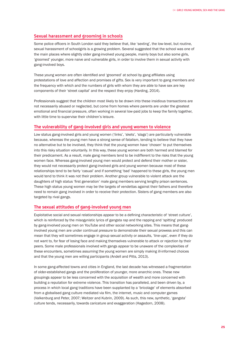# **Sexual harassment and grooming in schools**

Some police officers in South London said they believe that, like 'sexting', the low-level, but routine, sexual harassment of schoolgirls is a growing problem. Several suggested that the school was one of the main places where slightly older gang-involved young people, mainly boys but also some girls, 'groomed' younger, more naive and vulnerable girls, in order to involve them in sexual activity with gang-involved boys.

These young women are often identified and 'groomed' at school by gang affiliates using protestations of love and affection and promises of gifts. Sex is very important to gang members and the frequency with which and the numbers of girls with whom they are able to have sex are key components of their 'street capital' and the respect they enjoy (Harding, 2014).

Professionals suggest that the children most likely to be drawn into these insidious transactions are not necessarily abused or neglected, but come from homes where parents are under the greatest emotional and financial pressure, often working in several low-paid jobs to keep the family together, with little time to supervise their children's leisure.

### **The vulnerability of gang-involved girls and young women to violence**

Low status gang-involved girls and young women ('links', 'skets', 'slags') are particularly vulnerable because, whereas the young men have a strong sense of fatalism, tending to believe that they have no alternative but to be involved, they think that the young women have 'chosen' to put themselves into this risky situation voluntarily. In this way, these young women are both harmed and blamed for their predicament. As a result, male gang members tend to be indifferent to the risks that the young women face. Whereas gang-involved young men would protect and defend their mother or sister, they would not necessarily protect gang-involved girls and young women because most of these relationships tend to be fairly 'casual' and if something 'bad' happened to these girls, the young men would tend to think it was not their problem. Another group vulnerable to violent attack are the daughters of high status 'first generation' male gang members serving lengthy prison sentences. These high status young women may be the targets of vendettas against their fathers and therefore need to remain gang involved in order to receive their protection. Sisters of gang members are also targeted by rival gangs.

#### **The sexual attitudes of gang-involved young men**

Exploitative social and sexual relationships appear to be a defining characteristic of 'street culture', which is reinforced by the misogynistic lyrics of gangsta rap and the rapping and 'spitting' produced by gang-involved young men on YouTube and other social networking sites. This means that ganginvolved young men are under continual pressure to demonstrate their sexual prowess and this can mean that they will sometimes engage in group sexual activity or assaults, 'line-ups', even if they do not want to, for fear of losing face and making themselves vulnerable to attack or rejection by their peers. Some male professionals involved with gangs appear to be unaware of the complexities of these encounters, sometimes assuming the young women are simply making ill-informed choices and that the young men are willing participants (Andell and Pitts, 2013).

In some gang-affected towns and cities in England, the last decade has witnessed a fragmentation of older-established gangs and the proliferation of younger, more anarchic ones. These new groupings appear to be less concerned with the acquisition of wealth and more concerned with building a reputation for extreme violence. This transition has paralleled, and been driven by, a process in which local gang traditions have been supplanted by a 'bricolage' of elements absorbed from a globalised gang culture mediated via film, the internet, music and computer games (Valkenburg and Peter, 2007; Weitzer and Kubrin, 2009). As such, this new, synthetic, 'gangsta' culture tends, necessarily, towards caricature and exaggeration (Hagedorn, 2008).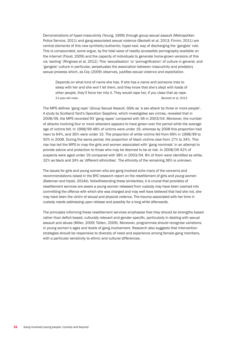Demonstrations of hyper-masculinity (Young, 1999) through group sexual assault (Metropolitan Police Service, 2011) and gang-associated sexual violence (Beckett et al, 2013; Firmin, 2011) are central elements of this new synthetic/authentic, hyper-real, way of discharging the 'gangsta' role. This is compounded, some argue, by the tidal wave of readily accessible pornography available on the internet (Flood, 2009) and the capacity of individuals to generate home-grown versions of this via 'sexting' (Ringrose et al, 2012). This 'sexualisation' or 'pornogrification' of culture in general, and 'gangsta' culture in particular, perpetuates the association between masculinity and predatory sexual prowess which, as Coy (2009) observes, justifies sexual violence and exploitation.

Depends on what kind of name she has. If she has a name and someone tries to sleep with her and she won't let them, and they know that she's slept with loads of other people, they'll force her into it. They would rape her, if you class that as rape. 21-year-old male and the state of the Beckett et al. 2013

The MPS defines 'gang rape' (Group Sexual Assault, GSA) as 'a sex attack by three or more people'. A study by Scotland Yard's Operation Sapphire, which investigates sex crimes, revealed that in 2008/09, the MPS recorded 93 'gang rapes' compared with 36 in 2003/04. Moreover, the number of attacks involving four or more attackers appears to have grown over the period while the average age of victims fell. In 1998/99 48% of victims were under 19, whereas by 2008 this proportion had risen to 64%, and 36% were under 15. The proportion of white victims fell from 69% in 1998/99 to 50% in 2008. During the same period, the proportion of black victims rose from 17% to 34%. This rise has led the MPS to map the girls and women associated with 'gang nominals' in an attempt to provide advice and protection to those who may be deemed to be at risk. In 2008/09 42% of suspects were aged under 19 compared with 38% in 2003/04. 8% of them were identified as white, 32% as black and 24% as 'different ethnicities'. The ethnicity of the remaining 36% is unknown.

The issues for girls and young women who are gang involved echo many of the concerns and recommendations raised in the BYC research report on the resettlement of girls and young women (Bateman and Hazel, 2014d). Notwithstanding these similarities, it is crucial that providers of resettlement services are aware a young woman released from custody may have been coerced into committing the offence with which she was charged and may well have believed that had she not, she may have been the victim of sexual and physical violence. The trauma associated with her time in custody needs addressing upon release and possibly for a long while afterwards.

The principles informing these resettlement services emphasise that they should be strengths based rather than deficit based, culturally relevant and gender specific, particularly in dealing with sexual assault and abuse (Miller, 2009; Totten, 2009). Moreover, programmes should recognise variations in young women's ages and levels of gang involvement. Research also suggests that intervention strategies should be responsive to diversity of need and experience among female gang members, with a particular sensitivity to ethnic and cultural differences.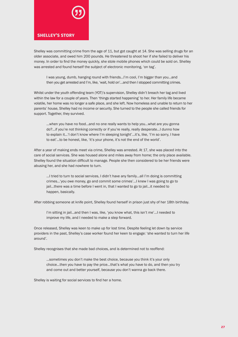

Shelley was committing crime from the age of 11, but got caught at 14. She was selling drugs for an older associate, and owed him 200 pounds. He threatened to shoot her if she failed to deliver his money. In order to find the money quickly, she stole mobile phones which could be sold on. Shelley was arrested and found herself the subject of electronic monitoring, 'on tag'.

I was young, dumb, hanging round with friends…I'm cool, I'm bigger than you…and then you get arrested and I'm, like, 'wait, hold on'…and then I stopped committing crimes.

Whilst under the youth offending team (YOT)'s supervision, Shelley didn't breach her tag and lived within the law for a couple of years. Then 'things started happening' to her. Her family life became volatile, her home was no longer a safe place, and she left. Now homeless and unable to return to her parents' house, Shelley had no income or security. She turned to the people she called friends for support. Together, they survived.

…when you have no food…and no one really wants to help you…what are you gonna do?…if you're not thinking correctly or if you're really, really desperate…I dunno how to explain it…'I don't know where I'm sleeping tonight'…it's, like, 'I'm so sorry, I have to eat'…to be honest, like, 'it's your phone, it's not the end of the world'.

After a year of making ends meet via crime, Shelley was arrested. At 17, she was placed into the care of social services. She was housed alone and miles away from home; the only place available. Shelley found the situation difficult to manage. People she then considered to be her friends were abusing her, and she had nowhere to turn.

…I tried to turn to social services, I didn't have any family…all I'm doing is committing crimes…'you owe money, go and commit some crimes'…I knew I was going to go to jail…there was a time before I went in, that I wanted to go to jail…it needed to happen, basically.

After robbing someone at knife point, Shelley found herself in prison just shy of her 18th birthday.

I'm sitting in jail…and then I was, like, 'you know what, this isn't me'…I needed to improve my life, and I needed to make a step forward.

Once released, Shelley was keen to make up for lost time. Despite feeling let down by service providers in the past, Shelley's case worker found her keen to engage: 'she wanted to turn her life around'.

Shelley recognises that she made bad choices, and is determined not to reoffend:

…sometimes you don't make the best choice, because you think it's your only choice…then you have to pay the price…that's what you have to do, and then you try and come out and better yourself, because you don't wanna go back there.

Shelley is waiting for social services to find her a home.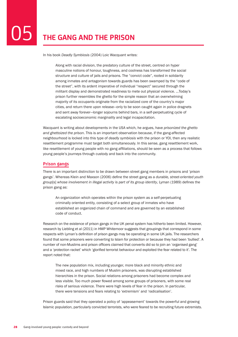In his book *Deadly Symbiosis* (2004) Loic Wacquant writes:

Along with racial division, the predatory culture of the street, centred on hyper masculine notions of honour, toughness, and coolness has transformed the social structure and culture of jails and prisons. The "convict code", rooted in solidarity among inmates and antagonism towards guards has been swamped by the "code of the street", with its ardent imperative of individual "respect" secured through the militant display and demonstrated readiness to mete out physical violence. ...Today's prison further resembles the ghetto for the simple reason that an overwhelming majority of its occupants originate from the racialized core of the country's major cities, and return there upon release—only to be soon caught again in police dragnets and sent away forever—longer sojourns behind bars, in a self-perpetuating cycle of escalating socioeconomic marginality and legal incapacitation.

Wacquant is writing about developments in the USA which, he argues, have *prisonized the ghetto and ghettoized the prison*. This is an important observation because, if the gang-affected neighbourhood is locked into this type of *deadly symbiosis* with the prison or YOI, then any realistic resettlement programme must target both simultaneously. In this sense, gang resettlement work, like resettlement of young people with no gang affiliations, should be seen as a process that follows young people's journeys through custody and back into the community.

# **Prison gangs**

There is an important distinction to be drawn between street gang members in prisons and 'prison gangs'. Whereas Klein and Maxson (2006) define the street gang as a *durable, street-oriented youth group*[s] *whose involvement in illegal activity is part of its group identity*, Lyman (1989) defines the prison gang as:

An organization which operates within the prison system as a self-perpetuating criminally oriented entity, consisting of a select group of inmates who have established an organized chain of command and are governed by an established code of conduct.

Research on the existence of prison gangs in the UK penal system has hitherto been limited. However, research by Liebling et al (2011) in HMP Whitemoor suggests that groupings that correspond in some respects with Lyman's definition of prison gangs may be operating in some UK jails. The researchers found that some prisoners were converting to Islam for protection or because they had been 'bullied'. A number of non-Muslims and prison officers claimed that converts did so to join an 'organised gang' and a 'protection racket' which 'glorified terrorist behaviour and exploited the fear related to it'. The report noted that:

The new population mix, including younger, more black and minority ethnic and mixed race, and high numbers of Muslim prisoners, was disrupting established hierarchies in the prison. Social relations among prisoners had become complex and less visible. Too much power flowed among some groups of prisoners, with some real risks of serious violence. There were high levels of fear in the prison. In particular, there were tensions and fears relating to 'extremism' and 'radicalisation'.

Prison guards said that they operated a policy of 'appeasement' towards the powerful and growing Islamic population, particularly convicted terrorists, who were feared to be recruiting future extremists.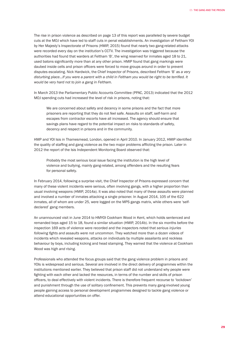The rise in prison violence as described on page 13 of this report was paralleled by severe budget cuts at the MOJ which have led to staff cuts in penal establishments. An investigation of Feltham YOI by Her Majesty's Inspectorate of Prisons (HMIP, 2015) found that nearly two gang-related attacks were recorded every day on the institution's CCTV. The investigation was triggered because the authorities had found that warders at Feltham 'B', the wing reserved for inmates aged 18 to 21, used batons significantly more than at any other prison. HMIP found that gang markings were daubed inside cells and prison officers were forced to move groups around in order to prevent disputes escalating. Nick Hardwick, the Chief Inspector of Prisons, described Feltham 'B' as *a very disturbing place*...*If you were a parent with a child in Feltham you would be right to be terrified. It would be very hard not to join a gang in Feltham.*

In March 2013 the Parliamentary Public Accounts Committee (PPAC, 2013) indicated that the 2012 MOJ spending cuts had increased the level of risk in prisons, noting that:

We are concerned about safety and decency in some prisons and the fact that more prisoners are reporting that they do not feel safe. Assaults on staff, self-harm and escapes from contractor escorts have all increased. The agency should ensure that savings plans have regard to the potential impact on risks to standards of safety, decency and respect in prisons and in the community.

HMP and YOI Isis in Thamesmead, London, opened in April 2010. In January 2012, HMIP identified the quality of staffing and gang violence as the two major problems afflicting the prison. Later in 2012 the report of the Isis Independent Monitoring Board observed that:

Probably the most serious local issue facing the institution is the high level of violence and bullying, mainly gang-related, among offenders and the resulting fears for personal safety.

In February 2014, following a surprise visit, the Chief Inspector of Prisons expressed concern that many of these violent incidents were serious, often involving gangs, with a higher proportion than usual involving weapons (HMIP, 2014a). It was also noted that many of these assaults were planned and involved a number of inmates attacking a single prisoner. In August 2014, 105 of the 622 inmates, all of whom are under 25, were logged on the MPS gangs matrix, while others were 'selfdeclared' gang members.

An unannounced visit in June 2014 to HMYOI Cookham Wood in Kent, which holds sentenced and remanded boys aged 15 to 18, found a similar situation (HMIP, 2014b). In the six months before the inspection 169 acts of violence were recorded and the inspectors noted that *serious injuries following fights and assaults were not uncommon*. They watched more than a dozen videos of incidents which revealed weapons, attacks on individuals by multiple assailants and reckless behaviour by boys, including kicking and head stamping. They warned that the violence at Cookham Wood was *high and rising.* 

Professionals who attended the focus groups said that the gang violence problem in prisons and YOIs is widespread and serious. Several are involved in the direct delivery of programmes within the institutions mentioned earlier. They believed that prison staff did not understand why people were fighting with each other and lacked the resources, in terms of the number and skills of prison officers, to deal effectively with violent incidents. There is therefore frequent recourse to 'lockdown' and punishment through the use of solitary confinement. This prevents many gang-involved young people gaining access to personal development programmes designed to tackle gang violence or attend educational opportunities on offer.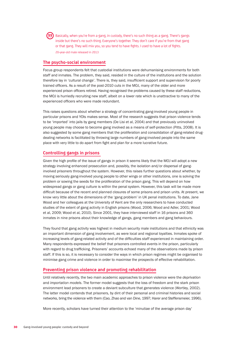

**(33)** Basically, when you're from a gang, in custody, there's no such thing as a gang. There's gangs inside but there's no such thing. Everyone's together. They don't care if you're from that gang or that gang. They will mix you, so you tend to have fights. I used to have a lot of fights. 20-year-old male released in 2013

# **The psycho-social environment**

Focus group respondents felt that custodial institutions were dehumanising environments for both staff and inmates. The problem, they said, resided in the culture of the institutions and the solution therefore lay in 'cultural change'. There is, they said, insufficient support and supervision for poorly trained officers. As a result of the post-2010 cuts in the MOJ, many of the older and more experienced prison officers retired. Having recognised the problems caused by these staff reductions, the MOJ is hurriedly recruiting new staff, albeit on a lower rate which is unattractive to many of the experienced officers who were made redundant.

This raises questions about whether a strategy of concentrating gang-involved young people in particular prisons and YOIs makes sense. Most of the research suggests that prison violence tends to be 'imported' into jails by gang members (De Lisi et al, 2004) and that previously uninvolved young people may choose to become gang involved as a means of self-protection (Pitts, 2008). It is also suggested by some gang members that the proliferation and consolidation of gang-related drugdealing networks is facilitated by throwing large numbers of gang-involved people into the same place with very little to do apart from fight and plan for a more lucrative future.

### **Controlling gangs in prisons**

Given the high profile of the issue of gangs in prison it seems likely that the MOJ will adopt a new strategy involving enhanced prosecution and, possibly, the isolation and/or dispersal of ganginvolved prisoners throughout the system. However, this raises further questions about whether, by moving seriously gang-involved young people to other wings or other institutions, one is solving the problem or sowing the seeds for the proliferation of the prison gang. This will depend on how widespread gangs or gang culture is within the penal system. However, this task will be made more difficult because of the recent and planned closures of some prisons and prison units. At present, we know very little about the dimensions of the 'gang problem' in UK penal institutions. To date, Jane Wood and her colleagues at the University of Kent are the only researchers to have conducted studies of the extent of gang activity in English prisons (Wood, 2006; Wood and Adler, 2001; Wood et al, 2009; Wood et al, 2010). Since 2001, they have interviewed staff in 16 prisons and 360 inmates in nine prisons about their knowledge of gangs, gang members and gang behaviours.

They found that gang activity was highest in medium security male institutions and that ethnicity was an important dimension of gang involvement, as were local and regional loyalties. Inmates spoke of increasing levels of gang-related activity and of the difficulties staff experienced in maintaining order. Many respondents expressed the belief that prisoners controlled events in the prison, particularly with regard to drug trafficking. Prisoners' accounts echoed many of the observations made by prison staff. If this is so, it is necessary to consider the ways in which prison regimes might be organised to minimise gang crime and violence in order to maximise the prospects of effective rehabilitation.

# **Preventing prison violence and promoting rehabilitation**

Until relatively recently, the two main academic approaches to prison violence were the *deprivation* and *importation models*. The former model suggests that the loss of freedom and the stark prison environment lead prisoners to create a deviant subculture that generates violence (Wortley, 2002). The latter model contends that prisoners, by dint of their personal and criminal histories and social networks, bring the violence with them (Cao, Zhao and van Dine, 1997; Harer and Steffensmeier, 1996).

More recently, scholars have turned their attention to the 'minutiae of the average prison day'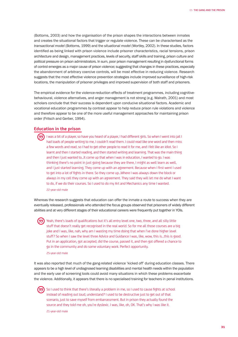(Bottoms, 2003) and how the organisation of the prison shapes the interactions between inmates and creates the situational factors that trigger or regulate violence. These can be characterised as the *transactional model* (Bottoms, 1999) and the *situational model* (Wortley, 2002). In these studies, factors identified as being linked with prison violence include prisoner characteristics, racial tensions, prison architecture and design, management practices, levels of security, staff skills and training, prison culture and political pressure on prison administrators. In sum, poor prison management resulting in dysfunctional forms of control emerges as a major cause of prison violence; suggesting that changes in these practices, especially the abandonment of arbitrary coercive controls, will be most effective in reducing violence. Research suggests that the most effective violence prevention strategies include improved surveillance of high-risk locations, the manipulation of prisoner privileges and improved supervision of both staff and prisoners.

The empirical evidence for the violence-reduction effects of treatment programmes, including cognitivebehavioural, violence alternatives, and anger management is not strong (e.g. Walrath, 2001) and most scholars conclude that their success is dependent upon conducive situational factors. Academic and vocational education programmes by contrast appear to help reduce prison rule violations and violence and therefore appear to be one of the more useful management approaches for maintaining prison order (Fritsch and Gerber, 1994).

# **Education in the prison**

I was a bit of a player, so have you heard of a player, I had different girls. So when I went into jail I had loads of people writing to me, I couldn't read them. I could read like one word and then miss a few words and read, so I had to get other people to read it for me, and I felt like an idiot. So I learnt and then I started reading, and then started writing and learning. That was the main thing and then I just wanted to...It come up that when I was in education, I wanted to go. I was thinking there's no point in just going because they are there, I might as well learn as well, and I just started learning. They come up with an agreement. Because when I first went I used to get into a lot of fights in there. So they come up...Where I was always down the block or always in my cell they come up with an agreement. They said they will let me do what I want to do, if we do their courses. So I used to do my Art and Mechanics any time I wanted. 22-year-old male

Whereas the research suggests that education can offer the inmate a route to success when they are eventually released, professionals who attended the focus groups observed that prisoners of widely different abilities and at very different stages of their educational careers were frequently put together in YOIs.

Yeah, there's loads of qualifications but it's all entry level one, two, three, and all silly little stuff that doesn't really get recognised in the real world. So for me all those courses are a big joke and I was, like, nah, why am I wasting my time doing that when I've done higher level stuff? So when I saw the level three Advice and Guidance I was, like, wow, this is…this is good. Put in an application, got accepted, did the course, passed it, and then got offered a chance to go in the community and do some voluntary work. Perfect opportunity. 25-year-old male

It was also reported that much of the gang-related violence 'kicked off' during education classes. There appears to be a high level of undiagnosed learning disabilities and mental health needs within the population and the early use of screening tools could avoid many situations in which these problems exacerbate the violence. Additionally, it appears that there is no specialised training for teachers in penal institutions.

So I used to think that there's literally a problem in me, so I used to cause fights at school instead of reading out loud, understand? I used to be destructive just to get out of that scenario, just to save myself from embarrassment. But in prison they actually found the source and they told me oh, you're dyslexic. I was, like, oh, OK. That's why I was like it. 21-year-old male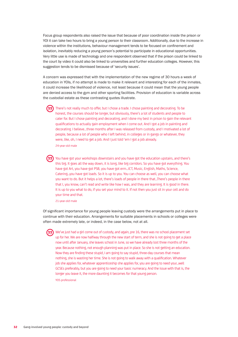Focus group respondents also raised the issue that because of poor coordination inside the prison or YOI it can take two hours to bring a young person to their classroom. Additionally, due to the increase in violence within the institutions, behaviour management tends to be focused on confinement and isolation, inevitably reducing a young person's potential to participate in educational opportunities. Very little use is made of technology and one respondent observed that if the prison could be linked to the court by video it could also be linked to universities and further education colleges. However, this suggestion tends to be dismissed because of 'security issues'.

A concern was expressed that with the implementation of the new regime of 30 hours a week of education in YOIs, if no attempt is made to make it relevant and interesting for each of the inmates, it could increase the likelihood of violence, not least because it could mean that the young people are denied access to the gym and other sporting facilities. Provision of education is variable across the custodial estate as these contrasting quotes illustrate.

There's not really much to offer, but I chose a trade. I chose painting and decorating. To be honest, the courses should be longer, but obviously, there's a lot of students and people to cater for. But I chose painting and decorating, and I done my best in prison to gain the relevant qualifications to actually gain employment when I come out. And I got a job in painting and decorating. I believe…three months after I was released from custody, and I motivated a lot of people, because a lot of people who I left behind, in colleges or in gangs or whatever, they were, like, oh, I need to get a job. And I just told 'em I got a job already. 24-year-old male

You have got your workshops downstairs and you have got the education upstairs, and there's this big. It goes all the way down, it is long, like big corridors. So you have got everything. You have got Art, you have got PSB, you have got erm...ICT, Music, English, Maths, Science, Catering...you have got loads. So it is up to you. You can choose as well, you can choose what you want to do. But it helps a lot, there's loads of people in there that...There's people in there that I, you know, can't read and write like how I was, and they are learning. It is good in there. It is up to you what to do, if you set your mind to it. If not then you just sit in your cell and do your time and that.

21-year-old male

Of significant importance for young people leaving custody were the arrangements put in place to continue with their education. Arrangements for suitable placements in schools or colleges were often made extremely late, or indeed, in the case below, not at all.

We've just had a girl come out of custody, and again, pre 16, there was no school placement set up for her. We are now halfway through the new start of term, and she is not going to get a place now until after January, she leaves school in June, so we have already lost three months of the year. Because nothing, not enough planning was put in place. So she is not getting an education. Now they are finding these stupid, I am going to say stupid, three-day courses that mean nothing, she is wasting her time. She is not going to walk away with a qualification. Whatever job she applies for, whatever apprenticeship she applies for, you are going to need your...well GCSEs preferably, but you are going to need your basic numeracy. And the issue with that is, the longer you leave it, the more daunting it becomes for that young person.

YOS professional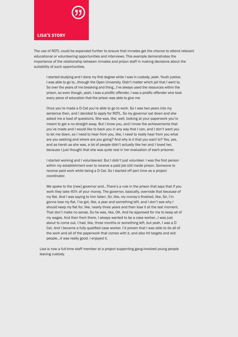

The use of ROTL could be expanded further to ensure that inmates get the chance to attend relevant educational or volunteering opportunities and interviews. This example demonstrates the importance of the relationship between inmates and prison staff in making decisions about the suitability of such opportunities.

I started studying and I done my first degree while I was in custody, yeah. Youth justice. I was able to go to…through the Open University. Didn't matter which jail that I went to. So over the years of me breaking and thing…I've always used the resources within the prison, so even though, yeah, I was a prolific offender, I was a prolific offender who took every piece of education that the prison was able to give me.

Once you're made a D Cat you're able to go to work. So I was two years into my sentence then, and I decided to apply for ROTL. So my governor sat down and she asked me a load of questions. She was, like, well, looking at your paperwork you're meant to get a no straight away. But I know you, and I know the achievements that you've made and I would like to back you in any way that I can, and I don't want you to let me down, so I need to hear from you, like, I need to really hear from you what are you seeking and where are you going? And why is it that you want to? Yes, yes, and as harsh as she was, a lot of people didn't actually like her and I loved her, because I just thought that she was quite real in her evaluation of each prisoner.

I started working and I volunteered. But I didn't just volunteer. I was the first person within my establishment ever to receive a paid job still inside prison. Someone to receive paid work while being a D Cat. So I started off part time as a project coordinator.

We spoke to the [new] governor and…There's a rule in the prison that says that if you work they take 40% of your money. The governor, basically, overrode that because of my flat. And I was saying to him listen, Sir, like, my money's finished, like, Sir, I'm gonna lose my flat. I've got, like, a year and something left, and I don't see why I should keep my flat for, like, nearly three years and then lose it at the last moment. That don't make no sense. So he was, like, OK. And he approved for me to keep all of my wages. And then from there, I always wanted to be a case worker...I was just about to come out. I had, like, three months or something left, but yeah, I was a D Cat. And I became a fully qualified case worker. I'd proven that I was able to do all of the work and all of the paperwork that comes with it, and also hit targets and exit people…it was really good. I enjoyed it.

Lisa is now a full-time staff member at a project supporting gang-involved young people leaving custody.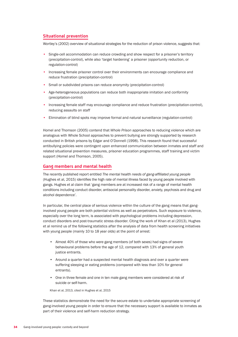# **Situational prevention**

Wortley's (2002) overview of situational strategies for the reduction of prison violence, suggests that:

- Single-cell accommodation can reduce crowding and show respect for a prisoner's territory (precipitation-control), while also 'target hardening' a prisoner (opportunity reduction, or regulation-control)
- Increasing female prisoner control over their environments can encourage compliance and reduce frustration (precipitation-control)
- Small or subdivided prisons can reduce anonymity (precipitation-control)
- Age-heterogeneous populations can reduce both inappropriate imitation and conformity (precipitation-control)
- Increasing female staff may encourage compliance and reduce frustration (precipitation-control), reducing assaults on staff
- Elimination of blind spots may improve formal and natural surveillance (regulation-control)

Homel and Thomson (2005) contend that *Whole Prison* approaches to reducing violence which are analogous with Whole School approaches to prevent bullying are strongly supported by research conducted in British prisons by Edgar and O'Donnell (1998). This research found that successful antibullying policies were contingent upon enhanced communication between inmates and staff and related situational prevention measures, prisoner education programmes, staff training and victim support (Homel and Thomson, 2005).

# **Gang members and mental health**

The recently published report entitled *The mental health needs of gang-affiliated young people*  (Hughes et al, 2015) identifies the high rate of mental illness faced by young people involved with gangs. Hughes et al claim that 'gang members are at increased risk of a range of mental health conditions including conduct disorder, antisocial personality disorder, anxiety, psychosis and drug and alcohol dependence'.

In particular, the central place of serious violence within the culture of the gang means that ganginvolved young people are both potential victims as well as perpetrators. Such exposure to violence, especially over the long term, is associated with psychological problems including depression, conduct disorders and post-traumatic stress disorder. Citing the work of Khan et al (2013), Hughes et al remind us of the following statistics after the analysis of data from health screening initiatives with young people (mainly 10 to 18 year olds) at the point of arrest:

- Almost 40% of those who were gang members (of both sexes) had signs of severe behavioural problems before the age of 12, compared with 13% of general youth justice entrants.
- Around a quarter had a suspected mental health diagnosis and over a quarter were suffering sleeping or eating problems (compared with less than 10% for general entrants).
- One in three female and one in ten male gang members were considered at risk of suicide or self-harm.

Khan et al, 2013, cited in Hughes et al, 2015

These statistics demonstrate the need for the secure estate to undertake appropriate screening of gang-involved young people in order to ensure that the necessary support is available to inmates as part of their violence and self-harm reduction strategy.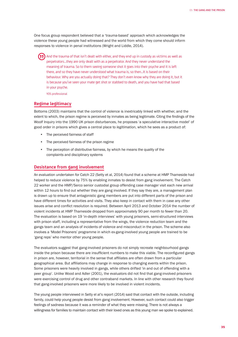One focus group respondent believed that a 'trauma-based' approach which acknowledges the violence these young people had witnessed and the world from which they come should inform responses to violence in penal institutions (Wright and Liddle, 2014).

And the trauma of that isn't dealt with either, and they end up in custody as victims as well as perpetrators…they are only dealt with as a perpetrator. And they never understand the meaning of trauma. So to them seeing someone shot it goes into their psyche and it is left there, and so they have never understood what trauma is, so then...It is based on their behaviour. Why are you actually doing that? They don't even know why they are doing it, but it is because you've seen your mate get shot or stabbed to death, and you have had that based in your psyche.

YOS professional

## **Regime legitimacy**

Bottoms (2003) maintains that the control of violence is inextricably linked with whether, and the extent to which, the prison regime is perceived by inmates as being legitimate. Citing the findings of the Woolf Inquiry into the 1990 UK prison disturbances, he proposes 'a speculative interactive model' of good order in prisons which gives a central place to *legitimation*, which he sees as a product of:

- The perceived fairness of staff
- The perceived fairness of the prison regime
- The perception of distributive fairness, by which he means the quality of the complaints and disciplinary systems

## **Desistance from gang involvement**

An evaluation undertaken for Catch 22 (Setty et al, 2014) found that a scheme at HMP Thameside had helped to reduce violence by 75% by enabling inmates to desist from gang involvement. The Catch 22 worker and the HMP/Serco senior custodial group offending case manager visit each new arrival within 12 hours to find out whether they are gang involved. If they say they are, a management plan is drawn up to ensure that antagonistic gang members are put into different parts of the prison and have different times for activities and visits. They also keep in contact with them in case any other issues arise and conflict resolution is required. Between April 2013 and October 2014 the number of violent incidents at HMP Thameside dropped from approximately 90 per month to fewer than 20. The evaluation is based on 19 'in-depth interviews' with young prisoners, semi-structured interviews with prison staff, including a representative from the wings, the violence reduction team and the gangs team and an analysis of incidents of violence and misconduct in the prison. The scheme also involves a 'Model Prisoners' programme in which ex-gang-involved young people are trained to be 'gang reps' who mentor other young people.

The evaluators suggest that gang-involved prisoners do not simply recreate neighbourhood gangs inside the prison because there are insufficient numbers to make this viable. The reconfigured gangs in prison are, however, territorial in the sense that affiliates are often drawn from a particular geographical area. But affiliations may change in response to changing events within the prison. Some prisoners were heavily involved in gangs, while others drifted 'in and out of offending with a peer group'. Unlike Wood and Adler (2001), the evaluators did not find that gang-involved prisoners were exercising control of drug and other contraband markets. In line with other research they found that gang-involved prisoners were more likely to be involved in violent incidents.

The young people interviewed in Setty el al's report (2014) said that contact with the outside, including family, could help young people desist from gang involvement. However, such contact could also trigger feelings of sadness because it was a reminder of what they were missing. There is not always a willingness for families to maintain contact with their loved ones as this young man we spoke to explained.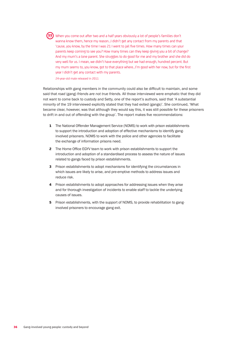( $\,$  )) When you come out after two and a half years obviously a lot of people's families don't wanna know them, hence my reason…I didn't get any contact from my parents and that 'cause, you know, by the time I was 21 I went to jail five times. How many times can your parents keep coming to see you? How many times can they keep giving you a bit of change? And my mum's a lone parent. She struggles to do good for me and my brother and she did do very well for us. I mean, we didn't have everything but we had enough, hundred percent. But my mum seems to, you know, got to that place where…I'm good with her now, but for the first year I didn't get any contact with my parents.

24-year-old male released in 2011

Relationships with gang members in the community could also be difficult to maintain, and some said that *road* (gang) *friends are not true friends.* All those interviewed were emphatic that they did not want to come back to custody and Setty, one of the report's authors, said that 'A substantial minority of the 19 interviewed explicitly stated that they had exited (gangs)'. She continued, 'What became clear, however, was that although they would say this, it was still possible for these prisoners to drift in and out of offending with the group'. The report makes five recommendations:

- 1 The National Offender Management Service (NOMS) to work with prison establishments to support the introduction and adoption of effective mechanisms to identify ganginvolved prisoners. NOMS to work with the police and other agencies to facilitate the exchange of information prisons need.
- 2 The Home Office EGYV team to work with prison establishments to support the introduction and adoption of a standardised process to assess the nature of issues related to gangs faced by prison establishments.
- **3** Prison establishments to adopt mechanisms for identifying the circumstances in which issues are likely to arise, and pre-emptive methods to address issues and reduce risk.
- 4 Prison establishments to adopt approaches for addressing issues when they arise and for thorough investigation of incidents to enable staff to tackle the underlying causes of issues.
- 5 Prison establishments, with the support of NOMS, to provide rehabilitation to ganginvolved prisoners to encourage gang exit.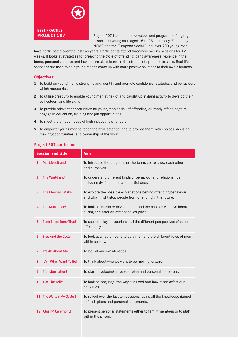

**BEST PRACTICE**  PROJECT 507

Project 507 is a personal development programme for gangassociated young men aged 16 to 25 in custody. Funded by NOMS and the European Social Fund, over 200 young men

have participated over the last two years. Participants attend three-hour weekly sessions for 12 weeks. It looks at strategies for breaking the cycle of offending, gang awareness, violence in the home, personal violence and how to turn skills learnt in the streets into productive skills. Real-life scenarios are used to help young men to come up with more positive solutions to their own dilemmas.

## **Objectives:**

- 1 To build on young men's strengths and identify and promote confidence, attitudes and behaviours which reduce risk
- 2 To utilise creativity to enable young men at risk of and caught up in gang activity to develop their self-esteem and life skills
- 3 To provide relevant opportunities for young men at risk of offending/currently offending to reengage in education, training and job opportunities
- 4 To meet the unique needs of high-risk young offenders
- 5 To empower young men to reach their full potential and to provide them with choices, decisionmaking opportunities, and ownership of the work

## **Project 507 curriculum**

| <b>Session and title</b> |                              | Aim                                                                                                                         |
|--------------------------|------------------------------|-----------------------------------------------------------------------------------------------------------------------------|
| 1                        | Me, Myself and I             | To introduce the programme, the team, get to know each other<br>and ourselves.                                              |
| 2                        | The World and I              | To understand different kinds of behaviour and relationships<br>including dysfunctional and hurtful ones.                   |
| 3                        | <b>The Choices I Make</b>    | To explore the possible explanations behind offending behaviour<br>and what might stop people from offending in the future. |
| 4                        | The Man in Me!               | To look at character development and the choices we have before,<br>during and after an offence takes place.                |
| 5                        | <b>Been There Done That!</b> | To use role play to experience all the different perspectives of people<br>affected by crime.                               |
| 6                        | <b>Breaking the Cycle</b>    | To look at what it means to be a man and the different roles of men<br>within society.                                      |
| 7                        | It's All About Me!           | To look at our own identities.                                                                                              |
| 8                        | I Am Who I Want To Be!       | To think about who we want to be moving forward.                                                                            |
| 9                        | <b>Transformation!</b>       | To start developing a five-year plan and personal statement.                                                                |
|                          | 10 Got The Talk!             | To look at language, the way it is used and how it can affect our<br>daily lives.                                           |
|                          | 11 The World's My Oyster!    | To reflect over the last ten sessions, using all the knowledge gained<br>to finish plans and personal statements.           |
|                          | 12 Closing Ceremony!         | To present personal statements either to family members or to staff<br>within the prison.                                   |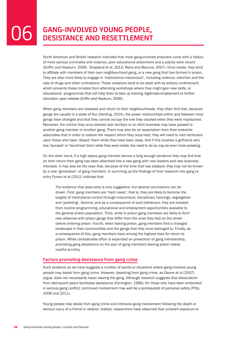## **GANG-INVOLVED YOUNG PEOPLE,** 06 **DESISTANCE AND RESETTLEMENT**

North American and British research indicates that most gang-involved prisoners come with a history of more serious criminality and violence, poor educational attainment and a patchy work record (Griffin and Hepburn, 2006; Shapland et al, 2012; Ward and Maruna, 2007). Once inside, they tend to affiliate with members of their own neighbourhood gang, or a new gang that has formed in prison. They are also more likely to engage in 'institutional misconduct', including violence, extortion and the sale of drugs and other contraband. These violations tend to be dealt with by solitary confinement which prevents these inmates from attending workshops where they might gain new skills, or educational programmes that will help them to take up training, legitimate employment or further education upon release (Griffin and Hepburn, 2006).

When gang members are released and return to their neighbourhoods, they often find that, because gangs are usually in a state of flux (Harding, 2014), the power relationships within and between local gangs have changed and that they cannot occupy the role they vacated when they were imprisoned. Moreover, the control they once exerted over territory or an illicit business may have passed to another gang member or another gang. There may also be an expectation from their erstwhile associates that in order to restore the respect which they once held, they will need to visit retribution upon those who have 'dissed' them while they have been away. And if this involves a girlfriend who has 'dumped' or 'two-timed' them while they were inside, the need to do so may be even more pressing.

On the other hand, if a high status gang member serves a long enough sentence they may find that on their return their gang has been absorbed into a new gang with new leaders and new business interests. It may also be the case that, because of the time that has elapsed, they may not be known by a new 'generation' of gang members. In summing up the findings of their research into gang reentry Pyrooz et al (2011) indicate that:

The evidence that does exist is only suggestive, but several conclusions can be drawn. First, gang members are 'hard cases'; that is, they are likely to become the targets of institutional control through misconduct, disciplinary hearings, segregation and 'jacketing'. Second, and as a consequence of such behaviour, they are isolated from routine programming, educational and employment opportunities available to the general prison population. Third, while in prison gang members are likely to form new alliances with prison gangs that differ from the ones they had on the street before entering prison. Fourth, when leaving prison, gang members find a changed landscape in their communities and the gangs that they once belonged to. Finally, as a consequence of this, gang members have among the highest risks for return to prison. While considerable effort is expended on prevention of gang membership, promoting gang desistance on the part of gang members leaving prison needs careful scrutiny.

## **Factors promoting desistance from gang crime**

Such evidence as we have suggests a number of points or situations where gang-involved young people may desist from gang crime. However, desisting from gang crime, as Deane et al (2007) argue, does not necessarily mean leaving the gang. Although research suggests that dissociation from delinquent peers facilitates desistance (Farrington, 1996), for those who have been embroiled in serious gang conflict, continued involvement may well be a prerequisite of personal safety (Pitts, 2008 and 2011).

Young people may desist from gang crime and intensive gang involvement following the death or serious injury of a friend or relative. Indeed, researchers have observed that constant exposure to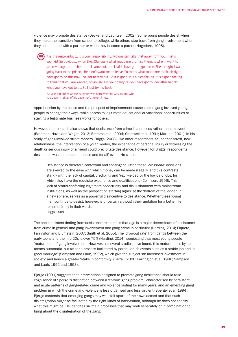violence may promote desistance (Decker and Lauritsen, 2002). Some young people desist when they make the transition from school to college, while others step back from gang involvement when they set up home with a partner or when they become a parent (Hagedorn, 1998).

It is the responsibility. It is your responsibility. No one can take that away from you. That's your kid. So obviously when like...Obviously what made me promise them, is when I went to see my daughter the first time I came out, and I said I have got to go home. She thought I was going back to the prison, she didn't want me to leave. So that's what made me think, oh right I have got to do this now. I've got to stay out. So it is good. It is a nice feeling. It is a good feeling to think that you are wanted, obviously it is your daughter you have got to look after her, do what you have got to do. So I just try my best.

22-year-old father whose daughter was born when he was 15 and who had been in jail all of his daughter's life until now.

Apprehension by the police and the prospect of imprisonment causes some gang-involved young people to change their ways, while access to legitimate educational or vocational opportunities or starting a legitimate business works for others.

However, the research also shows that desistance from crime is a process rather than an event (Bateman, Hazel and Wright, 2013; Bottoms et al, 2004; Cromwell et al, 1991; Maruna, 2001). In his study of gang-involved street robbers, Briggs (2008), like other researchers, found that arrest, new relationships, the intervention of a youth worker, the experience of personal injury or witnessing the death or serious injury of a friend could precipitate desistance. However, for Briggs' respondents desistance was not a sudden, 'once-and-for-all' event. He writes:

Desistance is therefore contextual and contingent. Often these '*crossroad*' decisions are skewed by the ease with which money can be made illegally, and this contrasts starkly with the lack of capital, credibility and '*rep*' yielded by the low-paid jobs, for which they have the requisite experience and qualifications (Collinson, 1996). This lack of status-conferring legitimate opportunity and disillusionment with mainstream institutions, as well as the prospect of '*starting again*' at the '*bottom of the ladder*' in a new sphere, serves as a powerful disincentive to desistance. Whether these young men continue to desist, however, is uncertain although their ambition for a better life remains firmly in their words. Briggs, 2008

The one consistent finding from desistance research is that age is a major determinant of desistance from crime in general and gang involvement and gang crime in particular (Harding, 2014; Piquero, Farrington and Blumstein, 2007; Smith et al, 2005). The 'drop-out rate' from gangs between the early teens and the mid-20s is over 75% (Harding, 2014), suggesting that most young people 'mature out' of gang involvement. However, as several studies have found, this maturation is by no means automatic, but rather a process facilitated by particular life events such as a stable job and 'a good marriage' (Sampson and Laub, 1992), which give the subject 'an increased investment in society' and hence a greater 'stake in conformity' (Farrall, 2000; Farrington et al, 1986; Sampson and Laub, 1992 and 1993).

Bjørgo (1999) suggests that interventions designed to promote gang desistance should take cognisance of Spergel's distinction between a 'chronic gang problem', characterised by persistent and acute patterns of gang-related crime and violence lasting for many years, and an emerging gang problem in which the crime and violence is less organised and less virulent (Spergel et al, 1994). Bjørgo contends that emerging gangs may well 'fall apart' of their own accord and that such disintegration might be facilitated by the right kinds of intervention, although he does not specify what this might be. He identifies six main processes that may work separately or in combination to bring about the disintegration of the gang: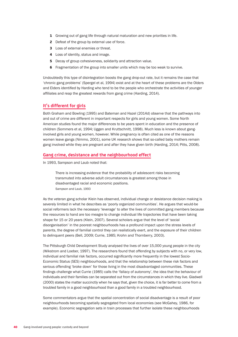- 1 Growing out of gang life through natural maturation and new priorities in life.
- 2 Defeat of the group by external use of force.
- **3** Loss of external enemies or threat.
- 4 Loss of identity, status and image.
- **5** Decay of group cohesiveness, solidarity and attraction value.
- **6** Fragmentation of the group into smaller units which may be too weak to survive.

Undoubtedly this type of disintegration boosts the gang drop-out rate, but it remains the case that 'chronic gang problems' (Spergel et al, 1994) exist and at the heart of these problems are the Olders and Elders identified by Harding who tend to be the people who orchestrate the activities of younger affiliates and reap the greatest rewards from gang crime (Harding, 2014).

## **It's different for girls**

Both Graham and Bowling (1995) and Bateman and Hazel (2014d) observe that the pathways into and out of crime are different in important respects for girls and young women. Some North American studies found the major differences to be years spent in education and the presence of children (Sommers et al, 1994; Uggen and Kruttschnitt, 1998). Much less is known about ganginvolved girls and young women, however. While pregnancy is often cited as one of the reasons women leave gangs (Nimmo, 2001), some UK research shows that so-called baby mothers remain gang involved while they are pregnant and after they have given birth (Harding, 2014; Pitts, 2008).

## **Gang crime, desistance and the neighbourhood effect**

In 1993, Sampson and Laub noted that:

There is increasing evidence that the probability of adolescent risks becoming transmuted into adverse adult circumstances is greatest among those in disadvantaged racial and economic positions. Sampson and Laub, 1993

As the veteran gang scholar Klein has observed, individual change or desistance decision making is severely limited in what he describes as 'poorly organized communities'. He argues that would-be social reformers lack the necessary 'leverage' to alter the lives of committed gang members because the resources to hand are too meagre to change individual life trajectories that have been taking shape for 15 or 20 years (Klein, 2007). Several scholars argue that the level of 'social disorganisation' in the poorest neighbourhoods has a profound impact upon the stress levels of parents, the degree of familial control they can realistically exert, and the exposure of their children to delinquent peers (Bell, 2009; Currie, 1985; Krohn and Thornberry, 2003).

The Pittsburgh Child Development Study analysed the lives of over 15,000 young people in the city (Wikstrom and Loeber, 1997). The researchers found that offending by subjects with no, or very low, individual and familial risk factors, occurred significantly more frequently in the lowest Socio-Economic Status (SES) neighbourhoods, and that the relationship between these risk factors and serious offending 'broke down' for those living in the most disadvantaged communities. These findings challenge what Currie (1985) calls the 'fallacy of autonomy', the idea that the behaviour of individuals and their families can be separated out from the circumstances in which they live. Gladwell (2000) states the matter succinctly when he says that, given the choice, it is far better to come from a troubled family in a good neighbourhood than a good family in a troubled neighbourhood.

Some commentators argue that the spatial concentration of social disadvantage is a result of poor neighbourhoods becoming spatially segregated from local economies (see McGahey, 1986, for example). Economic segregation sets in train processes that further isolate these neighbourhoods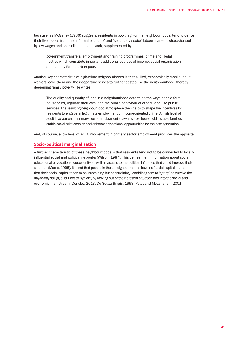because, as McGahey (1986) suggests, residents in poor, high-crime neighbourhoods, tend to derive their livelihoods from the 'informal economy' and 'secondary sector' labour markets, characterised by low wages and sporadic, dead-end work, supplemented by:

government transfers, employment and training programmes, crime and illegal hustles which constitute important additional sources of income, social organisation and identity for the urban poor.

Another key characteristic of high-crime neighbourhoods is that skilled, economically mobile, adult workers leave them and their departure serves to further destabilise the neighbourhood, thereby deepening family poverty. He writes:

The quality and quantity of jobs in a neighbourhood determine the ways people form households, regulate their own, and the public behaviour of others, and use public services. The resulting neighbourhood atmosphere then helps to shape the incentives for residents to engage in legitimate employment or income-oriented crime. A high level of adult involvement in primary sector employment spawns stable households, stable families, stable social relationships and enhanced vocational opportunities for the next generation.

And, of course, a low level of adult involvement in primary sector employment produces the opposite.

## **Socio-political marginalisation**

A further characteristic of these neighbourhoods is that residents tend not to be connected to locally influential social and political networks (Wilson, 1987). This denies them information about social, educational or vocational opportunity as well as access to the political influence that could improve their situation (Morris, 1995). It is not that people in these neighbourhoods have no 'social capital' but rather that their social capital tends to be 'sustaining but constraining', enabling them to 'get by', to survive the day-to-day struggle, but not to 'get on', by moving out of their present situation and into the social and economic mainstream (Densley, 2013; De Souza Briggs, 1998; Pettit and McLanahan, 2001).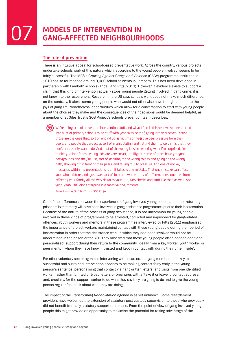## **MODELS OF INTERVENTION IN** 07 **GANG-AFFECTED NEIGHBOURHOODS**

## **The role of prevention**

There is an intuitive appeal for school-based preventative work. Across the country, various projects undertake schools work of this nature which, according to the young people involved, seems to be fairly successful. The MPS's *Growing Against Gangs and Violence* (GAGV) programme instituted in 2010 has so far reached around 9,000 school students in Lambeth. This has been developed in partnership with Lambeth schools (Andell and Pitts, 2013). However, if evidence exists to support a claim that this kind of intervention actually stops young people getting involved in gang crime, it is not known to the researchers. Research in the US says schools work does not make much difference; on the contrary, it alerts some young people who would not otherwise have thought about it to the joys of gang life. Nonetheless, opportunities which allow for a conversation to start with young people about the choices they make and the consequences of their decisions would be deemed helpful, as a member of St Giles Trust's SOS Project's schools prevention team describes.

We're doing school prevention intervention stuff, and what I find is this year we've been called into a lot of primary schools to do stuff with year sixes, sort of, going into year seven, 'cause those are the ones that, sort of, ending up as victims of negative peer pressure from their peers, and people that are older, sort of, manipulating and getting them to do things that they don't necessarily wanna do. And a lot of the young kids I'm working with, I'm surprised. I'm thinking…a lot of these young kids are very smart, intelligent, some of them have got good backgrounds and they're just, sort of, aspiring to the wrong things and going on the wrong path, showing off in front of their peers, and falling foul to pressure. And one of my key messages within my presentations is all it takes is one mistake. That one mistake can affect your whole future, and I just…we, sort of, look at a whole array of different consequences from affecting your family all the way down to your CRB, DBS checks and stuff like that, as well. And yeah, yeah. The joint enterprise is a massive one, massive.

Project worker, St Giles Trust's SOS Project

One of the differences between the experiences of gang-involved young people and other returning prisoners is that many will have been involved in gang-desistance programmes prior to their incarceration. Because of the nature of the process of gang desistance, it is not uncommon for young people involved in these kinds of programmes to be arrested, convicted and imprisoned for gang-related offences. Youth workers and mentors in these programmes interviewed by Pitts (2011) emphasised the importance of project workers maintaining contact with these young people during their period of incarceration in order that the desistance work in which they had been involved would not be undermined in the prison or the YOI. They observed that these young people often needed additional, personalised, support during their return to the community, ideally from a key worker, youth worker or peer mentor, whom they have known, trusted and kept in contact with during their time 'inside'.

For other voluntary sector agencies intervening with incarcerated gang members, the key to successful and sustained intervention appears to be making contact fairly early in the young person's sentence, personalising that contact via handwritten letters, and visits from one identified worker, rather than printed or typed letters or brochures with a 'take it or leave it' contact address, and, crucially, for the support worker to do what they say they are going to do and to give the young person regular feedback about what they are doing.

The impact of the *Transforming Rehabilitation* agenda is as yet unknown. Some resettlement providers have welcomed the extension of statutory post-custody supervision to those who previously did not benefit from any statutory support on release. From the point of view of gang-involved young people this might provide an opportunity to maximise the potential for taking advantage of the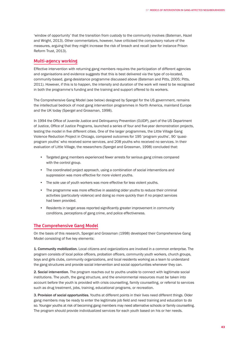'window of opportunity' that the transition from custody to the community involves (Bateman, Hazel and Wright, 2013). Other commentators, however, have criticised the compulsory nature of the measures, arguing that they might increase the risk of breach and recall (see for instance Prison Reform Trust, 2013).

## **Multi-agency working**

Effective intervention with returning gang members requires the participation of different agencies and organisations and evidence suggests that this is best delivered via the type of co-located, community-based, gang-desistance programme discussed above (Bateman and Pitts, 2005; Pitts, 2011). However, if this is to happen, the intensity and duration of the work will need to be recognised in both the programme's funding and the training and support offered to its workers.

The Comprehensive Gang Model (see below) designed by Spergel for the US government, remains the intellectual bedrock of most gang intervention programmes in North America, mainland Europe and the UK today (Spergel and Grossman, 1998).

In 1994 the Office of Juvenile Justice and Delinquency Prevention (OJJDP), part of the US Department of Justice, Office of Justice Programs, launched a series of four and five-year demonstration projects, testing the model in five different cities. One of the larger programmes, the Little Village Gang Violence Reduction Project in Chicago, compared outcomes for 195 'program youths', 90 'quasiprogram youths' who received some services, and 208 youths who received no services. In their evaluation of Little Village, the researchers (Spergel and Grossman, 1998) concluded that:

- Targeted gang members experienced fewer arrests for serious gang crimes compared with the control group.
- The coordinated project approach, using a combination of social interventions and suppression was more effective for more violent youths.
- The sole use of youth workers was more effective for less violent youths.
- The programme was more effective in assisting older youths to reduce their criminal activities (particularly violence) and doing so more quickly than if no project services had been provided.
- Residents in target areas reported significantly greater improvement in community conditions, perceptions of gang crime, and police effectiveness.

## **The Comprehensive Gang Model**

On the basis of this research, Spergel and Grossman (1998) developed their Comprehensive Gang Model consisting of five key elements:

1. Community mobilization. Local citizens and organizations are involved in a common enterprise. The program consists of local police officers, probation officers, community youth workers, church groups, boys and girls clubs, community organizations, and local residents working as a team to understand the gang structures and provide social intervention and social opportunities whenever they can.

2. Social intervention. The program reaches out to youths unable to connect with legitimate social institutions. The youth, the gang structure, and the environmental resources must be taken into account before the youth is provided with crisis counselling, family counselling, or referral to services such as drug treatment, jobs, training, educational programs, or recreation.

3. Provision of social opportunities. Youths at different points in their lives need different things. Older gang members may be ready to enter the legitimate job field and need training and education to do so. Younger youths at risk of becoming gang members may need alternative schools or family counselling. The program should provide individualized services for each youth based on his or her needs.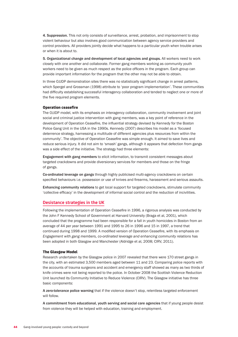4. Suppression. This not only consists of surveillance, arrest, probation, and imprisonment to stop violent behaviour but also involves good communication between agency service providers and control providers. All providers jointly decide what happens to a particular youth when trouble arises or when it is about to.

5. Organizational change and development of local agencies and groups. All workers need to work closely with one another and collaborate. Former gang members working as community youth workers need to be given as much respect as the police officers in the program. Each group can provide important information for the program that the other may not be able to obtain.

In three OJJDP demonstration sites there was no statistically significant change in arrest patterns, which Spergel and Grossman (1998) attribute to 'poor program implementation'. These communities had difficulty establishing successful interagency collaboration and tended to neglect one or more of the five required program elements.

## Operation ceasefire

The OJJDP model, with its emphasis on interagency collaboration, community involvement and joint social and criminal justice intervention with gang members, was a key point of reference in the development of Operation Ceasefire, the influential strategy devised by Kennedy for the Boston Police Gang Unit in the USA in the 1990s. Kennedy (2007) describes his model as a 'focused deterrence strategy, harnessing a multitude of different agencies plus resources from within the community'. The objective of Operation Ceasefire was simple enough. It aimed to save lives and reduce serious injury. It did not aim to 'smash' gangs, although it appears that defection from gangs was a side effect of the initiative. The strategy had three elements:

Engagement with gang members to elicit information, to transmit consistent messages about targeted crackdowns and provide diversionary services for members and those on the fringe of gangs.

Co-ordinated leverage on gangs through highly publicised multi-agency crackdowns on certain specified behaviours i.e. possession or use of knives and firearms, harassment and serious assaults.

Enhancing community relations to get local support for targeted crackdowns, stimulate community 'collective efficacy' in the development of informal social control and the reduction of incivilities.

## **Desistance strategies in the UK**

Following the implementation of Operation Ceasefire in 1996, a rigorous analysis was conducted by the John F Kennedy School of Government at Harvard University (Braga et al, 2001), which concluded that the programme had been responsible for a fall in youth homicides in Boston from an average of 44 per year between 1991 and 1995 to 26 in 1996 and 15 in 1997, a trend that continued during 1998 and 1999. A modified version of Operation Ceasefire, with its emphasis on *Engagement with gang members, co-ordinated* l*everage and enhancing community relations* has been adopted in both Glasgow and Manchester (Aldridge et al, 2008; CIRV, 2011).

## The Glasgow Model

Research undertaken by the Glasgow police in 2007 revealed that there were 170 street gangs in the city, with an estimated 3,500 members aged between 11 and 23. Comparing police reports with the accounts of trauma surgeons and accident and emergency staff showed as many as two thirds of knife crimes were not being reported to the police. In October 2008 the Scottish Violence Reduction Unit launched its Community Initiative to Reduce Violence (CIRV). The Glasgow initiative has three basic components:

A zero-tolerance police warning that if the violence doesn't stop, relentless targeted enforcement will follow.

A commitment from educational, youth serving and social care agencies that if young people desist from violence they will be helped with education, training and employment.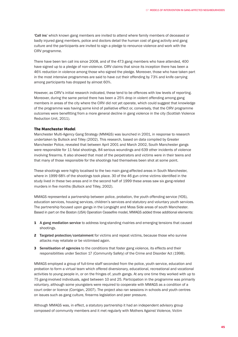'Call ins' which known gang members are invited to attend where family members of deceased or badly injured gang members, police and doctors detail the human cost of gang activity and gang culture and the participants are invited to sign a pledge to renounce violence and work with the CIRV programme.

There have been ten call ins since 2008, and of the 473 gang members who have attended, 400 have signed up to a pledge of non-violence. CIRV claims that since its inception there has been a 46% reduction in violence among those who signed the pledge. Moreover, those who have taken part in the most intensive programmes are said to have cut their offending by 73% and knife carrying among participants has dropped by almost 60%.

However, as CIRV's initial research indicated, these tend to be offences with low levels of reporting. Moreover, during the same period there has been a 25% drop in violent offending among gang members in areas of the city where the CIRV did not yet operate, which could suggest that knowledge of the programme was having some kind of palliative effect or, conversely, that the CIRV programme outcomes were benefitting from a more general decline in gang violence in the city (Scottish Violence Reduction Unit, 2011).

## The Manchester Model

Manchester Multi-Agency Gang Strategy (MMAGS) was launched in 2001, in response to research undertaken by Bullock and Tilley (2002). This research, based on data compiled by Greater Manchester Police, revealed that between April 2001 and March 2002, South Manchester gangs were responsible for 11 fatal shootings, 84 serious woundings and 639 other incidents of violence involving firearms. It also showed that most of the perpetrators and victims were in their teens and that many of those responsible for the shootings had themselves been shot at some point.

These shootings were highly localised to the two main gang-affected areas in South Manchester, where in 1999 68% of the shootings took place. 30 of the 46 gun crime victims identified in the study lived in these two areas and in the second half of 1999 these areas saw six gang-related murders in five months (Bullock and Tilley, 2002).

MMAGS represented a partnership between police, probation, the youth offending service (YOS), education services, housing services, children's services and statutory and voluntary youth services. The partnership focused upon gangs in the Longsight and Moss Side areas of south Manchester. Based in part on the Boston (USA) Operation Ceasefire model, MMAGS added three additional elements:

- 1 A gang mediation service to address long-standing rivalries and emerging tensions that caused shootings.
- 2 Targeted protection/containment for victims and repeat victims, because those who survive attacks may retaliate or be victimised again.
- **3** Sensitisation of agencies to the conditions that foster gang violence, its effects and their responsibilities under Section 17 (Community Safety) of the Crime and Disorder Act (1998).

MMAGS employed a group of full-time staff seconded from the police, youth service, education and probation to form a virtual team which offered diversionary, educational, recreational and vocational activities to young people in, or on the fringes of, youth gangs. At any one time they worked with up to 75 gang-involved individuals, aged between 10 and 25. Participation in the programme was primarily voluntary, although some youngsters were required to cooperate with MMAGS as a condition of a court order or licence (Corrigan, 2007). The project also ran sessions in schools and youth centres on issues such as gang culture, firearms legislation and peer pressure.

Although MMAGS was, in effect, a statutory partnership it had an independent advisory group composed of community members and it met regularly with Mothers Against Violence, Victim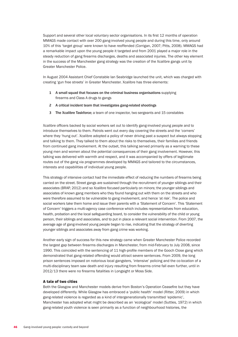Support and several other local voluntary sector organisations. In its first 12 months of operation MMAGS made contact with over 200 gang-involved young people and during this time, only around 10% of this 'target group' were known to have reoffended (Corrigan, 2007; Pitts, 2008). MMAGS had a remarkable impact upon the young people it targeted and from 2001 played a major role in the steady reduction of gang firearms discharges, deaths and associated injuries. The other key element in the success of the Manchester gang strategy was the creation of the Xcalibre gangs unit by Greater Manchester Police.

In August 2004 Assistant Chief Constable Ian Seabridge launched the unit, which was charged with creating 'gun free streets' in Greater Manchester. Xcalibre has three elements:

- **1** A small squad that focuses on the criminal business organisations supplying firearms and Class A drugs to gangs
- **2** A critical incident team that investigates gang-related shootings
- **3** The Xcalibre Taskforce; a team of one inspector, two sergeants and 15 constables

Xcalibre officers backed by social workers set out to identify gang-involved young people and to introduce themselves to them. Patrols went out every day covering the streets and the 'corners' where they 'hung out'. Xcalibre adopted a policy of never driving past a suspect but always stopping and talking to them. They talked to them about the risks to themselves, their families and friends from continued gang involvement. At the outset, this talking served primarily as a warning to these young men and women about the potential consequences of their gang involvement. However, this talking was delivered with warmth and respect, and it was accompanied by offers of legitimate routes out of the gang via programmes developed by MMAGS and tailored to the circumstances, interests and capabilities of individual young people.

This strategy of intensive contact had the immediate effect of reducing the numbers of firearms being carried on the street. Street gangs are sustained through the recruitment of younger siblings and their associates (BRAP, 2012) and so Xcalibre focused particularly on minors; the younger siblings and associates of known gang members who they found hanging out with them on the streets and who were therefore assumed to be vulnerable to gang involvement, and hence 'at risk'. The police and social workers take them home and issue their parents with a 'Statement of Concern'. This 'Statement of Concern' triggers a multi-agency case conference which includes representatives from education, health, probation and the local safeguarding board, to consider the vulnerability of the child or young person, their siblings and associates, and to put in place a relevant social intervention. From 2007, the average age of gang-involved young people began to rise, indicating that the strategy of diverting younger siblings and associates away from gang crime was working.

Another early sign of success for this new strategy came when Greater Manchester Police recorded the largest gap between firearms discharges in Manchester, from mid-February to July 2008, since 1990. This coincided with the sentencing of 11 high-profile members of the Gooch Close gang which demonstrated that gang-related offending would attract severe sentences. From 2009, the long prison sentences imposed on notorious local gangsters, 'intensive' policing and the co-location of a multi-disciplinary team saw death and injury resulting from firearms crime fall even further, until in 2012/13 there were no firearms fatalities in Longsight or Moss Side.

## A tale of two cities

Both the Glasgow and Manchester models derive from Boston's Operation Ceasefire but they have developed differently. While Glasgow has embraced a 'public health' model (Ritter, 2009) in which gang-related violence is regarded as a kind of intergenerationally transmitted 'epidemic', Manchester has adopted what might be described as an 'ecological' model (Suttles, 1972) in which gang-related youth violence is seen primarily as a function of neighbourhood histories, the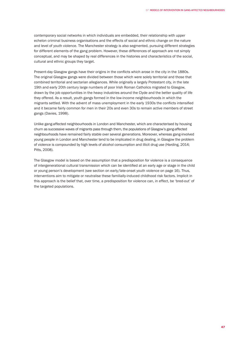contemporary social networks in which individuals are embedded, their relationship with upper echelon criminal business organisations and the effects of social and ethnic change on the nature and level of youth violence. The Manchester strategy is also segmented, pursuing different strategies for different elements of the gang problem. However, these differences of approach are not simply conceptual, and may be shaped by real differences in the histories and characteristics of the social, cultural and ethnic groups they target.

Present-day Glasgow gangs have their origins in the conflicts which arose in the city in the 1880s. The original Glasgow gangs were divided between those which were solely territorial and those that combined territorial and sectarian allegiances. While originally a largely Protestant city, in the late 19th and early 20th century large numbers of poor Irish Roman Catholics migrated to Glasgow, drawn by the job opportunities in the heavy industries around the Clyde and the better quality of life they offered. As a result, youth gangs formed in the low-income neighbourhoods in which the migrants settled. With the advent of mass unemployment in the early 1930s the conflicts intensified and it became fairly common for men in their 20s and even 30s to remain active members of street gangs (Davies, 1998).

Unlike gang-affected neighbourhoods in London and Manchester, which are characterised by housing churn as successive waves of migrants pass through them, the populations of Glasgow's gang-affected neighbourhoods have remained fairly stable over several generations. Moreover, whereas gang-involved young people in London and Manchester tend to be implicated in drug dealing, in Glasgow the problem of violence is compounded by high levels of alcohol consumption and illicit drug use (Harding, 2014; Pitts, 2008).

The Glasgow model is based on the assumption that a predisposition for violence is a consequence of intergenerational cultural transmission which can be identified at an early age or stage in the child or young person's development (see section on early/late-onset youth violence on page 16). Thus, interventions aim to mitigate or neutralise these familially-induced childhood risk factors. Implicit in this approach is the belief that, over time, a predisposition for violence can, in effect, be 'bred-out' of the targeted populations.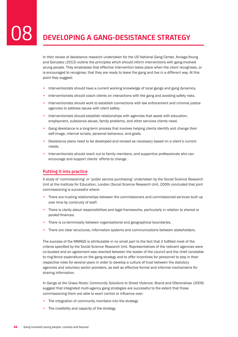In their review of desistance research undertaken for the US National Gang Center, Arciaga-Young and Gonzalez (2013) outline the principles which should inform interventions with gang-involved young people. They emphasise that effective intervention takes place when the client recognises, or is encouraged to recognise, that they are ready to leave the gang and live in a different way. At this point they suggest:

- Interventionists should have a current working knowledge of local gangs and gang dynamics.
- Interventionists should coach clients on interactions with the gang and avoiding safety risks.
- Interventionists should work to establish connections with law enforcement and criminal justice agencies to address issues with client safety.
- Interventionists should establish relationships with agencies that assist with education, employment, substance abuse, family problems, and other services clients need.
- Gang desistance is a long-term process that involves helping clients identify and change their self-image, internal scripts, personal behaviour, and goals.
- Desistance plans need to be developed and revised as necessary based on a client's current needs.
- Interventionists should reach out to family members, and supportive professionals who can encourage and support clients' efforts to change.

## **Putting it into practice**

A study of 'commissioning' or 'public service purchasing' undertaken by the Social Science Research Unit at the Institute for Education, London (Social Science Research Unit, 2009) concluded that joint commissioning is successful where:

- There are trusting relationships between the commissioners and commissioned services built up over time by continuity of staff.
- There is clarity about responsibilities and legal frameworks, particularly in relation to shared or pooled finances.
- There is co-terminosity between organisational and geographical boundaries.
- There are clear structures, information systems and communications between stakeholders.

The success of the MMAGS is attributable in no small part to the fact that it fulfilled most of the criteria specified by the Social Science Research Unit. Representatives of the relevant agencies were co-located and an agreement was reached between the leader of the council and the chief constable to ring-fence expenditure on the gang strategy and to offer incentives for personnel to stay in their respective roles for several years in order to develop a culture of trust between the statutory agencies and voluntary sector providers, as well as effective formal and informal mechanisms for sharing information.

In *Gangs at the Grass Roots: Community Solutions to Street Violence*, Brand and Ollerenshaw (2009) suggest that integrated multi-agency gang strategies are successful to the extent that those commissioning them are able to exert control or influence over:

- The integration of community members into the strategy
- The credibility and capacity of the strategy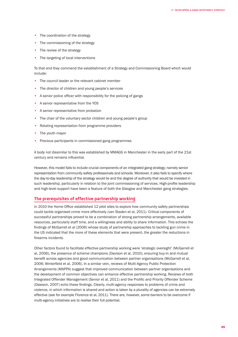- The coordination of the strategy
- The commissioning of the strategy
- The review of the strategy
- The targeting of local interventions

To that end they commend the establishment of a Strategy and Commissioning Board which would include:

- The council leader or the relevant cabinet member
- The director of children and young people's services
- A senior police officer with responsibility for the policing of gangs
- A senior representative from the YOS
- A senior representative from probation
- The chair of the voluntary sector children and young people's group
- Rotating representation from programme providers
- The youth mayor
- Previous participants in commissioned gang programmes

A body not dissimilar to this was established by MMAGS in Manchester in the early part of the 21st century and remains influential.

However, this model fails to include crucial components of an integrated gang strategy; namely senior representation from community safety professionals and schools. Moreover, it also fails to specify where the day-to-day leadership of the strategy would lie and the degree of authority that would be invested in such leadership, particularly in relation to the joint commissioning of services. High-profile leadership and high-level support have been a feature of both the Glasgow and Manchester gang strategies.

## **The prerequisites of effective partnership working**

In 2010 the Home Office established 12 pilot sites to explore how community safety partnerships could tackle organised crime more effectively (van Staden et al, 2011). Critical components of successful partnerships proved to be a combination of strong partnership arrangements, available resources, particularly staff time, and a willingness and ability to share information. This echoes the findings of McGarrell et al (2006) whose study of partnership approaches to tackling gun crime in the US indicated that the more of these elements that were present, the greater the reductions in firearms incidents.

Other factors found to facilitate effective partnership working were 'strategic oversight' (McGarrell et al, 2006), the presence of scheme champions (Davison et al, 2010), ensuring buy-in and mutual benefit across agencies and good communication between partner organisations (McGarrell et al, 2006; Winterfield et al, 2006). In a similar vein, reviews of Multi-Agency Public Protection Arrangements (MAPPA) suggest that improved communication between partner organisations and the development of common objectives can enhance effective partnership working. Reviews of both Integrated Offender Management (Senior et al, 2011) and the Prolific and Priority Offender Scheme (Dawson, 2007) echo these findings. Clearly, multi-agency responses to problems of crime and violence, in which information is shared and action is taken by a plurality of agencies can be extremely effective (see for example Florence et al, 2011). There are, however, some barriers to be overcome if multi-agency initiatives are to realise their full potential.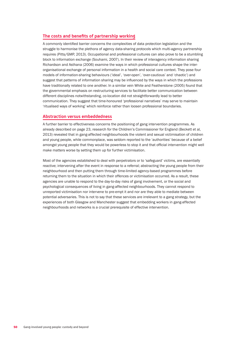## **The costs and benefits of partnership working**

A commonly identified barrier concerns the complexities of data protection legislation and the struggle to harmonise the plethora of agency data-sharing protocols which multi-agency partnership requires (Pitts/GMP, 2013). Occupational and professional cultures can also prove to be a stumbling block to information exchange (Souhami, 2007). In their review of interagency information sharing Richardson and Asthana (2006) examine the ways in which professional cultures shape the interorganisational exchange of personal information in a health and social care context. They pose four models of information-sharing behaviours ('ideal', 'over-open', 'over-cautious' and 'chaotic') and suggest that patterns of information sharing may be influenced by the ways in which the professions have traditionally related to one another. In a similar vein White and Featherstone (2005) found that the governmental emphasis on restructuring services to facilitate better communication between different disciplines notwithstanding, co-location did not straightforwardly lead to better communication. They suggest that time-honoured 'professional narratives' may serve to maintain 'ritualised ways of working' which reinforce rather than loosen professional boundaries.

## **Abstraction versus embeddedness**

A further barrier to effectiveness concerns the positioning of gang intervention programmes. As already described on page 23, research for the Children's Commissioner for England (Beckett et al, 2013) revealed that in gang-affected neighbourhoods the violent and sexual victimisation of children and young people, while commonplace, was seldom reported to the 'authorities' because of a belief amongst young people that they would be powerless to stop it and that official intervention might well make matters worse by setting them up for further victimisation.

Most of the agencies established to deal with perpetrators or to 'safeguard' victims, are essentially reactive; intervening after the event in response to a referral; abstracting the young people from their neighbourhood and then putting them through time-limited agency-based programmes before returning them to the situation in which their offences or victimisation occurred. As a result, these agencies are unable to respond to the day-to-day risks of gang involvement, or the social and psychological consequences of living in gang-affected neighbourhoods. They cannot respond to unreported victimisation nor intervene to pre-empt it and nor are they able to mediate between potential adversaries. This is not to say that these services are irrelevant to a gang strategy, but the experiences of both Glasgow and Manchester suggest that embedding workers in gang-affected neighbourhoods and networks is a crucial prerequisite of effective intervention.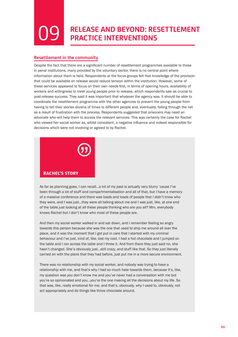# **RELEASE AND BEYOND: RESETTLEMENT<br>PRACTICE INTERVENTIONS**

## **Resettlement in the community**

Despite the fact that there are a significant number of resettlement programmes available to those in penal institutions, many provided by the voluntary sector, there is no central point where information about them is held. Respondents at the focus groups felt that knowledge of the provision that could be available on release would reduce tension within the institution. However, some of these services appeared to focus on their own needs first, in terms of opening hours, availability of workers and willingness to meet young people prior to release, which respondents saw as crucial to post-release success. They said it was important that whatever the agency was, it should be able to coordinate the resettlement programme with the other agencies to prevent the young people from having to tell their stories dozens of times to different people and, eventually, falling through the net as a result of frustration with the process. Respondents suggested that prisoners may need an advocate who will help them to access the relevant services. This was certainly the case for Rachel who viewed her social worker as, whilst consistent, a negative influence and indeed responsible for decisions which were not involving or agreed to by Rachel.



As far as planning goes, I can recall…a lot of my past is actually very blurry 'cause I've been through a lot of stuff and compartmentalisation and all of that, but I have a memory of a massive conference and there was loads and loads of people that I didn't know who they were, and I was just…they were all talking about me and I was just, like, at one end of the table just looking at all these people thinking who are you all? Mm, everybody knows Rachel but I don't know who most of these people are.

And then my social worker walked in and sat down, and I remember feeling so angry towards this person because she was the one that used to ship me around all over the place, and it was the moment that I got put in care that I started with my criminal behaviour and I've just, kind of, like, lost my cool. I had a hot chocolate and I jumped on the table and I ran across the table and I threw it. And from there they just said no, she hasn't changed. She's obviously just…still crazy, and stuff like that. So they just literally carried on with the plans that they had before, just put me in a more secure environment.

There was no relationship with my social worker, and nobody was trying to have a relationship with me, and that's why I had so much hate towards them, because it's, like, my question was you don't know me and you've never had a conversation with me but you're so opinionated and you…you're the one making all the decisions about my life. So that was, like, really emotional for me, and that's, obviously, why I used to, obviously, not act appropriately and do things like throw chocolate around.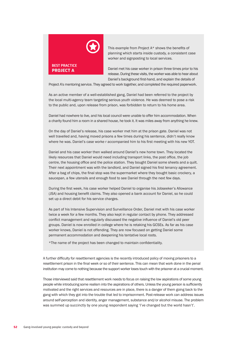

This example from Project A\* shows the benefits of planning which starts inside custody, a consistent case worker and signposting to local services.

Daniel met his case worker in prison three times prior to his release. During these visits, the worker was able to hear about Daniel's background first-hand, and explain the details of

Project A's mentoring service. They agreed to work together, and completed the required paperwork.

As an active member of a well-established gang, Daniel had been referred to the project by the local multi-agency team targeting serious youth violence. He was deemed to pose a risk to the public and, upon release from prison, was forbidden to return to his home area.

Daniel had nowhere to live, and his local council were unable to offer him accommodation. When a charity found him a room in a shared house, he took it. It was miles away from anything he knew.

On the day of Daniel's release, his case worker met him at the prison gate. Daniel was not well travelled and, having moved prisons a few times during his sentence, didn't really know where he was. Daniel's case worke r accompanied him to his first meeting with his new YOT.

Daniel and his case worker then walked around Daniel's new home town. They located the likely resources that Daniel would need including transport links, the post office, the job centre, the housing office and the police station. They bought Daniel some sheets and a quilt. Their next appointment was with the landlord, and Daniel signed his first tenancy agreement. After a bag of chips, the final stop was the supermarket where they bought basic crockery, a saucepan, a few utensils and enough food to see Daniel through the next few days.

During the first week, his case worker helped Daniel to organise his Jobseeker's Allowance (JSA) and housing benefit claims. They also opened a bank account for Daniel, so he could set up a direct debit for his service charges.

As part of his Intensive Supervision and Surveillance Order, Daniel met with his case worker twice a week for a few months. They also kept in regular contact by phone. They addressed conflict management and regularly discussed the negative influence of Daniel's old peer groups. Daniel is now enrolled in college where he is retaking his GCSEs. As far as his case worker knows, Daniel is not offending. They are now focused on getting Daniel some permanent accommodation and deepening his tentative local roots.

\*The name of the project has been changed to maintain confidentiality.

A further difficulty for resettlement agencies is the recently introduced policy of moving prisoners to a resettlement prison in the final week or so of their sentence. This can mean that work done in the penal institution may come to nothing because the support worker loses touch with the prisoner at a crucial moment.

Those interviewed said that resettlement work needs to focus on raising the low aspirations of some young people while introducing some realism into the aspirations of others. Unless the young person is sufficiently motivated and the right services and resources are in place, there is a danger of them going back to the gang with which they got into the trouble that led to imprisonment. Post-release work can address issues around self-perception and identity, anger management, substance and/or alcohol misuse. The problem was summed up succinctly by one young respondent saying 'I've changed but the world hasn't'.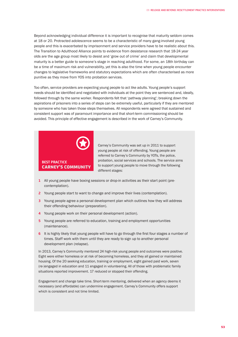Beyond acknowledging individual difference it is important to recognise that maturity seldom comes at 18 or 20. Protracted adolescence seems to be a characteristic of many gang-involved young people and this is exacerbated by imprisonment and service providers have to be realistic about this. The Transition to Adulthood Alliance points to evidence from desistance research that 18-24 year olds are the age group most likely to desist and 'grow out of crime' and claim that developmental maturity is a better guide to someone's stage in reaching adulthood. For some, an 18th birthday can be a time of maximum risk and vulnerability, yet this is also the time when young people encounter changes to legislative frameworks and statutory expectations which are often characterised as more punitive as they move from YOS into probation services.

Too often, service providers are expecting young people to act like adults. Young people's support needs should be identified and negotiated with individuals at the point they are sentenced and, ideally, followed through by the same worker. Respondents felt that 'pathway planning'; breaking down the aspirations of prisoners into a series of steps can be extremely useful, particularly if they are mentored by someone who has taken those steps themselves. All respondents were agreed that sustained and consistent support was of paramount importance and that short-term commissioning should be avoided. This principle of effective engagement is described in the work of Carney's Community.



Carney's Community was set up in 2011 to support young people at risk of offending. Young people are referred to Carney's Community by YOTs, the police, probation, social services and schools. The service aims to support young people to move through the following different stages:

- **1** All young people have boxing sessions or drop-in activities as their start point (precontemplation).
- **2** Young people start to want to change and improve their lives (contemplation).
- **3** Young people agree a personal development plan which outlines how they will address their offending behaviour (preparation).
- **4** Young people work on their personal development (action).
- **5** Young people are referred to education, training and employment opportunities (maintenance).
- **6** It is highly likely that young people will have to go through the first four stages a number of times. Staff work with them until they are ready to sign up to another personal development plan (relapse).

In 2013, Carney's Community mentored 24 high-risk young people and outcomes were positive. Eight were either homeless or at risk of becoming homeless, and they all gained or maintained housing. Of the 20 seeking education, training or employment, eight gained paid work, seven (re-)engaged in education and 11 engaged in volunteering. All of those with problematic family situations reported improvement. 17 reduced or stopped their offending.

Engagement and change take time. Short-term mentoring, delivered when an agency deems it necessary (and affordable) can undermine engagement. Carney's Community offers support which is consistent and not time limited.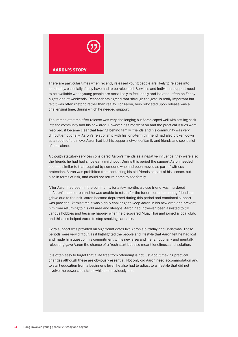

## AARON'S STORY

There are particular times when recently released young people are likely to relapse into criminality, especially if they have had to be relocated. Services and individual support need to be available when young people are most likely to feel lonely and isolated, often on Friday nights and at weekends. Respondents agreed that 'through the gate' is really important but felt it was often rhetoric rather than reality. For Aaron, bein relocated upon release was a challenging time, during which he needed support.

The immediate time after release was very challenging but Aaron coped well with settling back into the community and his new area. However, as time went on and the practical issues were resolved, it became clear that leaving behind family, friends and his community was very difficult emotionally. Aaron's relationship with his long-term girlfriend had also broken down as a result of the move. Aaron had lost his support network of family and friends and spent a lot of time alone.

Although statutory services considered Aaron's friends as a negative influence, they were also the friends he had had since early childhood. During this period the support Aaron needed seemed similar to that required by someone who had been moved as part of witness protection. Aaron was prohibited from contacting his old friends as part of his licence, but also in terms of risk, and could not return home to see family.

After Aaron had been in the community for a few months a close friend was murdered in Aaron's home area and he was unable to return for the funeral or to be among friends to grieve due to the risk. Aaron became depressed during this period and emotional support was provided. At this time it was a daily challenge to keep Aaron in his new area and prevent him from returning to his old area and lifestyle. Aaron had, however, been assisted to try various hobbies and became happier when he discovered Muay Thai and joined a local club, and this also helped Aaron to stop smoking cannabis.

Extra support was provided on significant dates like Aaron's birthday and Christmas. These periods were very difficult as it highlighted the people and lifestyle that Aaron felt he had lost and made him question his commitment to his new area and life. Emotionally and mentally, relocating gave Aaron the chance of a fresh start but also meant loneliness and isolation.

It is often easy to forget that a life free from offending is not just about making practical changes although these are obviously essential. Not only did Aaron need accommodation and to start education from a beginner's level, he also had to adjust to a lifestyle that did not involve the power and status which he previously had.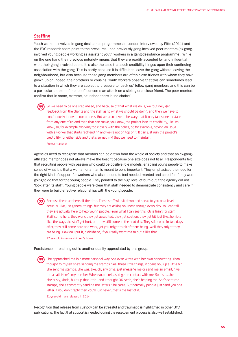## **Staffing**

(55

Youth workers involved in gang-desistance programmes in London interviewed by Pitts (2011) and the BYC research team point to the pressures upon previously gang-involved peer mentors (ex-ganginvolved young people working as assistant youth workers in a gang-desistance programme). While on the one hand their previous notoriety means that they are readily accepted by, and influential with, their gang-involved peers, it is also the case that such credibility hinges upon their continuing association with the gang. This is partly because it is difficult to leave the gang without leaving the neighbourhood, but also because these gang members are often close friends with whom they have grown up or, indeed, their brothers or cousins. Youth workers observe that this can sometimes lead to a situation in which they are subject to pressure to 'back up' fellow gang members and this can be a particular problem if the 'beef' concerns an attack on a sibling or a close friend. The peer mentors confirm that in some, extreme, situations there is 'no choice'.

So we need to be one step ahead, and because of that what we do is, we routinely get feedback from the clients and the staff as to what we should be doing, and then we have to continuously innovate our process. But we also have to be wary that it only takes one mistake from any one of us and then that can make, you know, the project lose its credibility, like, you know, so, for example, working too closely with the police, or, for example, having an issue with a worker that starts reoffending and we're not on top of it. It can just ruin the project's credibility for either side and that's something that we need to maintain.

### Project manager

Agencies need to recognise that mentors can be drawn from the whole of society and that an ex-gangaffiliated mentor does not always make the best fit because one size does not fit all. Respondents felt that recruiting people with passion who could be positive role models, enabling young people to make sense of what it is that a woman or a man is meant to be is important. They emphasised the need for the right kind of support for workers who also needed to feel needed, wanted and cared for if they were going to do that for the young people. They pointed to the high level of burn-out if the agency did not 'look after its staff'. Young people were clear that staff needed to demonstrate consistency and care if they were to build effective relationships with the young people.

Because these are here all the time. These staff will sit down and speak to you on a level actually...like just general things, but they are asking you near enough every day. You can tell they are actually here to help young people. From what I can see this job is tiring for staff. Staff come here, they work, they get assaulted, they get spat on, they get bit just like...horrible like, the ways the staff get hurt, but they still come in the next day. They still come in two days after, they still come here and work, yet you might think of them being...well they might they are being...How do I put it, a dickhead, if you really want me to put it like that. 17 year old in secure children's home

Persistence in reaching out is another quality appreciated by this group.

She approached me in a more personal way. She even wrote with her own handwriting. Then I thought to myself she's sending me stamps. See, these little things, it opens you up a little bit. She sent me stamps. She was, like, oh, any time, just message me or send me an email, give me a call. Here's my number. When you're released get in contact with me. So it's a…she, obviously, kinda, built up that little…and I thought OK, yeah, she's helping me. She's sent me stamps, she's constantly sending me letters. She cares. But normally people just send you one letter. If you don't reply then you'll just never…that's the last of it.

21-year-old male released in 2014

Recognition that release from custody can be stressful and traumatic is highlighted in other BYC publications. The fact that support is needed during the resettlement process is also well established.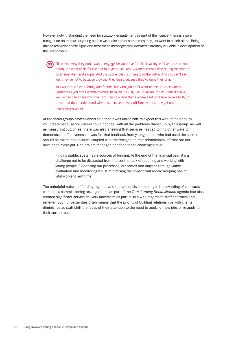However, notwithstanding the need for statutory engagement as part of the licence, there is also a recognition on the part of young people we spoke to that sometimes they just want to be left alone. Being able to recognise these signs and hear these messages was deemed extremely valuable in development of the relationship.

I'll tell you why they don't wanna engage, because I've felt like that myself. I've had someone telling me what to do for the last four years. Do I really want someone else telling me what to do again? Plain and simple. And the sooner that is understood the better. And you can't say well they've got to because they…no, they don't, because they've done their time.

You want to see your family and friends, but who you don't want to see is a case worker. Sometimes you don't wanna mentor…because it's just, like…invasion into your life. It's, like, well, when can I have my time? I'm free now. And that's where a lot of failure comes forth, for those that don't understand why prisoners seem very off-brushy once they get out. Female project worker

At the focus groups professionals said that it was unrealistic to expect this work to be done by volunteers because volunteers could not deal with all the problems thrown up by this group. As well as measuring outcomes, there was also a feeling that services needed to find other ways to demonstrate effectiveness. It was felt that feedback from young people who had used the service should be taken into account, coupled with the recognition that relationships of trust are not developed overnight. One project manager identified these challenges thus:

Finding stable, sustainable sources of funding. At the end of the financial year, it's a challenge not to be distracted from the central task of reaching and working with young people. Evidencing our processes, outcomes and outputs through viable evaluation and monitoring whilst minimising the impact that record keeping has on vital worker-client time.

The unhelpful nature of funding regimes and the late decision making in the awarding of contracts within new commissioning arrangements as part of the *Transforming Rehabilitation* agenda had also created significant service delivery uncertainties particularly with regards to staff contracts and renewal. Such uncertainties often means that the priority of building relationships with clients diminishes as staff shift the focus of their attention to the need to apply for new jobs or re-apply for their current posts.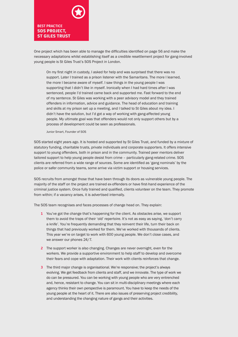

One project which has been able to manage the difficulties identified on page 56 and make the necessary adaptations whilst establishing itself as a credible resettlement project for gang-involved young people is St Giles Trust's SOS Project in London.

On my first night in custody, I asked for help and was surprised that there was no support. Later I trained as a prison listener with the Samaritans. The more I learned, the more I became aware of myself. I saw things in the young people I was supporting that I didn't like in myself. Ironically when I had hard times after I was sentenced, people I'd trained came back and supported me. Fast forward to the end of my sentence. St Giles was working with a peer advisory model and they trained offenders in information, advice and guidance. The head of education and training and skills at my prison set up a meeting, and I talked to St Giles about my idea. I didn't have the solution, but I'd got a way of working with gang-affected young people. My ultimate goal was that offenders would not only support others but by a process of development could be seen as professionals.

Junior Smart, Founder of SOS

SOS started eight years ago. It is hosted and supported by St Giles Trust, and funded by a mixture of statutory funding, charitable trusts, private individuals and corporate supporters. It offers intensive support to young offenders, both in prison and in the community. Trained peer mentors deliver tailored support to help young people desist from crime – particularly gang-related crime. SOS clients are referred from a wide range of sources. Some are identified as 'gang nominals' by the police or safer community teams, some arrive via victim support or housing services.

SOS recruits from amongst those that have been through its doors as vulnerable young people. The majority of the staff on the project are trained ex-offenders or have first-hand experience of the criminal justice system. Once fully trained and qualified, clients volunteer on the team. They promote from within; if a vacancy arises, it is advertised internally.

The SOS team recognises and faces processes of change head on. They explain:

- **1** You've got the change that's happening for the client. As obstacles arise, we support them to avoid the traps of their 'old' repertoire. It's not as easy as saying, 'don't carry a knife'. You're frequently demanding that they reinvent their life, turn their back on things that had previously worked for them. We've worked with thousands of clients. This year we're on target to work with 600 young people. We don't close cases, and we answer our phones 24/7.
- **2** The support worker is also changing. Changes are never overnight, even for the workers. We provide a supportive environment to help staff to develop and overcome their fears and cope with adaptation. Their work with clients reinforces that change.
- **3** The third major change is organisational. We're responsive; the project's always evolving. We get feedback from clients and staff, and we innovate. The type of work we do can be pressured. You can be working with young people who are very entrenched and, hence, resistant to change. You can sit in multi-disciplinary meetings where each agency thinks their own perspective is paramount. You have to keep the needs of the young people at the heart of it. There are also issues of preserving project credibility, and understanding the changing nature of gangs and their activities.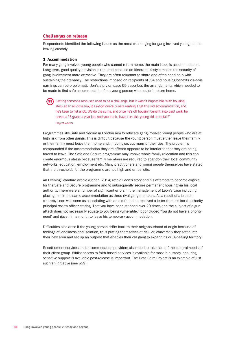## **Challenges on release**

Respondents identified the following issues as the most challenging for gang-involved young people leaving custody:

## 1 Accommodation

For many gang-involved young people who cannot return home, the main issue is accommodation. Long-term, good-quality provision is required because an itinerant lifestyle makes the security of gang involvement more attractive. They are often reluctant to share and often need help with sustaining their tenancy. The restrictions imposed on recipients of JSA and housing benefits vis-à-vis earnings can be problematic. Jon's story on page 59 describes the arrangements which needed to be made to find safe accommodation for a young person who couldn't return home.

Getting someone rehoused used to be a challenge, but it wasn't impossible. With housing stock at an all-time low, it's extortionate private renting. I get this kid accommodation, and he's keen to get a job. We do the sums, and once he's off housing benefit, into paid work, he needs a 25 grand a year job. And you think, 'have I set this young kid up to fail?' Project worker

Programmes like Safe and Secure in London aim to relocate gang-involved young people who are at high risk from other gangs. This is difficult because the young person must either leave their family or their family must leave their home and, in doing so, cut many of their ties. The problem is compounded if the accommodation they are offered appears to be inferior to that they are being forced to leave. The Safe and Secure programme may involve whole family relocation and this can create enormous stress because family members are required to abandon their local community networks, education, employment etc. Many practitioners and young people themselves have stated that the thresholds for the programme are too high and unrealistic.

An Evening Standard article (Cohen, 2014) retold Leon's story and his attempts to become eligible for the Safe and Secure programme and to subsequently secure permanent housing via his local authority. There were a number of significant errors in the management of Leon's case including placing him in the same accommodation as three rival gang members. As a result of a breach whereby Leon was seen as associating with an old friend he received a letter from his local authority principal review officer stating 'That you have been stabbed over 20 times and the subject of a gun attack does not necessarily equate to you being vulnerable.' It concluded 'You do not have a priority need' and gave him a month to leave his temporary accommodation.

Difficulties also arise if the young person drifts back to their neighbourhood of origin because of feelings of loneliness and isolation, thus putting themselves at risk, or, conversely they settle into their new area and set up an outpost that enables their old gang to expand its drug-dealing territory.

Resettlement services and accommodation providers also need to take care of the cultural needs of their client group. Whilst access to faith-based services is available for most in custody, ensuring sensitive support is available post-release is important. The Date Palm Project is an example of just such an initiative (see p59).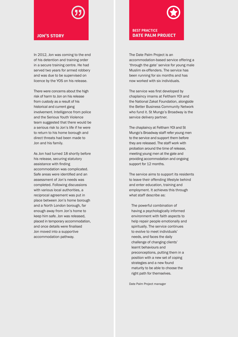

In 2012, Jon was coming to the end of his detention and training order in a secure training centre. He had served two years for armed robbery and was due to be supervised on licence by the YOS on his release.

There were concerns about the high risk of harm to Jon on his release from custody as a result of his historical and current gang involvement. Intelligence from police and the Serious Youth Violence team suggested that there would be a serious risk to Jon's life if he were to return to his home borough and direct threats had been made to Jon and his family.

As Jon had turned 18 shortly before his release, securing statutory assistance with finding accommodation was complicated. Safe areas were identified and an assessment of Jon's needs was completed. Following discussions with various local authorities, a reciprocal agreement was put in place between Jon's home borough and a North London borough, far enough away from Jon's home to keep him safe. Jon was released, placed in temporary accommodation, and once details were finalised Jon moved into a supportive accommodation pathway.

**BEST PRACTICE**  JON'S STORY **DATE PALM PROJECT** 

> The Date Palm Project is an accommodation-based service offering a 'through the gate' service for young male Muslim ex-offenders. The service has been running for six months and has now worked with six individuals.

> The service was first developed by chaplaincy imams at Feltham YOI and the National Zakat Foundation, alongside the Better Business Community Network who fund it. St Mungo's Broadway is the service delivery partner.

The chaplaincy at Feltham YOI and St Mungo's Broadway staff refer young men to the service and support them before they are released. The staff work with probation around the time of release, meeting young men at the gate and providing accommodation and ongoing support for 12 months.

The service aims to support its residents to leave their offending lifestyle behind and enter education, training and employment. It achieves this through what staff describe as:

The powerful combination of having a psychologically informed environment with faith aspects to help repair people emotionally and spiritually. The service continues to evolve to meet individuals' needs, and faces the daily challenge of changing clients' learnt behaviours and preconceptions, putting them in a position with a new set of coping strategies and a new found maturity to be able to choose the right path for themselves.

Date Palm Project manager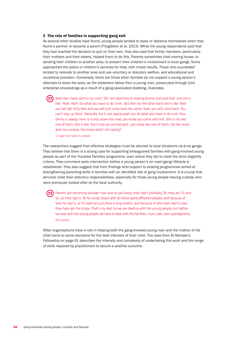## 2 The role of families in supporting gang exit

As several other studies have found, young people tended to leave or distance themselves when they found a partner or became a parent (Fitzgibbon et al, 2013). While the young respondents said that they had reached the decision to quit on their own, they also said that family members, particularly their mothers and their sisters, helped them to do this. Parents sometimes tried moving house, or sending their children to another area, to prevent their children's involvement in local gangs. Some approached the police or children's services for help, with mixed results. Those who succeeded tended to relocate to another area and use voluntary or statutory welfare, and educational and vocational provision. Conversely, there are times when families do not support a young person's attempts to leave the area, as the statement below from a young man, prosecuted through joint enterprise proceedings as a result of a gang-associated stabbing, illustrates.

Yeah like I have said to my mum 'Oh I am planning on leaving [home city] and that' and she is like. 'Yeah. Yeah. Do what you have to do' innit. But then on the other hand she is like 'Well you will get itchy feet and you will just come back the same. Yeah, you will come back. You can't stay up there'. Basically she is not saying yeah you do what you have to do innit. Your family is always here. It is only down the road, you know you come and visit. She is not like one of them. She is like 'You'll end up coming back', you know like one of them, not like really give me a praise. You know what I am saying?

17-year-old male in custody

The researchers suggest that effective strategies must be attuned to local situations vis-à-vis gangs. They believe that there is a strong case for supporting beleaguered families with gang-involved young people as part of the *Troubled Families* programme, even where they fail to meet the strict eligibility criteria. They commend early intervention before a young person's *on road* (gang) lifestyle is established. They also suggest that their findings lend support to existing programmes aimed at strengthening parenting skills in families with an identified risk of gang involvement. It is crucial that services meet their statutory responsibilities, especially for those young people leaving custody who were previously looked after by the local authority.

Parents are becoming younger now, and so you know, their dad's probably 30, they are 15 and so...So their dad is 30 he hangs about with all these gang-affiliated people, and because of who his dad is, or his dad has just done a long stretch, and because of who their dad is now, they have got the stripe. That's my dad. So we are dealing with the young people, but before we deal with the young people we have to deal with the families, mum, dad, even grandparents. YOS worker

Often organisations have a role in helping both the gang-involved young man and the mother of his child come to some decisions for the best interests of their child. The case from St Michael's Fellowship on page 61 describes the intensity and complexity of undertaking this work and the range of skills required by practitioners to secure a positive outcome.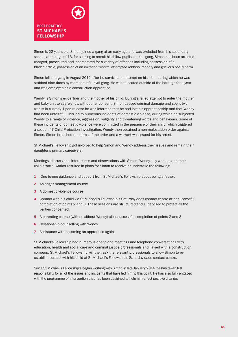Simon is 22 years old. Simon joined a gang at an early age and was excluded from his secondary school, at the age of 13, for seeking to recruit his fellow pupils into the gang. Simon has been arrested, charged, prosecuted and incarcerated for a variety of offences including possession of a bladed article, possession of an imitation firearm, attempted robbery, robbery and grievous bodily harm.

Simon left the gang in August 2012 after he survived an attempt on his life – during which he was stabbed nine times by members of a rival gang. He was relocated outside of the borough for a year and was employed as a construction apprentice.

Wendy is Simon's ex-partner and the mother of his child. During a failed attempt to enter the mother and baby unit to see Wendy, without her consent, Simon caused criminal damage and spent two weeks in custody. Upon release he was informed that he had lost his apprenticeship and that Wendy had been unfaithful. This led to numerous incidents of domestic violence, during which he subjected Wendy to a range of violence, aggression, vulgarity and threatening words and behaviours. Some of these incidents of domestic violence were committed in the presence of their child, which triggered a section 47 Child Protection Investigation. Wendy then obtained a non-molestation order against Simon. Simon breached the terms of the order and a warrant was issued for his arrest.

St Michael's Fellowship got involved to help Simon and Wendy address their issues and remain their daughter's primary caregivers.

Meetings, discussions, interactions and observations with Simon, Wendy, key workers and their child's social worker resulted in plans for Simon to receive or undertake the following:

- **1** One-to-one guidance and support from St Michael's Fellowship about being a father.
- **2** An anger management course
- **3** A domestic violence course
- **4** Contact with his child via St Michael's Fellowship's Saturday dads contact centre after successful completion of points 2 and 3. These sessions are structured and supervised to protect all the parties concerned.
- **5** A parenting course (with or without Wendy) after successful completion of points 2 and 3
- **6** Relationship counselling with Wendy
- **7** Assistance with becoming an apprentice again

St Michael's Fellowship had numerous one-to-one meetings and telephone conversations with education, health and social care and criminal justice professionals and liaised with a construction company. St Michael's Fellowship will then ask the relevant professionals to allow Simon to reestablish contact with his child at St Michael's Fellowship's Saturday dads contact centre.

Since St Michael's Fellowship's began working with Simon in late January 2014, he has taken full responsibility for all of the issues and incidents that have led him to this point. He has also fully engaged with the programme of intervention that has been designed to help him effect positive change.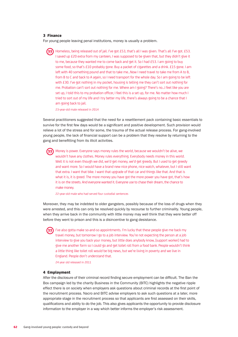## 3 Finance

For young people leaving penal institutions, money is usually a problem.

Homeless, being released out of jail. I've got £53, that's all I was given. That's all I've got. £53. I saved up £20 extra from my canteen, I was supposed to be given that, but they didn't give it to me, because they wanted me to come back and get it. So I had £53. I am going to buy some food, so that's £10 probably gone. Buy a packet of cigarettes and a drink. £15 gone. I am left with 40 something pound and that to take me...Now I need travel to take me from A to B, from B to C and back to A again, so I need transport for the whole day. So I am going to be left with £30. I've got nothing in my pocket, housing is telling me they can't sort out nothing for me. Probation can't sort out nothing for me. Where am I going? There's no...I feel like you are set up, I told this to my probation officer, I feel this is a set up, for me. No matter how much I tried to sort out of my life and I try better my life, there's always going to be a chance that I am going back to jail.

23-year-old male released in 2014

Several practitioners suggested that the need for a resettlement pack containing basic essentials to survive for the first few days would be a significant and positive development. Such provision would relieve a lot of the stress and for some, the trauma of the actual release process. For gang-involved young people, the lack of financial support can be a problem that they resolve by returning to the gang and benefitting from its illicit activities.

Money is power. Everyone says money rules the world, because we wouldn't be alive, we wouldn't have any clothes. Money rules everything. Everybody needs money in this world. Well it is not even though we did, we'd get money, we'd get greedy. But I used to get greedy and want more. So I would have a brand new nice phone, nice watch, whatever, but I still want that extra. I want that bike. I want that upgrade of that car and things like that. And that is what it is, it is greed. The more money you have got the more power you have got, that's how it is on the streets. And everyone wanted it. Everyone use to chase their dream, the chance to make money.

22-year-old male who had served four custodial sentences

Moreover, they may be indebted to older gangsters, possibly because of the loss of drugs when they were arrested, and this can only be resolved quickly by recourse to further criminality. Young people, when they arrive back in the community with little money may well think that they were better off before they went to prison and this is a disincentive to gang desistance.

I've also gotta make so-and-so appointments. I'm lucky that these people give me back my travel money, but tomorrow I go to a job interview. You're not expecting the person at a job interview to give you back your money, but little does anybody know. [support worker] had to give me another form so I could go and get toilet roll from a food bank. People wouldn't think a little thing like toilet roll would be big news, but we're living in poverty and we live in England. People don't understand that.

24 year old released in 2011

## 4 Employment

After the disclosure of their criminal record finding secure employment can be difficult. The Ban the Box campaign led by the charity Business in the Community (BITC) highlights the negative ripple effect there is on society when employers ask questions about criminal records at the first point of the recruitment process. Nacro and BITC advise employers to ask such questions at a later, more appropriate stage in the recruitment process so that applicants are first assessed on their skills, qualifications and ability to do the job. This also gives applicants the opportunity to provide disclosure information to the employer in a way which better informs the employer's risk assessment.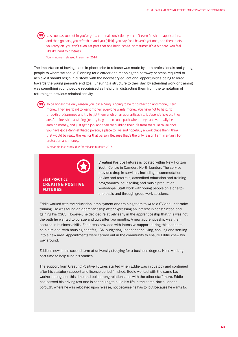…as soon as you put in you've got a criminal conviction, you can't even finish the application… and then go back, you refresh it, and you [click]…you say, 'no I haven't got one', and then it lets you carry on…you can't even get past that one initial stage…sometimes it's a bit hard. You feel like it's hard to progress.

Young woman released in summer 2014

The importance of having plans in place prior to release was made by both professionals and young people to whom we spoke. Planning for a career and mapping the pathway or steps required to achieve it should begin in custody, with the necessary educational opportunities being tailored towards the young person's end goal. Ensuring a structure to their day, by attending work or training was something young people recognised as helpful in distracting them from the temptation of returning to previous criminal activity.

To be honest the only reason you join a gang is going to be for protection and money. Earn money. They are going to want money, everyone wants money. You have got to help, go through programmes and try to get them a job or an apprenticeship, it depends how old they are. A traineeship, anything, just try to get them on a path where they can eventually be earning money, and just get a job, and then try building their life from there. Because once you have got a gang-affiliated person, a place to live and hopefully a work place then I think that would be really the key for that person. Because that's the only reason I am in a gang. For protection and money.

17 year old in custody, due for release in March 2015



Creating Positive Futures is located within New Horizon Youth Centre in Camden, North London. The service provides drop-in services, including accommodation advice and referrals, accredited education and training programmes, counselling and music production workshops. Staff work with young people on a one-toone basis and through group work sessions.

Eddie worked with the education, employment and training team to write a CV and undertake training. He was found an apprenticeship after expressing an interest in construction and gaining his CSCS. However, he decided relatively early in the apprenticeship that this was not the path he wanted to pursue and quit after two months. A new apprenticeship was then secured in business skills. Eddie was provided with intensive support during this period to help him deal with housing benefits, JSA, budgeting, independent living, cooking and settling into a new area. Appointments were carried out in the community to ensure Eddie knew his way around.

Eddie is now in his second term at university studying for a business degree. He is working part time to help fund his studies.

The support from Creating Positive Futures started when Eddie was in custody and continued after his statutory support and licence period finished. Eddie worked with the same key worker throughout this time and built strong relationships with the other staff there. Eddie has passed his driving test and is continuing to build his life in the same North London borough, where he was relocated upon release, not because he has to, but because he wants to.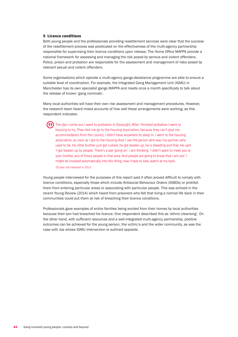## 5 Licence conditions

(万

Both young people and the professionals providing resettlement services were clear that the success of the resettlement process was predicated on the effectiveness of the multi-agency partnership responsible for supervising their licence conditions upon release. The Home Office MAPPA provide a national framework for assessing and managing the risk posed by serious and violent offenders. Police, prison and probation are responsible for the assessment and management of risks posed by relevant sexual and violent offenders.

Some organisations which operate a multi-agency gangs-desistance programme are able to ensure a suitable level of coordination. For example, the Integrated Gang Management Unit (IGMU) in Manchester has its own specialist gangs MAPPA and meets once a month specifically to talk about the release of known 'gang nominals'.

Many local authorities will have their own risk assessment and management procedures. However, the research team heard mixed accounts of how well these arrangements were working, as this respondent indicates:

The day I come out, I went to probation in [borough]. After I finished probation I went to housing to try. They told me go to the housing association, because they can't give me accommodation from the council, I didn't have anywhere to sleep in. I went to the housing association, as soon as I got to the housing door I see the person who was my partner, who used to be. His little brother just got rushed, he got beaten up, he is bleeding and that. He said 'I got beaten up by people. There's a war going on'. I am thinking, 'I didn't want to meet you or your brother, any of those people in that area. And people are going to know that I am out'. I might be involved automatically into this thing, now I have to look, watch at my back.

20 year old released in 2012

Young people interviewed for the purposes of this report said it often proved difficult to comply with licence conditions, especially those which include Antisocial Behaviour Orders (ASBOs) or prohibit them from entering particular areas or associating with particular people. This was echoed in the recent Young Review (2014) which heard from prisoners who felt that living a normal life back in their communities could put them at risk of breaching their licence conditions.

Professionals gave examples of entire families being evicted from their homes by local authorities because their son had breached his licence. One respondent described this as 'ethnic cleansing'. On the other hand, with sufficient resources and a well-integrated multi-agency partnership, positive outcomes can be achieved for the young person, the victim/s and the wider community, as was the case with Joe whose IGMU intervention is outlined opposite.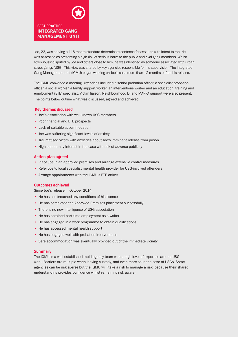Joe, 23, was serving a 116-month standard determinate sentence for assaults with intent to rob. He was assessed as presenting a high risk of serious harm to the public and rival gang members. Whilst strenuously disputed by Joe and others close to him, he was identified as someone associated with urban street gangs (USG). This view was shared by key agencies responsible for his supervision. The Integrated Gang Management Unit (IGMU) began working on Joe's case more than 12 months before his release.

The IGMU convened a meeting. Attendees included a senior probation officer, a specialist probation officer, a social worker, a family support worker, an interventions worker and an education, training and employment (ETE) specialist. Victim liaison, Neighbourhood DI and MAPPA support were also present. The points below outline what was discussed, agreed and achieved.

## **Key themes dicussed**

- Joe's association with well-known USG members
- Poor financial and ETE prospects
- Lack of suitable accommodation
- Joe was suffering significant levels of anxiety
- Traumatised victim with anxieties about Joe's imminent release from prison
- High community interest in the case with risk of adverse publicity

## **Action plan agreed**

- Place Joe in an approved premises and arrange extensive control measures
- Refer Joe to local specialist mental health provider for USG-involved offenders
- Arrange appointments with the IGMU's ETE officer

## **Outcomes achieved**

Since Joe's release in October 2014:

- He has not breached any conditions of his licence
- He has completed the Approved Premises placement successfully
- There is no new intelligence of USG association
- He has obtained part-time employment as a waiter
- He has engaged in a work programme to obtain qualifications
- He has accessed mental health support
- He has engaged well with probation interventions
- Safe accommodation was eventually provided out of the immediate vicinity

## **Summary**

The IGMU is a well-established multi-agency team with a high level of expertise around USG work. Barriers are multiple when leaving custody, and even more so in the case of USGs. Some agencies can be risk averse but the IGMU will 'take a risk to manage a risk' because their shared understanding provides confidence whilst remaining risk aware.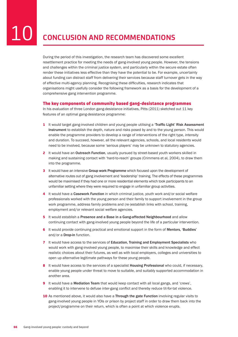During the period of this investigation, the research team has discovered some excellent resettlement practice for meeting the needs of gang-involved young people. However, the tensions and challenges within the criminal justice system, and particularly within the secure estate often render these initiatives less effective than they have the potential to be. For example, uncertainty about funding can distract staff from delivering their services because staff turnover gets in the way of effective multi-agency planning. Recognising these difficulties, research indicates that organisations might usefully consider the following framework as a basis for the development of a comprehensive gang intervention programme.

## The key components of community based gang-desistance programmes

In his evaluation of three London gang-desistance initiatives, Pitts (2011) sketched out 11 key features of an optimal gang-desistance programme:

- 1 It would target gang-involved children and young people utilising a 'Traffic Light' Risk Assessment Instrument to establish the depth, nature and risks posed by and to the young person. This would enable the programme providers to develop a range of interventions of the right type, intensity and duration. To succeed, however, all the relevant agencies, schools, and local residents would need to be involved, because some 'serious players' may be unknown to statutory agencies.
- 2 It would have an Outreach Function, usually pursued by street-based youth workers skilled in making and sustaining contact with 'hard-to-reach' groups (Crimmens et al, 2004), to draw them into the programme.
- 3 It would have an intensive Group work Programme which focused upon the development of alternative routes out of gang involvement and 'leadership' training. The effects of these programmes would be maximised if they had one or more residential elements which took participants to an unfamiliar setting where they were required to engage in unfamiliar group activities.
- 4 It would have a Casework Function in which criminal justice, youth work and/or social welfare professionals worked with the young person and their family to support involvement in the group work programme, address family problems and (re-)establish links with school, training, employment and/or relevant social welfare agencies.
- 5 It would establish a Presence and a Base in a Gang-affected Neighbourhood and allow continuing contact with gang-involved young people beyond the life of a particular intervention.
- 6 It would provide continuing practical and emotional support in the form of Mentors, 'Buddies' and/or a Drop-in function.
- 7 It would have access to the services of Education, Training and Employment Specialists who would work with gang-involved young people, to maximise their skills and knowledge and effect realistic choices about their futures, as well as with local employers, colleges and universities to open up alternative legitimate pathways for these young people.
- 8 It would have access to the services of a specialist **Housing Professional** who could, if necessary, enable young people under threat to move to suitable, and suitably supported accommodation in another area.
- 9 It would have a Mediation Team that would keep contact with all local gangs, and 'crews'. enabling it to intervene to defuse inter-gang conflict and thereby reduce tit-for-tat violence.
- 10 As mentioned above, it would also have a Through the gate Function involving regular visits to gang-involved young people in YOIs or prison by project staff in order to draw them back into the project/programme on their return, which is often a point at which violence erupts.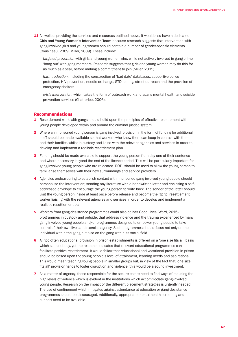**11** As well as providing the services and resources outlined above, it would also have a dedicated Girls and Young Women's Intervention Team because research suggests that intervention with gang-involved girls and young women should contain a number of gender-specific elements (Cousineau, 2009; Miller, 2009). These include:

*targeted prevention* with girls and young women who, while not actively involved in gang crime 'hang out' with gang members. Research suggests that girls and young women may do this for as much as a year, before making a commitment to join (Miller, 2001)

*harm reduction,* including the construction of 'bad date' databases, supportive police protection, HIV prevention, needle exchange, STD testing, street outreach and the provision of emergency shelters

c*risis intervention*: which takes the form of outreach work and spans mental health and suicide prevention services (Chatterjee, 2006).

## Recommendations

- 1 Resettlement work with gangs should build upon the principles of effective resettlement with young people developed within and around the criminal justice system.
- **2** Where an imprisoned young person is gang involved, provision in the form of funding for additional staff should be made available so that workers who know them can keep in contact with them and their families whilst in custody and liaise with the relevant agencies and services in order to develop and implement a realistic resettlement plan.
- **3** Funding should be made available to support the young person from day one of their sentence and where necessary, beyond the end of the licence period. This will be particularly important for gang-involved young people who are relocated. ROTL should be used to allow the young person to familiarise themselves with their new surroundings and service providers.
- 4 Agencies endeavouring to establish contact with imprisoned gang-involved young people should personalise the intervention; sending any literature with a handwritten letter and enclosing a selfaddressed envelope to encourage the young person to write back. The sender of the letter should visit the young person inside at least once before release and become the 'go to' resettlement worker liaising with the relevant agencies and services in order to develop and implement a realistic resettlement plan.
- 5 Workers from gang-desistance programmes could also deliver Good Lives (Ward, 2015) programmes in custody and outside, that address violence and the trauma experienced by many gang-involved young people and/or programmes designed to empower young people to take control of their own lives and exercise agency. Such programmes should focus not only on the individual within the gang but also on the gang within its social field.
- 6 All too often educational provision in prison establishments is offered on a 'one size fits all' basis which suits nobody, yet the research indicates that relevant educational programmes can facilitate positive resettlement. It would follow that educational and vocational provision in prison should be based upon the young people's level of attainment, learning needs and aspirations. This would mean teaching young people in smaller groups but, in view of the fact that 'one size fits all' provision tends to foster disruption and violence, this would be a sound investment.
- **7** As a matter of urgency, those responsible for the secure estate need to find ways of reducing the high levels of violence which is evident in the institutions which accommodate gang-involved young people. Research on the impact of the different placement strategies is urgently needed. The use of confinement which mitigates against attendance at education or gang-desistance programmes should be discouraged. Additionally, appropriate mental health screening and support need to be available.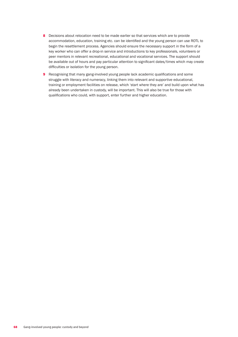- 8 Decisions about relocation need to be made earlier so that services which are to provide accommodation, education, training etc. can be identified and the young person can use ROTL to begin the resettlement process. Agencies should ensure the necessary support in the form of a key worker who can offer a drop-in service and introductions to key professionals, volunteers or peer mentors in relevant recreational, educational and vocational services. The support should be available out of hours and pay particular attention to significant dates/times which may create difficulties or isolation for the young person.
- 9 Recognising that many gang-involved young people lack academic qualifications and some struggle with literacy and numeracy, linking them into relevant and supportive educational, training or employment facilities on release, which 'start where they are' and build upon what has already been undertaken in custody, will be important. This will also be true for those with qualifications who could, with support, enter further and higher education.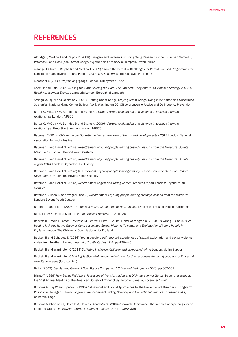## **REFERENCES**

Aldridge J, Medina J and Ralphs R (2008) 'Dangers and Problems of Doing Gang Research in the UK' in van Gemert F, Peterson D and Lien I (eds), *Street Gangs, Migration and Ethnicity* Cullompton, Devon: Willan

Aldridge J, Shute J, Ralphs R and Medina J (2009) 'Blame the Parents? Challenges for Parent-Focused Programmes for Families of Gang-Involved Young People' *Children & Society* Oxford: Blackwell Publishing

Alexander C (2008) *(Re)thinking 'gangs'* London: Runnymede Trust

Andell P and Pitts J (2013) *Filling the Gaps/Joining the Dots: The Lambeth Gang and Youth Violence Strategy 2012: A Rapid Assessment Exercise* Lambeth: London Borough of Lambeth

Arciaga-Young M and Gonzalez V (2013) *Getting Out of Gangs, Staying Out of Gangs: Gang Intervention and Desistance Strategies*, National Gang Center Bulletin No.8, Washington DC: Office of Juvenile Justice and Delinquency Prevention

Barter C, McCarry M, Berridge D and Evans K (2009a) *Partner exploitation and violence in teenage intimate relationships* London: NPSCC

Barter C, McCarry M, Berridge D and Evans K (2009b) *Partner exploitation and violence in teenage intimate relationships: Executive Summary* London: NPSCC

Bateman T (2014) *Children in conflict with the law: an overview of trends and developments - 2013* London: National Association for Youth Justice

Bateman T and Hazel N (2014a) *Resettlement of young people leaving custody: lessons from the literature. Update: March 2014* London: Beyond Youth Custody

Bateman T and Hazel N (2014b) *Resettlement of young people leaving custody: lessons from the literature*. *Update: August 2014* London: Beyond Youth Custody

Bateman T and Hazel N (2014c) *Resettlement of young people leaving custody: lessons from the literature*. *Update: November 2014* London: Beyond Youth Custody

Bateman T and Hazel N (2014d) *Resettlement of girls and young women: research report London: Beyond Youth* **Custody** 

Bateman T, Hazel N and Wright S (2013) *Resettlement of young people leaving custody: lessons from the literature*  London: Beyond Youth Custody

Bateman T and Pitts J (2005) *The Russell House Companion to Youth Justice* Lyme Regis: Russell House Publishing

Becker (1966) 'Whose Side Are We On' *Social Problems* 14(3) p.239

Beckett H, Brodie I, Factor F, Melrose M, Pearce J, Pitts J, Shuker L and Warrington C (2013) *It's Wrong ... But You Get Used to It, A Qualitative Study of Gang-associated Sexual Violence Towards, and Exploitation of Young People in England* London: The Children's Commissioner for England

Beckett H and Schubotz D (2014) 'Young people's self-reported experiences of sexual exploitation and sexual violence: A view from Northern Ireland' *Journal of Youth studies* 17(4) pp.430-445

Beckett H and Warrington C (2014) *Suffering in silence: Children and unreported crime* London: Victim Support

Beckett H and Warrington C *Making Justice Work: Improving criminal justice responses for young people in child sexual exploitation cases* (forthcoming)

Bell K (2009) 'Gender and Gangs: A Quantitative Comparison' *Crime and Delinquency* 55(3) pp.363-387

Bjørgo T (1999) How Gangs Fall Apart: Processes of Transformation and Disintegration of Gangs, Paper presented at the 51st Annual Meeting of the American Society of Criminology, Toronto, Canada, November 17-20

Bottoms A, Hay W and Sparks R (1995) 'Situational and Social Approaches to The Prevention of Disorder in Long-Term Prisons' in Flanagan T J (ed) *Long-Term Imprisonment: Policy, Science, and Correctional Practice* Thousand Oaks, California: Sage

Bottoms A, Shapland J, Costello A, Holmes D and Mair G (2004) 'Towards Desistance: Theoretical Underpinnings for an Empirical Study' *The Howard Journal of Criminal Justice* 43(4) pp.368-389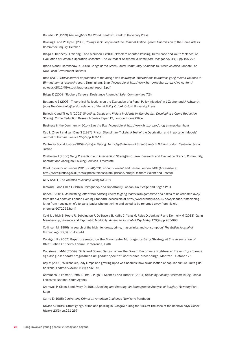Bourdieu P (1999) *The Weight of the World* Stanford: Stanford University Press

Bowling B and Phillips C (2006) *Young Black People and the Criminal Justice System* Submission to the Home Affairs Committee Inquiry, October

Braga A, Kennedy D, Waring E and Morrison A (2001) 'Problem-oriented Policing, Deterrence and Youth Violence: An Evaluation of Boston's Operation Ceasefire' *The Journal of Research in Crime and Delinquency* 38(3) pp.195-225

Brand A and Ollerenshaw R (2009) *Gangs at the Grass Roots: Community Solutions to Street Violence* London: The New Local Government Network

Brap (2012) *Stuck: current approaches to the design and delivery of interventions to address gang-related violence in Birmingham: a research report* Birmingham: Brap (Accessible at http://www.barrowcadbury.org.uk/wp-content/ uploads/2012/09/stuck-brapresearchreport1.pdf)

Briggs D (2008) 'Robbery Careers: Desistance Attempts' *Safer Communities* 7(3)

Bottoms A E (2003) 'Theoretical Reflections on the Evaluation of a Penal Policy Initiative' in L Zedner and A Ashworth (eds) *The Criminological Foundations of Penal Policy* Oxford: Oxford University Press

Bullock K and Tilley N (2002) *Shooting, Gangs and Violent Incidents in Manchester: Developing a Crime Reduction Strategy* Crime Reduction Research Series Paper 13, London: Home Office

Business in the Community (2014) *Ban the Box* (Accessible at http://www.bitc.org.uk/programmes/ban-box)

Cao L, Zhao J and van Dine S (1997) 'Prison Disciplinary Tickets: A Test of the Deprivation and Importation Models' *Journal of Criminal Justice* 25(2) pp.103-113

Centre for Social Justice (2009) *Dying to Belong: An In-depth Review of Street Gangs in Britain* London: Centre for Social **Justice** 

Chatterjee J (2006) *Gang Prevention and Intervention Strategies* Ottawa: Research and Evaluation Branch, Community, Contract and Aboriginal Policing Services Directorate

Chief Inspector of Prisons (2013) *HMP/YOI Feltham - violent and unsafe* London: MOJ (Accessible at http://www.justice.gov.uk/news/press-releases/hmi-prisons/hmpyoi-feltham-violent-and-unsafe)

CIRV (2011) *The violence must stop* Glasgow: CIRV

Cloward R and Ohlin L (1960) *Delinquency and Opportunity* London: Routledge and Kegan Paul

Cohen D (2014) *Astonishing letter from housing chiefs to gang leader who quit crime and asked to be rehomed away from his old enemies* London Evening Standard (Accessible at http://www.standard.co.uk/news/london/astonishingletter-from-housing-chiefs-to-gang-leader-who-quit-crime-and-asked-to-be-rehomed-away-from-his-oldenemies-9072256.html)

Coid J, Ullrich S, Keers R, Bebbington P, DeStavola B, Kallis C, Yang M, Reiss D, Jenkins R and Donnelly M (2013) 'Gang Membership, Violence and Psychiatric Morbidity' *American Journal of Psychiatry* 170(9) pp.985-993

Collinson M (1996) 'In search of the high life: drugs, crime, masculinity, and consumption' *The British Journal of Criminology* 36(3) pp.428-44

Corrigan R (2007) Paper presented on the Manchester Multi-agency Gang Strategy at The Association of Chief Police Officer's Annual Conference, Bath

Cousineau M-M (2009) 'Girls and Street Gangs: When the Dream Becomes a Nightmare' *Preventing violence against girls: should programmes be gender-specific?* Conference proceedings, Montreal, October 25

Coy M (2009) 'Milkshakes, lady lumps and growing up to wait boobies: how sexualisation of popular culture limits girls' horizons' *Feminist Review* 10(1) pp.61-75

Crimmens D, Factor F, Jeffs T, Pitts J, Pugh C, Spence J and Turner P (2004) *Reaching Socially Excluded Young People*  Leicester: National Youth Agency

Cromwell P, Olson J and Avary D (1991) *Breaking and Entering: An Ethnographic Analysis of Burglary* Newbury Park: Sage

Currie E (1985) *Confronting Crime: an American Challenge* New York: Pantheon

Davies A (1998) 'Street gangs, crime and policing in Glasgow during the 1930s: The case of the beehive boys' *Social History* 23(3) pp.251-267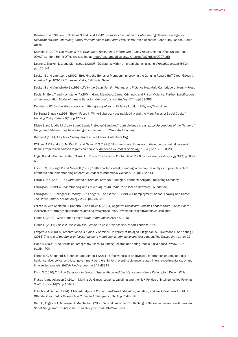Davison T, van Staden L, Nicholas S and Feist A (2010*) Process Evaluation of Data Sharing Between Emergency Departments and Community Safety Partnerships in the South East*, Home Office Research Report 46, London: Home **Office** 

Dawson, P (2007) *The National PPO Evaluation: Research to Inform and Guide Practice*, Home Office Online Report 09/07, London: Home Office (Accessible at http://rds.homeoffice.gov.uk/rds/pdfs07/rdsolr0907.pdf)

Deane L, Bracken D C and Morrissette L (2007) 'Desistance within an urban aboriginal gang' *Probation Journal* 54(2) pp.125-141

Decker S and Lauritsen J (2002) 'Breaking the Bonds of Membership: Leaving the Gang' in Ronald Huff C (ed) *Gangs in America III* pp103-122 Thousand Oaks, California: Sage

Decker S and Van Winkle B (1996) *Life in the Gang: Family, Friends, and Violence* New York: Cambridge University Press

DeLisi M, Berg T and Hochstetler A (2004) 'Gang Members, Career Criminals and Prison Violence: Further Specification of the Importation Model of Inmate Behavior' *Criminal Justice Studies* 17(4) pp369-383

Densley J (2013) *How Gangs Work: An Ethnography of Youth Violence* London: Palgrave/Macmillan

De Souza Briggs X (1998) 'Brown Faces in White Suburbs: Housing Mobility and the Many Faces of Social Capital' *Housing Policy Debate* 9(1) pp.177-221

Disley E and Liddle M *Urban Street Gangs in Ending Gang and Youth Violence Areas: Local Perceptions of the Nature of Gangs and Whether they have Changed in the Last Two Years* (forthcoming)

Dumas A (1844) *Les Trois Mousquetaires*, Free Ebook, Gutenberg.Org

D'Unger A V, Land K C, McCall P L and Nagan D S (1998) 'How many latent classes of delinquent/criminal careers? Results from mixed poisson regression analysis' *American Journal of Sociology* 103(6) pp.1593–1620

Edgar K and O'Donnell I (1998) 'Assault in Prison: The 'Victim's' Contribution' *The British Journal of Criminology* 38(4) pp.635- 650

Elliott D S, Huizinga D and Morse B (1986) 'Self-reported violent offending: A descriptive analysis of juvenile violent offenders and their offending careers' *Journal of Interpersonal Violence*.1(4) pp.472-514

Farrall S (ed) (2000) *The Termination of Criminal Careers* Burlington, Vermont: Ashgate Publishing Company

Farrington D (1996) *Understanding and Preventing Youth Crime* York: Joseph Rowntree Foundation

Farrington D P, Gallagher B, Morley L, St Ledger R J and West D J (1986) 'Unemployment, School Leaving and Crime' *The British Journal of Criminology 26*(4) pp.335-356

Feilzer M, with Appleton C, Roberts C, and Hoyle C (2004) *Cognitive Behaviour Projects* London: Youth Justice Board (Accessible at http://yjbpublications.justice.gov.uk/Resources/Downloads/cognitivebehaviourfull.pdf)

Firmin C (2009) 'Girls around gangs' *Safer Communities* 8(2) pp.14-16

Firmin C (2011) *This is it, this is my life. Female voice in violence final report London: ROTA* 

Fitzgerald M (2009) Presentation to CRIMPREV Seminar, University of Bologna Fitzgibbon W, Silverstone D and Young T (2013) The role of the family in facilitating gang membership, criminality and exit London: The Dawes Unit, Catch 22

Flood M (2009) 'The Harms of Pornography Exposure Among Children and Young People' *Child Abuse Review* 18(6) pp.384-400

Florence C, Shepherd J, Brennan I and Simon T (2011) 'Effectiveness of anonymised information sharing and use in health service, police, and local government partnership for preventing violence related injury: experimental study and time series analysis' *British Medical Journal* 342 d3313

Flynn N (2010) *Criminal Behaviour in Context: Space, Place and Desistance from Crime* Cullompton, Devon: Willan

Fraser, A and Atkinson C (2014) 'Making Up Gangs: Looping, Labelling and the New Politics of Intelligence-led Policing' *Youth Justice* 14(2) pp.154-170

Fritsch and Gerber (1994) 'A Meta-Analysis of Corrections-Based Education, Vocation, and Work Programs for Adult Offenders' *Journal of Research in Crime and Delinquency* 37(4) pp.347-368

Gatti U, Angelina F, Morengo G, Marchello S (2005) 'An Old Fashioned Youth Gang in Genoa' in Decker S (ed) *European Street Gangs and Troublesome Youth Groups* Oxford: AltaMira Press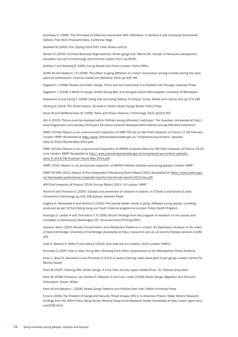Gendreau P (1996) 'The Principles of Effective Intervention With Offenders' in Harland A (ed) *Choosing Correctional Options That Work* Thousand Oaks, California: Sage

Gladwell M (2000) *The Tipping Point* NYC: Little, Brown and Co

Gordon R (2000) 'Criminal Business Organisations, Street gangs and 'Wanna Be' Groups: A Vancouver perspective' *Canadian Journal of Criminology and Criminal Justice* 42(1) pp.39-60

Graham J and Bowling B (1995) *Young People and Crime* London: Home Office

Griffin M and Hepburn J R (2006) 'The effect of gang affiliation on violent misconduct among inmates during the early years of confinement' *Criminal Justice and Behavior* 33(4) pp.419–66

Hagedorn J (1998) *People and Folks: Gangs, Crime and the Underclass in a Rustbelt City* Chicago: Lakeview Press

Hagedorn J (2008) *A World of Gangs: Armed Young Men and Gangsta Culture* Minneapolis: University of Minnesota

Hallsworth S and Young T (2008) 'Gang Talk and Gang Talkers: A Critique' *Crime, Media and Culture* 4(2) pp.175-195

Harding S (2014) *The Street Casino: Survival in Violent Street Gangs* Bristol: Policy Press

Harer M and Steffensmeier M (1996) 'Race and Prison Violence' *Criminology* 34(3) pp323-355

Hill, A (2015) 'Police could be deployed within Feltham young offenders' institution' *The Guardian* (Accessible at http:// www.theguardian.com/society/2015/jan/14/police-could-be-deployed-within-feltham-young-offenders-institution)

HMIP (2014a) *Report on an unannounced inspection of HMP/YOI Isis by HM Chief Inspector of Prisons 17-28 February* London: HMIP (Accessible at http://www. justiceinspectorates.gov.uk/ hmiprisons/wp-content/ uploads/ sites/4/2014/08/Isis-Web-2014.pdf)

HMIP (2014b) *Report on an unannounced inspection of HMYOI Cookham Wood by HM Chief Inspector of Prisons 19-20 June* London: HMIP (Accessible at http://www.justiceinspectorates.gov.uk/hmiprisons/wp-content/uploads/ sites/4/2014/08/Cookham Wood-Web-2014.pdf)

HMIP (2015) *Report on an announced inspection of HMYOI Feltham (children and young people)* London: HMIP

HMP/YOI ISIS (2012) *Report of the Independent Monitoring Board Report 2012* (Accessible at https://www.justice.gov. uk/downloads/publications/corporate-reports/imb/annual-reports-2012/isis.pdf)

HM Chief Inspector of Prisons (2014) *Annual Report 2013–14* London: HMIP

Homel R and Thomson C (2005) 'Causes and prevention of violence in prisons' in O'Toole S and Eyland S (eds) *Corrections Criminology* pp.101-108 Sydney: Hawkins Press

Hughes K, Hardcastle K and Perkins C (2015) *The mental health needs of gang- affiliated young people*, a briefing produced as part of the Ending Gang and Youth Violence programme London: Public Health England

Huizinga D, Loeber R and Thornberry T P (1995) *Recent findings from the program of research on the causes and correlates of delinquency* Washington DC: US Government Printing Office

Jackson, Mark (2010) *Murder Concentration and Distribution Patterns in London: An Exploratory Analysis of Ten Years of Data* Cambridge: University of Cambridge (Accessible at http://www.crim.cam.ac.uk/alumni/theses/Jackson,%20M. pdf)

Jutte S, Bentley H, Miller P and Jetha N (2014) *How safe are our children 2014* London: NSPCC

Kennedy D (2007) *How to Stop Young Men Shooting Each Other,* presentation to the Metropolitan Police Authority

Khan L, Brice H, Saunders A and Plumtree A (2013) *A need to belong: what leads girls to join gangs* London: Centre for Mental Health

Klein M (2007) *Chasing After Street Gangs: A Forty Year Journey* Upper Saddle River, NJ: Pearson Education

Klein M (2008) Foreword, van Gemert F, Peterson D and Lien I (eds) (2008) *Street Gangs, Migration and Ethnicity*  Cullompton, Devon: Willan

Klein M and Maxson L (2006) *Street Gangs Patterns and Policies* New York: Oxford University Press

Knox G (2006) *The Problem of Gangs and Security Threat Groups (STG's) in American Prisons Today: Recent Research Findings from the 2004 Prison Gang Survey* National Gang Crime Research Center (Accessible at http://www. ngcrc.com/ corr2006.html)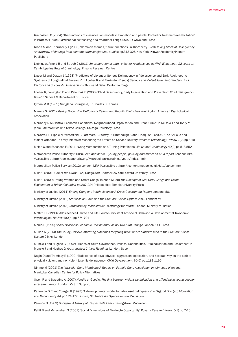Kratcoski P C (2004) 'The functions of classification models in Probation and parole: Control or treatment-rehabilitation' in Kratcoski P (ed) *Correctional counselling and treatment* Long Grove, IL: Waveland Press

Krohn M and Thornberry T (2003) 'Common themes, future directions' in Thornberry T (ed) *Taking Stock of Delinquency: An overview of findings from contemporary longitudinal studies* pp.313-326 New York: Kluwer Academic/Plenum Publishers

Liebling A, Arnold H and Straub C (2011) *An exploration of staff–prisoner relationships at HMP Whitemoor: 12 years on* Cambridge Institute of Criminology: Prisons Research Centre

Lipsey M and Derzon J (1998) 'Predictors of Violent or Serious Delinquency in Adolescence and Early Adulthood: A Synthesis of Longitudinal Research' in Loeber R and Farrington D (eds) *Serious and Violent Juvenile Offenders: Risk Factors and Successful Interventions* Thousand Oaks, California: Sage

Loeber R, Farrington D and Petechuk D (2003) 'Child Delinquency, Early Intervention and Prevention' *Child Delinquency Bulletin Series* US Department of Justice

Lyman M D (1989) *Gangland* Springfield, IL: Charles C Thomas

Maruna S (2001) *Making Good: How Ex-Convicts Reform and Rebuild Their Lives* Washington: American Psychological Association

McGahey R M (1986) 'Economic Conditions, Neighbourhood Organisation and Urban Crime' in Reiss A J and Tonry M (eds) *Communities and Crime* Chicago: Chicago University Press

McGarrell E, Hipple N, Winterfield L, Lattimore P, Steffey D, Brumbaugh S and Lindquist C (2006) 'The Serious and Violent Offender Re-entry Initiative: Measuring the Effects on Service Delivery' *Western Criminology Review* 7(2) pp.3-19

Melde C and Esbensen F (2011) 'Gang Membership as a Turning Point in the Life Course' *Criminology* 49(2) pp.513-552

Metropolitan Police Authority (2008) *Seen and heard – young people, policing and crime: an MPA report* London: MPA *(*Accessible at http://policeauthority.org/Metropolitan/scrutinies/youth/index.html)

Metropolitan Police Service (2012) London: MPA (Accessible at http://content.met.police.uk/Site/gangcrime)

Miller J (2001) *One of the Guys: Girls, Gangs and Gender* New York: Oxford University Press

Miller J (2009) 'Young Women and Street Gangs' in Zahn M (ed) *The Delinquent Girl, Girls, Gangs and Sexual Exploitation in British Columbia pp.*207-224 Philadelphia: Temple University Press

Ministry of Justice (2011) *Ending Gang and Youth Violence: A Cross-Government Report London: MOJ* 

Ministry of Justice (2012) *Statistics on Race and the Criminal Justice System 2012* London: MOJ

Ministry of Justice (2013) *Transforming rehabilitation: a strategy for reform* London: Ministry of Justice

Moffitt T E (1993) 'Adolescence-Limited and Life-Course-Persistent Antisocial Behavior: A Developmental Taxonomy' *Psychological Review* 100(4) pp.674-701

Morris L (1995) *Social Divisions: Economic Decline and Social Structural Change* London: UCL Press

Mullen K (2014) *The Young Review*: *Improving outcomes for young black and/or Muslim men in the Criminal Justice System* Clinks: London

Muncie J and Hughes G (2002) 'Modes of Youth Governance, Political Rationalities, Criminalisation and Resistance' in Muncie J and Hughes G *Youth Justice: Critical Readings* London: Sage

Nagin D and Tremblay R (1999) 'Trajectories of boys' physical aggression, opposition, and hyperactivity on the path to physically violent and nonviolent juvenile delinquency' *Child Development* 70(5) pp.1181-1196

Nimmo M (2001) *The 'Invisible' Gang Members: A Report on Female Gang Association in Winnipeg* Winnipeg, Manitoba: Canadian Centre for Policy Alternatives

Owen R and Sweeting A (2007) *Hoodie or Goodie. The link between violent victimisation and offending in young people: a research report* London: Victim Support

Patterson G R and Yoerger K (1997) 'A developmental model for late-onset delinquency' in Osgood D W (ed) *Motivation and Delinquency* 44 pp.121-177 Lincoln, NE: Nebraska Symposium on Motivation

Pearson G (1983) *Hooligan: A History of Respectable Fears* Basingstoke: Macmillan

Pettit B and McLanahan S (2001) 'Social Dimensions of Moving to Opportunity' *Poverty Research News* 5(1) pp.7-10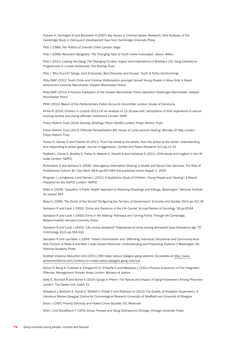Piquero A, Farrington D and Blumstein A (2007) *Key Issues in Criminal Career Research: New Analyses of the Cambridge Study in Delinquent Development* New York: Cambridge University Press

Pitts J (1988) *The Politics of Juvenile Crime* London: Sage

Pitts J (2008) *Reluctant Gangsters: The Changing Face of Youth Crime* Cullompton, Devon: Willen

Pitts J (2011) *Leaving the Gang: The Changing Context, Impact and Implications of Brathay's 2XL Gang Desistance Programmes in London* Ambleside: The Brathay Trust

Pitts J 'Who Dunnit? Gangs, Joint Enterprise, Bad Character and Duress' *Youth & Policy* (forthcoming)

Pitts/GMP (2012) *Youth Crime and Criminal Victimisation amongst Somali Young People in Moss Side, A Rapid Assessment Exercise* Manchester: Greater Manchester Police

Pitts/GMP (2013) A Process Evaluation of the Greater Manchester Police Operation Challenger Manchester: Greater Manchester Police

PPAC (2013) *Report of the Parliamentary Public Accounts Committee* London: House of Commons

Prime R (2014) *Children in custody 2013-14: an analysis of 12-18-year-olds' perceptions of their experience in secure training centres and young offender institutions* London: HMIP

Prison Reform Trust (2014) *Bromley Briefings Prison Factfile* London: Prison Reform Trust

Prison Reform Trust (2013) *Offender Rehabilitation Bill, House of Lords second reading: Monday 20 May* London: Prison Reform Trust

Pyrooz D, Decker S and Fleisher M (2011) *'*From the street to the prison, from the prison to the street: understanding and responding to prison gangs' *Journal of Aggression, Conflict and Peace Research* 3(1) pp.12-24

Radford L, Corral S, Bradley C, Fisher H, Bassett C, Howatt N and Collishaw S (2011) *Child abuse and neglect in the UK today* London: NSPCC

Richardson S and Asthana S (2006) 'Inter-agency Information Sharing in Health and Social Care Services: The Role of Professional Culture' *Br J Soc Work* 36(4) pp.657-669 first published online August 1, 2005

Ringrose J, Livingstone J and Harvey L (2012) *A Qualitative Study of Children, Young People and 'Sexting': A Report Prepared for the NSPCC* London: NSPCC

Ritter N (2009) 'Ceasefire: A Public Health Approach to Reducing Shootings and Killings, Washington' *National Institute for Justice* 264

Rose N (1996) *'*The Death of the Social? Re-figuring the Territory of Government' *Economy and Society* 25(3) pp.327-46

Sampson R and Laub J (1992) 'Crime and Deviance in the Life Course' *Annual Review of Sociology* 18 pp.63-84

Sampson R and Laub J (1993) *Crime in the Making: Pathways and Turning Points Through life Cambridge,* Massachusetts: Harvard University Press

Sampson R and Laub J (2003) 'Life-course desisters? Trajectories of crime among delinquent boys followed to age 70' *Criminology* 41(3) pp.555-592

Sampson R and Lauritsen J (1994) 'Violent Victimisation and Offending: Individual, Situational and Community-level Risk Factors' in Reiss A and Roth J (eds) *Social Influences*: *Understanding and Preventing Violence 3* Washington DC: National Academy Press

Scottish Violence Reduction Unit (2011) *CIRV helps reduce Glasgow gang violence* (Accessible at http://www. actiononviolence.com/content/cirv-helps-reduce-glasgow-gang-violence)

Senior P, Wong K, Culshaw A, Ellingworth D, O'Keeffe C and Meadows L (2011) *Process Evaluation of Five Integrated Offender Management Pioneer Areas* London: Ministry of Justice

Setty E, Sturrock R and Simes E (2014) *Gangs in Prison: The Nature and Impact of Gang Involvement Among Prisoners* London: The Dawes Unit, Catch 22

Shapland J, Bottoms A, Farrall S, McNeill F, Priede C and Robinson G (2012) *The Quality of Probation Supervision: A Literature Review* Glasgow: Centre for Criminological Research University of Sheffield and University of Glasgow

Short J (1997) *Poverty Ethnicity and Violent Crime* Boulder, CO: Westview

Short J and Strodtbeck F (1974) *Group Process and Gang Delinquency* Chicago: Chicago University Press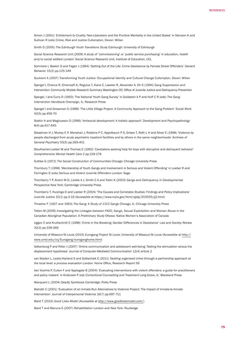Simon J (2001) 'Entitlement to Cruelty: Neo-Liberalism and the Punitive Mentality in the United States' in Stenson K and Sullivan R (eds) *Crime, Risk and Justice* Cullompton, Devon: Willan

Smith D (2005) *The Edinburgh Youth Transitions Study* Edinburgh: University of Edinburgh

Social Science Research Unit (2009) *A study of 'commissioning' or 'public service purchasing' in education, health and/or social welfare* London: Social Science Research Unit, Institute of Education, UCL

Sommers I, Baskin D and Fagan J (1994) 'Getting Out of the Life: Crime Desistance by Female Street Offenders' *Deviant Behavior* 15(2) pp.125-149

Souhami A (2007) *Transforming Youth Justice: Occupational Identity and Cultural Change* Cullompton, Devon: Willan

Spergel I, Chance R, Ehrensaft K, Regulus T, Kane C, Laseter R, Alexander A, Oh S (1994) *Gang Suppression and Intervention: Community Models Research Summary* Washington DC: Office of Juvenile Justice and Delinquency Prevention

Spergel, I and Curry D (1993) 'The National Youth Gang Survey' in Goldstein A P and Huff C R (eds) *The Gang Intervention Handbook* Champign, IL: Research Press

Spergel I and Grossman S (1998) 'The Little Village Project: A Community Approach to the Gang Problem' *Social Work* 42(5) pp.456-70

Stattin H and Magnusson D (1996) 'Antisocial development: A holistic approach' *Development and Psychopathology* 8(4) pp.617-645

Steadman H J, Mulvey E P, Monahan J, Robbins P C, Appelbaum P S, Grisso T, Roth L H and Silver E (1998) 'Violence by people discharged from acute psychiatric inpatient facilities and by others in the same neighborhoods' *Archives of General Psychiatry* 55(5) pp.393-401

Stouthamer-Loeber M and Thomas C (1992) 'Caretakers seeking help for boys with disruptive and delinquent behavior' *Comprehensive Mental Health Care 2* pp.159-178

Suttles G (1972) *The Social Construction of Communities* Chicago: Chicago University Press

Thornbury T (1998) 'Membership of Youth Gangs and Involvement in Serious and Violent Offending' in Loeber R and Farrington D (eds) *Serious and Violent Juvenile Offenders* London: Sage

Thornberry T P, Krohn M D, Lizotte A J, Smith C A and Tobin K (2003) *Gangs and Delinquency in Developmental Perspective* New York: Cambridge University Press

Thornberry T, Huizinga D and Loeber R (2004) 'The Causes and Correlates Studies: Findings and Policy Implications' *Juvenile Justice* 10(1) pp.3-19 (Accessible at https://www.ncjrs.gov/html/ojjdp/203555/jj2.html)

Thrasher F (1927 and 1963) *The Gang: A Study of 1313 Gangs* Chicago, IL: Chicago University Press

Totten M (2009) *Investigating the Linkages between FASD, Gangs, Sexual Exploitation and Woman Abuse in the Canadian Aboriginal Population: A Preliminary Study* Ottawa: Native Women's Association of Canada

Uggen C and Kruttschnitt C (1998) 'Crime in the Breaking: Gender Differences in Desistance' *Law and Society Review*  32(2) pp.339-366

University of Missouri-St Louis (2015) *Eurogang Project* St Louis: University of Missouri-St Louis (Accessible at http:// www.umsl.edu/ccj/Eurogang/euroganghome.html)

Valkenburg P and Peter J (2007) 'Online communication and adolescent well-being: Testing the stimulation versus the displacement hypothesis' *Journal of Computer-Mediated Communication* 12(4) article 2

van Staden L, Leahy-Harland S and Gottschalk E (2011) *Tackling organised crime through a partnership approach at the local level: a process evaluation* London: Home Office, Research Report 56

Van Voorhis P, Cullen F and Applegate B (2004) 'Evaluating interventions with violent offenders: a guide for practitioners and policy makers' in Kratcoski P (ed) *Correctional Counselling and Treatment* Long Grove, IL: Waveland Press

Wacquant L (2004) *Deadly Symbiosis* Cambridge: Polity Press

Walrath C (2001) 'Evaluation of an Inmate-Run Alternatives to Violence Project: The Impact of Inmate-to-Inmate Intervention' *Journal of Interpersonal Violence* 16(7) pp.697-711

Ward T (2015) *Good Lives Model* (Accessible at http://www.goodlivesmodel.com/)

Ward T and Maruna S (2007) *Rehabilitation* London and New York: Routledge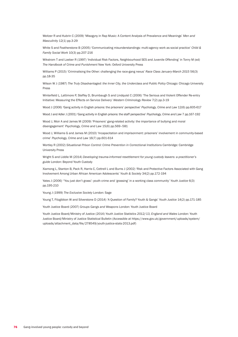Weitzer R and Kubrin C (2009) 'Misogyny in Rap Music: A Content Analysis of Prevalence and Meanings' *Men and Masculinity* 12(1) pp.3-29

White S and Featherstone B (2005) 'Communicating misunderstandings: multi-agency work as social practice' *Child & Family Social Work* 10(3) pp.207-216

Wikstrom T and Loeber R (1997) 'Individual Risk Factors, Neighbourhood SES and Juvenile Offending' in Tonry M (ed) *The Handbook of Crime and Punishment* New York: Oxford University Press

Williams P (2015) 'Criminalising the Other: challenging the race-gang nexus' *Race Class January-March 2015* 56(3) pp.18-35

Wilson W J (1987) *The Truly Disadvantaged: the Inner City, the Underclass and Public Policy* Chicago: Chicago University Press

Winterfield L, Lattimore P, Steffey D, Brumbaugh S and Lindquist C (2006) 'The Serious and Violent Offender Re-entry Initiative: Measuring the Effects on Service Delivery' *Western Criminology Review* 7(2) pp.3-19

Wood J (2006) *'*Gang activity in English prisons: the prisoners' perspective' *Psychology, Crime and Law* 12(6) pp.605-617

Wood J and Adler J (2001) 'Gang activity in English prisons: the staff perspective' *Psychology, Crime and Law* 7 pp.167-192

Wood J, Moir A and James M (2009) 'Prisoners' gang-related activity: the importance of bullying and moral disengagement' *Psychology, Crime and Law* 15(6) pp.569–581

Wood J, Williams G and James M (2010) 'Incapacitation and imprisonment: prisoners' involvement in community-based crime' *Psychology, Crime and Law* 16(7) pp.601-614

Wortley R (2002) Situational Prison Control: Crime Prevention in Correctional Institutions Cambridge: Cambridge University Press

Wright S and Liddle M (2014) *Developing trauma-informed resettlement for young custody leavers: a practitioner's guide* London: Beyond Youth Custody

Xiamong L, Stanton B, Pack R, Harris C, Cottrell L and Burns J (2002) 'Risk and Protective Factors Associated with Gang Involvement Among Urban African American Adolescents' *Youth & Society* 34(2) pp.172-194

Yates J (2006) ''You just don't grass': youth crime and 'grassing' in a working class community' *Youth Justice* 6(3) pp.195-210

Young J (1999) *The Exclusive Society* London: Sage

Young T, Fitzgibbon W and Silverstone D (2014) 'A Question of Family? Youth & Gangs' *Youth Justice* 14(2) pp.171-185

Youth Justice Board (2007) *Groups Gangs and Weapons* London: Youth Justice Board

Youth Justice Board/Ministry of Justice (2014) *Youth Justice Statistics 2012/13, England and Wales* London: Youth Justice Board/Ministry of Justice Statistical Bulletin (Accessible at https://www.gov.uk/government/uploads/system/ uploads/attachment\_data/file/278549/youth-justice-stats-2013.pdf)